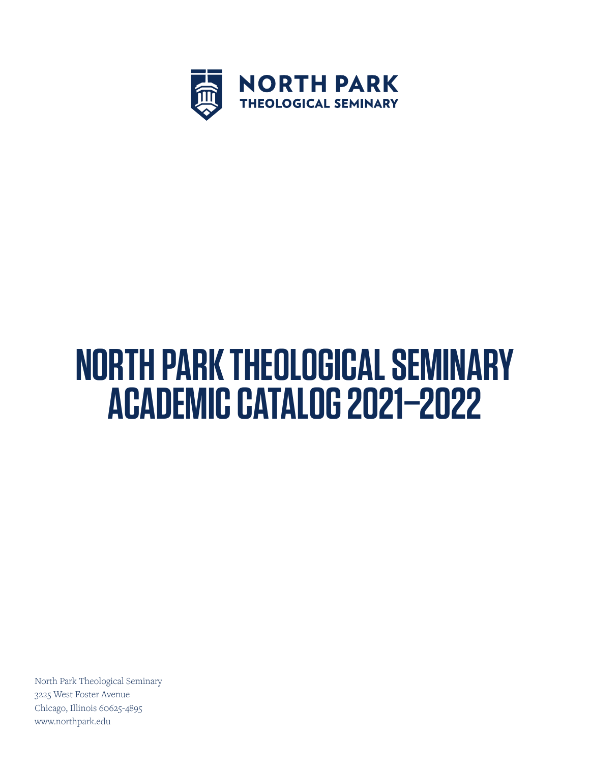

# **NORTH PARK THEOLOGICAL SEMINARY ACADEMIC CATALOG 2021–2022**

North Park Theological Seminary 3225 West Foster Avenue Chicago, Illinois 60625-4895 www.northpark.edu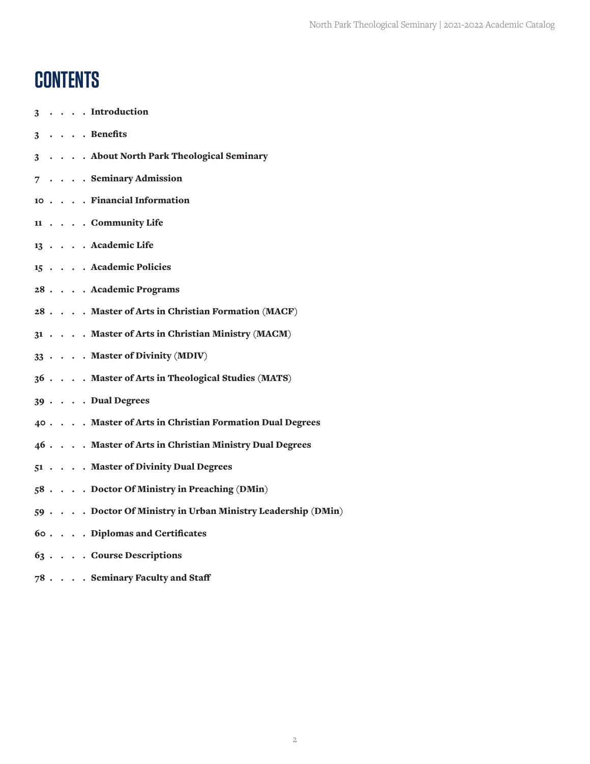## **CONTENTS**

|  |  | 3 Introduction                                            |
|--|--|-----------------------------------------------------------|
|  |  | $3 \cdot \cdot \cdot$ Benefits                            |
|  |  | 3 About North Park Theological Seminary                   |
|  |  | 7 Seminary Admission                                      |
|  |  | 10 Financial Information                                  |
|  |  | 11 Community Life                                         |
|  |  | 13 Academic Life                                          |
|  |  | 15 Academic Policies                                      |
|  |  | 28 Academic Programs                                      |
|  |  | 28 Master of Arts in Christian Formation (MACF)           |
|  |  | 31 Master of Arts in Christian Ministry (MACM)            |
|  |  | 33 Master of Divinity (MDIV)                              |
|  |  | 36 Master of Arts in Theological Studies (MATS)           |
|  |  | 39 Dual Degrees                                           |
|  |  | 40 Master of Arts in Christian Formation Dual Degrees     |
|  |  | 46 Master of Arts in Christian Ministry Dual Degrees      |
|  |  | 51 Master of Divinity Dual Degrees                        |
|  |  | 58 Doctor Of Ministry in Preaching (DMin)                 |
|  |  | 59 Doctor Of Ministry in Urban Ministry Leadership (DMin) |
|  |  | 60 Diplomas and Certificates                              |
|  |  | 63 Course Descriptions                                    |

 $78$   $\ldots$   $\ldots$   $\,$  Seminary Faculty and Staff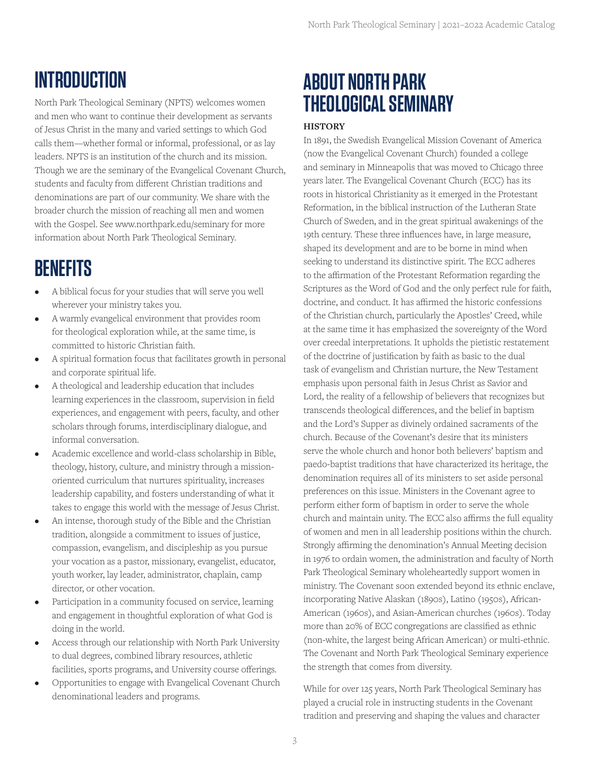## **INTRODUCTION**

North Park Theological Seminary (NPTS) welcomes women and men who want to continue their development as servants of Jesus Christ in the many and varied settings to which God calls them—whether formal or informal, professional, or as lay leaders. NPTS is an institution of the church and its mission. Though we are the seminary of the Evangelical Covenant Church, students and faculty from different Christian traditions and denominations are part of our community. We share with the broader church the mission of reaching all men and women with the Gospel. See www.northpark.edu/seminary for more information about North Park Theological Seminary.

## **BENEFITS**

- A biblical focus for your studies that will serve you well wherever your ministry takes you.
- A warmly evangelical environment that provides room for theological exploration while, at the same time, is committed to historic Christian faith.
- A spiritual formation focus that facilitates growth in personal and corporate spiritual life.
- A theological and leadership education that includes learning experiences in the classroom, supervision in field experiences, and engagement with peers, faculty, and other scholars through forums, interdisciplinary dialogue, and informal conversation.
- Academic excellence and world-class scholarship in Bible, theology, history, culture, and ministry through a missionoriented curriculum that nurtures spirituality, increases leadership capability, and fosters understanding of what it takes to engage this world with the message of Jesus Christ.
- An intense, thorough study of the Bible and the Christian tradition, alongside a commitment to issues of justice, compassion, evangelism, and discipleship as you pursue your vocation as a pastor, missionary, evangelist, educator, youth worker, lay leader, administrator, chaplain, camp director, or other vocation.
- Participation in a community focused on service, learning and engagement in thoughtful exploration of what God is doing in the world.
- Access through our relationship with North Park University to dual degrees, combined library resources, athletic facilities, sports programs, and University course offerings.
- Opportunities to engage with Evangelical Covenant Church denominational leaders and programs.

## **ABOUT NORTH PARK THEOLOGICAL SEMINARY**

## **HISTORY**

In 1891, the Swedish Evangelical Mission Covenant of America (now the Evangelical Covenant Church) founded a college and seminary in Minneapolis that was moved to Chicago three years later. The Evangelical Covenant Church (ECC) has its roots in historical Christianity as it emerged in the Protestant Reformation, in the biblical instruction of the Lutheran State Church of Sweden, and in the great spiritual awakenings of the 19th century. These three influences have, in large measure, shaped its development and are to be borne in mind when seeking to understand its distinctive spirit. The ECC adheres to the affirmation of the Protestant Reformation regarding the Scriptures as the Word of God and the only perfect rule for faith, doctrine, and conduct. It has affirmed the historic confessions of the Christian church, particularly the Apostles' Creed, while at the same time it has emphasized the sovereignty of the Word over creedal interpretations. It upholds the pietistic restatement of the doctrine of justification by faith as basic to the dual task of evangelism and Christian nurture, the New Testament emphasis upon personal faith in Jesus Christ as Savior and Lord, the reality of a fellowship of believers that recognizes but transcends theological differences, and the belief in baptism and the Lord's Supper as divinely ordained sacraments of the church. Because of the Covenant's desire that its ministers serve the whole church and honor both believers' baptism and paedo-baptist traditions that have characterized its heritage, the denomination requires all of its ministers to set aside personal preferences on this issue. Ministers in the Covenant agree to perform either form of baptism in order to serve the whole church and maintain unity. The ECC also affirms the full equality of women and men in all leadership positions within the church. Strongly affirming the denomination's Annual Meeting decision in 1976 to ordain women, the administration and faculty of North Park Theological Seminary wholeheartedly support women in ministry. The Covenant soon extended beyond its ethnic enclave, incorporating Native Alaskan (1890s), Latino (1950s), African-American (1960s), and Asian-American churches (1960s). Today more than 20% of ECC congregations are classified as ethnic (non-white, the largest being African American) or multi-ethnic. The Covenant and North Park Theological Seminary experience the strength that comes from diversity.

While for over 125 years, North Park Theological Seminary has played a crucial role in instructing students in the Covenant tradition and preserving and shaping the values and character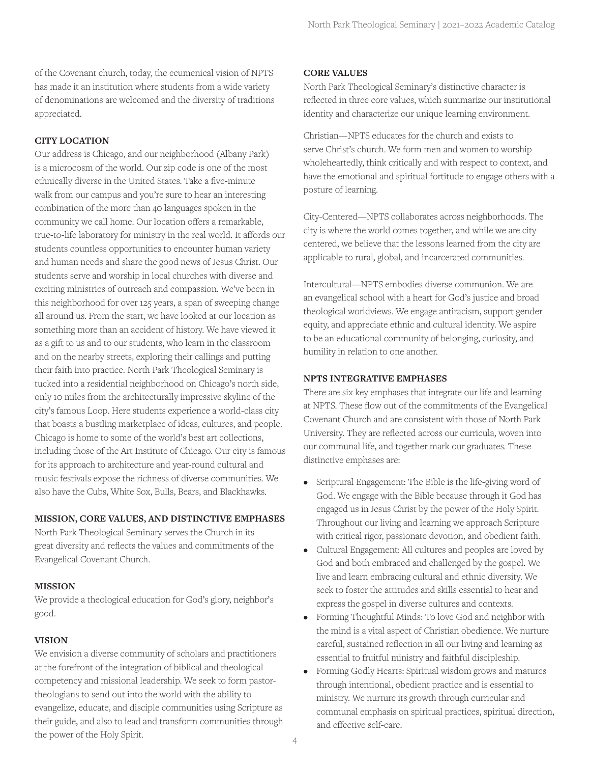of the Covenant church, today, the ecumenical vision of NPTS has made it an institution where students from a wide variety of denominations are welcomed and the diversity of traditions appreciated.

## **CITY LOCATION**

Our address is Chicago, and our neighborhood (Albany Park) is a microcosm of the world. Our zip code is one of the most ethnically diverse in the United States. Take a five-minute walk from our campus and you're sure to hear an interesting combination of the more than 40 languages spoken in the community we call home. Our location offers a remarkable, true-to-life laboratory for ministry in the real world. It affords our students countless opportunities to encounter human variety and human needs and share the good news of Jesus Christ. Our students serve and worship in local churches with diverse and exciting ministries of outreach and compassion. We've been in this neighborhood for over 125 years, a span of sweeping change all around us. From the start, we have looked at our location as something more than an accident of history. We have viewed it as a gift to us and to our students, who learn in the classroom and on the nearby streets, exploring their callings and putting their faith into practice. North Park Theological Seminary is tucked into a residential neighborhood on Chicago's north side, only 10 miles from the architecturally impressive skyline of the city's famous Loop. Here students experience a world-class city that boasts a bustling marketplace of ideas, cultures, and people. Chicago is home to some of the world's best art collections, including those of the Art Institute of Chicago. Our city is famous for its approach to architecture and year-round cultural and music festivals expose the richness of diverse communities. We also have the Cubs, White Sox, Bulls, Bears, and Blackhawks.

#### **MISSION, CORE VALUES, AND DISTINCTIVE EMPHASES**

North Park Theological Seminary serves the Church in its great diversity and reflects the values and commitments of the Evangelical Covenant Church.

#### **MISSION**

We provide a theological education for God's glory, neighbor's good.

#### **VISION**

We envision a diverse community of scholars and practitioners at the forefront of the integration of biblical and theological competency and missional leadership. We seek to form pastortheologians to send out into the world with the ability to evangelize, educate, and disciple communities using Scripture as their guide, and also to lead and transform communities through the power of the Holy Spirit.

#### **CORE VALUES**

North Park Theological Seminary's distinctive character is reflected in three core values, which summarize our institutional identity and characterize our unique learning environment.

Christian—NPTS educates for the church and exists to serve Christ's church. We form men and women to worship wholeheartedly, think critically and with respect to context, and have the emotional and spiritual fortitude to engage others with a posture of learning.

City-Centered—NPTS collaborates across neighborhoods. The city is where the world comes together, and while we are citycentered, we believe that the lessons learned from the city are applicable to rural, global, and incarcerated communities.

Intercultural—NPTS embodies diverse communion. We are an evangelical school with a heart for God's justice and broad theological worldviews. We engage antiracism, support gender equity, and appreciate ethnic and cultural identity. We aspire to be an educational community of belonging, curiosity, and humility in relation to one another.

#### **NPTS INTEGRATIVE EMPHASES**

There are six key emphases that integrate our life and learning at NPTS. These flow out of the commitments of the Evangelical Covenant Church and are consistent with those of North Park University. They are reflected across our curricula, woven into our communal life, and together mark our graduates. These distinctive emphases are:

- Scriptural Engagement: The Bible is the life-giving word of God. We engage with the Bible because through it God has engaged us in Jesus Christ by the power of the Holy Spirit. Throughout our living and learning we approach Scripture with critical rigor, passionate devotion, and obedient faith.
- Cultural Engagement: All cultures and peoples are loved by God and both embraced and challenged by the gospel. We live and learn embracing cultural and ethnic diversity. We seek to foster the attitudes and skills essential to hear and express the gospel in diverse cultures and contexts.
- Forming Thoughtful Minds: To love God and neighbor with the mind is a vital aspect of Christian obedience. We nurture careful, sustained reflection in all our living and learning as essential to fruitful ministry and faithful discipleship.
- Forming Godly Hearts: Spiritual wisdom grows and matures through intentional, obedient practice and is essential to ministry. We nurture its growth through curricular and communal emphasis on spiritual practices, spiritual direction, and effective self-care.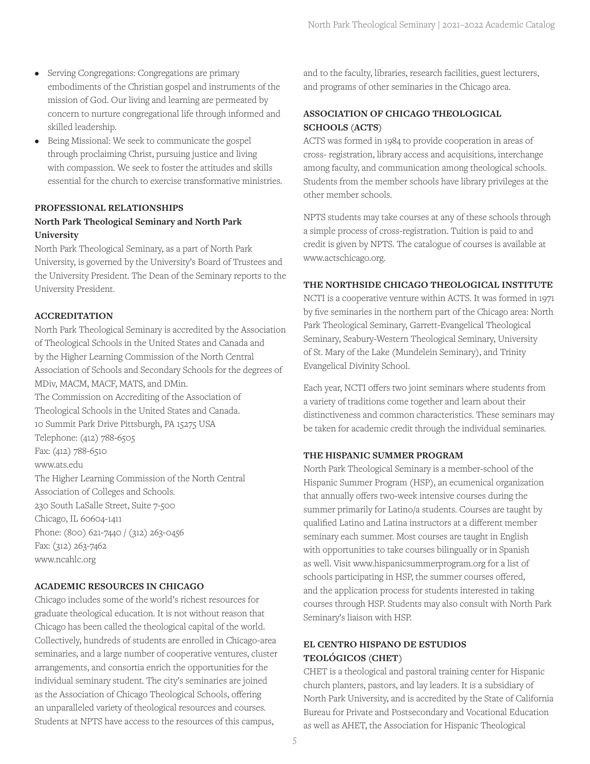- Serving Congregations: Congregations are primary embodiments of the Christian gospel and instruments of the mission of God. Our living and learning are permeated by concern to nurture congregational life through informed and skilled leadership.
- Being Missional: We seek to communicate the gospel through proclaiming Christ, pursuing justice and living with compassion. We seek to foster the attitudes and skills essential for the church to exercise transformative ministries.

## **PROFESSIONAL RELATIONSHIPS North Park Theological Seminary and North Park University**

North Park Theological Seminary, as a part of North Park University, is governed by the University's Board of Trustees and the University President. The Dean of the Seminary reports to the University President.

## **ACCREDITATION**

North Park Theological Seminary is accredited by the Association of Theological Schools in the United States and Canada and by the Higher Learning Commission of the North Central Association of Schools and Secondary Schools for the degrees of MDiv, MACM, MACF, MATS, and DMin. The Commission on Accrediting of the Association of Theological Schools in the United States and Canada. 10 Summit Park Drive Pittsburgh, PA 15275 USA Telephone: (412) 788-6505 Fax: (412) 788-6510 www.ats.edu The Higher Learning Commission of the North Central Association of Colleges and Schools. 230 South LaSalle Street, Suite 7-500 Chicago, IL 60604-1411 Phone: (800) 621-7440 / (312) 263-0456 Fax: (312) 263-7462 www.ncahlc.org

## **ACADEMIC RESOURCES IN CHICAGO**

Chicago includes some of the world's richest resources for graduate theological education. It is not without reason that Chicago has been called the theological capital of the world. Collectively, hundreds of students are enrolled in Chicago-area seminaries, and a large number of cooperative ventures, cluster arrangements, and consortia enrich the opportunities for the individual seminary student. The city's seminaries are joined as the Association of Chicago Theological Schools, offering an unparalleled variety of theological resources and courses. Students at NPTS have access to the resources of this campus,

and to the faculty, libraries, research facilities, guest lecturers, and programs of other seminaries in the Chicago area.

## **ASSOCIATION OF CHICAGO THEOLOGICAL SCHOOLS (ACTS)**

ACTS was formed in 1984 to provide cooperation in areas of cross- registration, library access and acquisitions, interchange among faculty, and communication among theological schools. Students from the member schools have library privileges at the other member schools.

NPTS students may take courses at any of these schools through a simple process of cross-registration. Tuition is paid to and credit is given by NPTS. The catalogue of courses is available at www.actschicago.org.

## **THE NORTHSIDE CHICAGO THEOLOGICAL INSTITUTE**

NCTI is a cooperative venture within ACTS. It was formed in 1971 by five seminaries in the northern part of the Chicago area: North Park Theological Seminary, Garrett-Evangelical Theological Seminary, Seabury-Western Theological Seminary, University of St. Mary of the Lake (Mundelein Seminary), and Trinity Evangelical Divinity School.

Each year, NCTI offers two joint seminars where students from a variety of traditions come together and learn about their distinctiveness and common characteristics. These seminars may be taken for academic credit through the individual seminaries.

## **THE HISPANIC SUMMER PROGRAM**

North Park Theological Seminary is a member-school of the Hispanic Summer Program (HSP), an ecumenical organization that annually offers two-week intensive courses during the summer primarily for Latino/a students. Courses are taught by qualified Latino and Latina instructors at a different member seminary each summer. Most courses are taught in English with opportunities to take courses bilingually or in Spanish as well. Visit www.hispanicsummerprogram.org for a list of schools participating in HSP, the summer courses offered, and the application process for students interested in taking courses through HSP. Students may also consult with North Park Seminary's liaison with HSP.

## **EL CENTRO HISPANO DE ESTUDIOS TEOLÓGICOS (CHET)**

CHET is a theological and pastoral training center for Hispanic church planters, pastors, and lay leaders. It is a subsidiary of North Park University, and is accredited by the State of California Bureau for Private and Postsecondary and Vocational Education as well as AHET, the Association for Hispanic Theological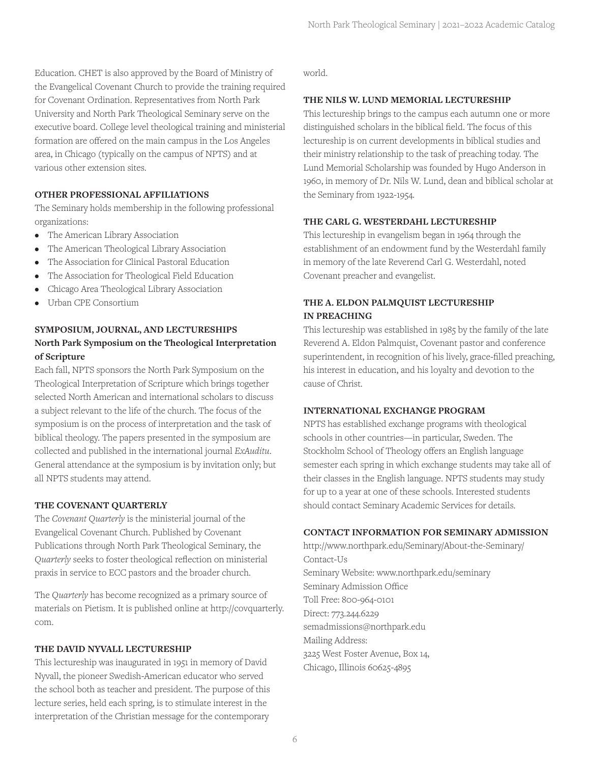Education. CHET is also approved by the Board of Ministry of the Evangelical Covenant Church to provide the training required for Covenant Ordination. Representatives from North Park University and North Park Theological Seminary serve on the executive board. College level theological training and ministerial formation are offered on the main campus in the Los Angeles area, in Chicago (typically on the campus of NPTS) and at various other extension sites.

## **OTHER PROFESSIONAL AFFILIATIONS**

The Seminary holds membership in the following professional organizations:

- The American Library Association
- The American Theological Library Association
- The Association for Clinical Pastoral Education
- The Association for Theological Field Education
- Chicago Area Theological Library Association
- Urban CPE Consortium

## **SYMPOSIUM, JOURNAL, AND LECTURESHIPS North Park Symposium on the Theological Interpretation of Scripture**

Each fall, NPTS sponsors the North Park Symposium on the Theological Interpretation of Scripture which brings together selected North American and international scholars to discuss a subject relevant to the life of the church. The focus of the symposium is on the process of interpretation and the task of biblical theology. The papers presented in the symposium are collected and published in the international journal *ExAuditu*. General attendance at the symposium is by invitation only; but all NPTS students may attend.

#### **THE COVENANT QUARTERLY**

The *Covenant Quarterly* is the ministerial journal of the Evangelical Covenant Church. Published by Covenant Publications through North Park Theological Seminary, the *Quarterly* seeks to foster theological reflection on ministerial praxis in service to ECC pastors and the broader church.

The *Quarterly* has become recognized as a primary source of materials on Pietism. It is published online at http://covquarterly. com.

#### **THE DAVID NYVALL LECTURESHIP**

This lectureship was inaugurated in 1951 in memory of David Nyvall, the pioneer Swedish-American educator who served the school both as teacher and president. The purpose of this lecture series, held each spring, is to stimulate interest in the interpretation of the Christian message for the contemporary

world.

#### **THE NILS W. LUND MEMORIAL LECTURESHIP**

This lectureship brings to the campus each autumn one or more distinguished scholars in the biblical field. The focus of this lectureship is on current developments in biblical studies and their ministry relationship to the task of preaching today. The Lund Memorial Scholarship was founded by Hugo Anderson in 1960, in memory of Dr. Nils W. Lund, dean and biblical scholar at the Seminary from 1922-1954.

#### **THE CARL G. WESTERDAHL LECTURESHIP**

This lectureship in evangelism began in 1964 through the establishment of an endowment fund by the Westerdahl family in memory of the late Reverend Carl G. Westerdahl, noted Covenant preacher and evangelist.

## **THE A. ELDON PALMQUIST LECTURESHIP IN PREACHING**

This lectureship was established in 1985 by the family of the late Reverend A. Eldon Palmquist, Covenant pastor and conference superintendent, in recognition of his lively, grace-filled preaching, his interest in education, and his loyalty and devotion to the cause of Christ.

#### **INTERNATIONAL EXCHANGE PROGRAM**

NPTS has established exchange programs with theological schools in other countries—in particular, Sweden. The Stockholm School of Theology offers an English language semester each spring in which exchange students may take all of their classes in the English language. NPTS students may study for up to a year at one of these schools. Interested students should contact Seminary Academic Services for details.

#### **CONTACT INFORMATION FOR SEMINARY ADMISSION**

http://www.northpark.edu/Seminary/About-the-Seminary/ Contact-Us Seminary Website: www.northpark.edu/seminary Seminary Admission Office Toll Free: 800-964-0101 Direct: 773.244.6229 semadmissions@northpark.edu Mailing Address: 3225 West Foster Avenue, Box 14, Chicago, Illinois 60625-4895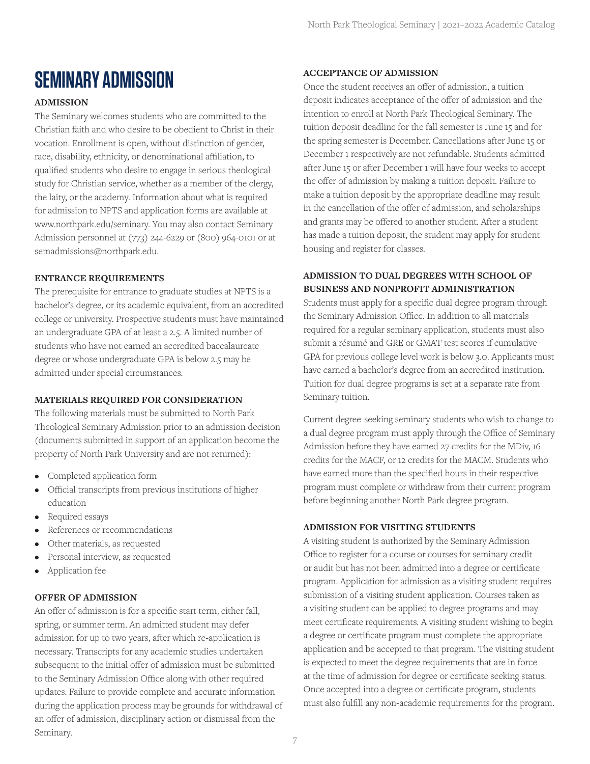## **SEMINARY ADMISSION**

## **ADMISSION**

The Seminary welcomes students who are committed to the Christian faith and who desire to be obedient to Christ in their vocation. Enrollment is open, without distinction of gender, race, disability, ethnicity, or denominational affiliation, to qualified students who desire to engage in serious theological study for Christian service, whether as a member of the clergy, the laity, or the academy. Information about what is required for admission to NPTS and application forms are available at www.northpark.edu/seminary. You may also contact Seminary Admission personnel at (773) 244-6229 or (800) 964-0101 or at semadmissions@northpark.edu.

## **ENTRANCE REQUIREMENTS**

The prerequisite for entrance to graduate studies at NPTS is a bachelor's degree, or its academic equivalent, from an accredited college or university. Prospective students must have maintained an undergraduate GPA of at least a 2.5. A limited number of students who have not earned an accredited baccalaureate degree or whose undergraduate GPA is below 2.5 may be admitted under special circumstances.

## **MATERIALS REQUIRED FOR CONSIDERATION**

The following materials must be submitted to North Park Theological Seminary Admission prior to an admission decision (documents submitted in support of an application become the property of North Park University and are not returned):

- Completed application form
- Official transcripts from previous institutions of higher education
- Required essays
- References or recommendations
- Other materials, as requested
- Personal interview, as requested
- Application fee

## **OFFER OF ADMISSION**

An offer of admission is for a specific start term, either fall, spring, or summer term. An admitted student may defer admission for up to two years, after which re-application is necessary. Transcripts for any academic studies undertaken subsequent to the initial offer of admission must be submitted to the Seminary Admission Office along with other required updates. Failure to provide complete and accurate information during the application process may be grounds for withdrawal of an offer of admission, disciplinary action or dismissal from the Seminary.

#### **ACCEPTANCE OF ADMISSION**

Once the student receives an offer of admission, a tuition deposit indicates acceptance of the offer of admission and the intention to enroll at North Park Theological Seminary. The tuition deposit deadline for the fall semester is June 15 and for the spring semester is December. Cancellations after June 15 or December 1 respectively are not refundable. Students admitted after June 15 or after December 1 will have four weeks to accept the offer of admission by making a tuition deposit. Failure to make a tuition deposit by the appropriate deadline may result in the cancellation of the offer of admission, and scholarships and grants may be offered to another student. After a student has made a tuition deposit, the student may apply for student housing and register for classes.

## **ADMISSION TO DUAL DEGREES WITH SCHOOL OF BUSINESS AND NONPROFIT ADMINISTRATION**

Students must apply for a specific dual degree program through the Seminary Admission Office. In addition to all materials required for a regular seminary application, students must also submit a résumé and GRE or GMAT test scores if cumulative GPA for previous college level work is below 3.0. Applicants must have earned a bachelor's degree from an accredited institution. Tuition for dual degree programs is set at a separate rate from Seminary tuition.

Current degree-seeking seminary students who wish to change to a dual degree program must apply through the Office of Seminary Admission before they have earned 27 credits for the MDiv, 16 credits for the MACF, or 12 credits for the MACM. Students who have earned more than the specified hours in their respective program must complete or withdraw from their current program before beginning another North Park degree program.

#### **ADMISSION FOR VISITING STUDENTS**

A visiting student is authorized by the Seminary Admission Office to register for a course or courses for seminary credit or audit but has not been admitted into a degree or certificate program. Application for admission as a visiting student requires submission of a visiting student application. Courses taken as a visiting student can be applied to degree programs and may meet certificate requirements. A visiting student wishing to begin a degree or certificate program must complete the appropriate application and be accepted to that program. The visiting student is expected to meet the degree requirements that are in force at the time of admission for degree or certificate seeking status. Once accepted into a degree or certificate program, students must also fulfill any non-academic requirements for the program.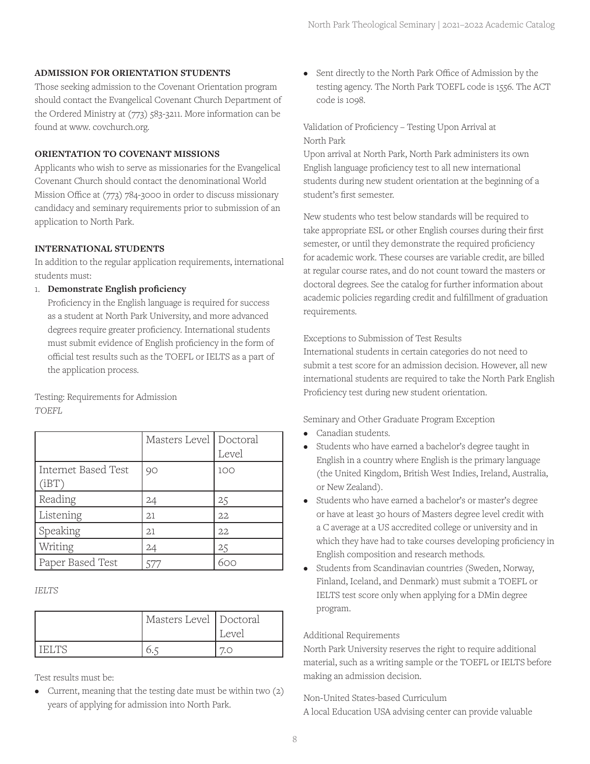#### **ADMISSION FOR ORIENTATION STUDENTS**

Those seeking admission to the Covenant Orientation program should contact the Evangelical Covenant Church Department of the Ordered Ministry at (773) 583-3211. More information can be found at www. covchurch.org.

## **ORIENTATION TO COVENANT MISSIONS**

Applicants who wish to serve as missionaries for the Evangelical Covenant Church should contact the denominational World Mission Office at (773) 784-3000 in order to discuss missionary candidacy and seminary requirements prior to submission of an application to North Park.

## **INTERNATIONAL STUDENTS**

In addition to the regular application requirements, international students must:

## 1. **Demonstrate English proficiency**

Proficiency in the English language is required for success as a student at North Park University, and more advanced degrees require greater proficiency. International students must submit evidence of English proficiency in the form of official test results such as the TOEFL or IELTS as a part of the application process.

Testing: Requirements for Admission *TOEFL*

|                              | Masters Level Doctoral | Level |
|------------------------------|------------------------|-------|
| Internet Based Test<br>(iBT) | 90                     | 100   |
| Reading                      | 24                     | 25    |
| Listening                    | 21                     | 22    |
| Speaking                     | 21                     | 22    |
| Writing                      | 24                     | 25    |
| Paper Based Test             |                        |       |

*IELTS*

| Masters Level Doctoral | Level |
|------------------------|-------|
|                        |       |

Test results must be:

• Current, meaning that the testing date must be within two (2) years of applying for admission into North Park.

• Sent directly to the North Park Office of Admission by the testing agency. The North Park TOEFL code is 1556. The ACT code is 1098.

Validation of Proficiency – Testing Upon Arrival at North Park

Upon arrival at North Park, North Park administers its own English language proficiency test to all new international students during new student orientation at the beginning of a student's first semester.

New students who test below standards will be required to take appropriate ESL or other English courses during their first semester, or until they demonstrate the required proficiency for academic work. These courses are variable credit, are billed at regular course rates, and do not count toward the masters or doctoral degrees. See the catalog for further information about academic policies regarding credit and fulfillment of graduation requirements.

#### Exceptions to Submission of Test Results

International students in certain categories do not need to submit a test score for an admission decision. However, all new international students are required to take the North Park English Proficiency test during new student orientation.

Seminary and Other Graduate Program Exception

- Canadian students.
- Students who have earned a bachelor's degree taught in English in a country where English is the primary language (the United Kingdom, British West Indies, Ireland, Australia, or New Zealand).
- Students who have earned a bachelor's or master's degree or have at least 30 hours of Masters degree level credit with a C average at a US accredited college or university and in which they have had to take courses developing proficiency in English composition and research methods.
- Students from Scandinavian countries (Sweden, Norway, Finland, Iceland, and Denmark) must submit a TOEFL or IELTS test score only when applying for a DMin degree program.

## Additional Requirements

North Park University reserves the right to require additional material, such as a writing sample or the TOEFL or IELTS before making an admission decision.

Non-United States-based Curriculum A local Education USA advising center can provide valuable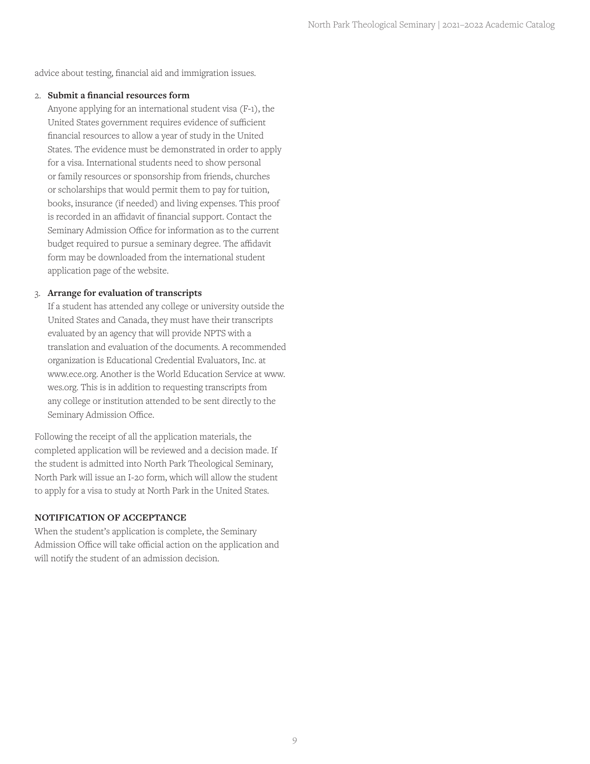advice about testing, financial aid and immigration issues.

## 2. **Submit a financial resources form**

Anyone applying for an international student visa (F-1), the United States government requires evidence of sufficient financial resources to allow a year of study in the United States. The evidence must be demonstrated in order to apply for a visa. International students need to show personal or family resources or sponsorship from friends, churches or scholarships that would permit them to pay for tuition, books, insurance (if needed) and living expenses. This proof is recorded in an affidavit of financial support. Contact the Seminary Admission Office for information as to the current budget required to pursue a seminary degree. The affidavit form may be downloaded from the international student application page of the website.

## 3. **Arrange for evaluation of transcripts**

If a student has attended any college or university outside the United States and Canada, they must have their transcripts evaluated by an agency that will provide NPTS with a translation and evaluation of the documents. A recommended organization is Educational Credential Evaluators, Inc. at www.ece.org. Another is the World Education Service at www. wes.org. This is in addition to requesting transcripts from any college or institution attended to be sent directly to the Seminary Admission Office.

Following the receipt of all the application materials, the completed application will be reviewed and a decision made. If the student is admitted into North Park Theological Seminary, North Park will issue an I-20 form, which will allow the student to apply for a visa to study at North Park in the United States.

## **NOTIFICATION OF ACCEPTANCE**

When the student's application is complete, the Seminary Admission Office will take official action on the application and will notify the student of an admission decision.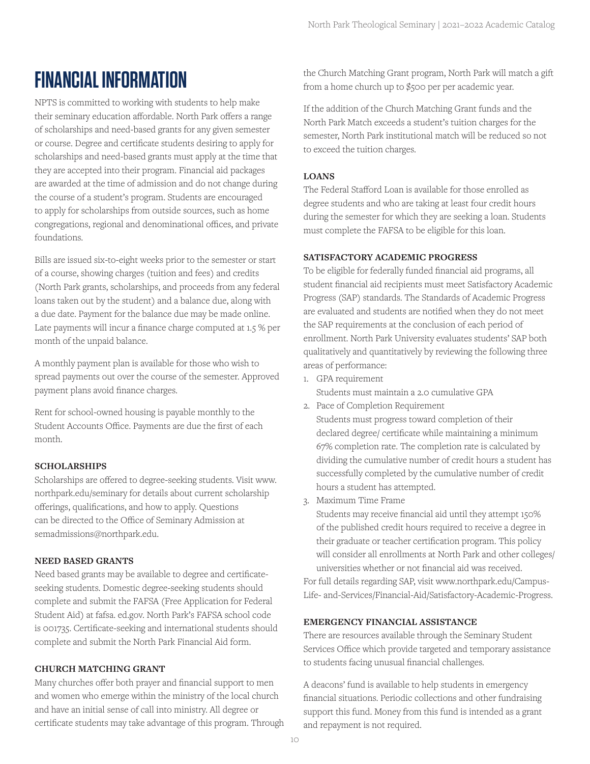## **FINANCIAL INFORMATION**

NPTS is committed to working with students to help make their seminary education affordable. North Park offers a range of scholarships and need-based grants for any given semester or course. Degree and certificate students desiring to apply for scholarships and need-based grants must apply at the time that they are accepted into their program. Financial aid packages are awarded at the time of admission and do not change during the course of a student's program. Students are encouraged to apply for scholarships from outside sources, such as home congregations, regional and denominational offices, and private foundations.

Bills are issued six-to-eight weeks prior to the semester or start of a course, showing charges (tuition and fees) and credits (North Park grants, scholarships, and proceeds from any federal loans taken out by the student) and a balance due, along with a due date. Payment for the balance due may be made online. Late payments will incur a finance charge computed at 1.5 % per month of the unpaid balance.

A monthly payment plan is available for those who wish to spread payments out over the course of the semester. Approved payment plans avoid finance charges.

Rent for school-owned housing is payable monthly to the Student Accounts Office. Payments are due the first of each month.

## **SCHOLARSHIPS**

Scholarships are offered to degree-seeking students. Visit www. northpark.edu/seminary for details about current scholarship offerings, qualifications, and how to apply. Questions can be directed to the Office of Seminary Admission at semadmissions@northpark.edu.

## **NEED BASED GRANTS**

Need based grants may be available to degree and certificateseeking students. Domestic degree-seeking students should complete and submit the FAFSA (Free Application for Federal Student Aid) at fafsa. ed.gov. North Park's FAFSA school code is 001735. Certificate-seeking and international students should complete and submit the North Park Financial Aid form.

## **CHURCH MATCHING GRANT**

Many churches offer both prayer and financial support to men and women who emerge within the ministry of the local church and have an initial sense of call into ministry. All degree or certificate students may take advantage of this program. Through the Church Matching Grant program, North Park will match a gift from a home church up to \$500 per per academic year.

If the addition of the Church Matching Grant funds and the North Park Match exceeds a student's tuition charges for the semester, North Park institutional match will be reduced so not to exceed the tuition charges.

## **LOANS**

The Federal Stafford Loan is available for those enrolled as degree students and who are taking at least four credit hours during the semester for which they are seeking a loan. Students must complete the FAFSA to be eligible for this loan.

## **SATISFACTORY ACADEMIC PROGRESS**

To be eligible for federally funded financial aid programs, all student financial aid recipients must meet Satisfactory Academic Progress (SAP) standards. The Standards of Academic Progress are evaluated and students are notified when they do not meet the SAP requirements at the conclusion of each period of enrollment. North Park University evaluates students' SAP both qualitatively and quantitatively by reviewing the following three areas of performance:

- 1. GPA requirement Students must maintain a 2.0 cumulative GPA
- 2. Pace of Completion Requirement Students must progress toward completion of their declared degree/ certificate while maintaining a minimum 67% completion rate. The completion rate is calculated by dividing the cumulative number of credit hours a student has successfully completed by the cumulative number of credit hours a student has attempted.
- 3. Maximum Time Frame

Students may receive financial aid until they attempt 150% of the published credit hours required to receive a degree in their graduate or teacher certification program. This policy will consider all enrollments at North Park and other colleges/ universities whether or not financial aid was received.

For full details regarding SAP, visit www.northpark.edu/Campus-Life- and-Services/Financial-Aid/Satisfactory-Academic-Progress.

## **EMERGENCY FINANCIAL ASSISTANCE**

There are resources available through the Seminary Student Services Office which provide targeted and temporary assistance to students facing unusual financial challenges.

A deacons' fund is available to help students in emergency financial situations. Periodic collections and other fundraising support this fund. Money from this fund is intended as a grant and repayment is not required.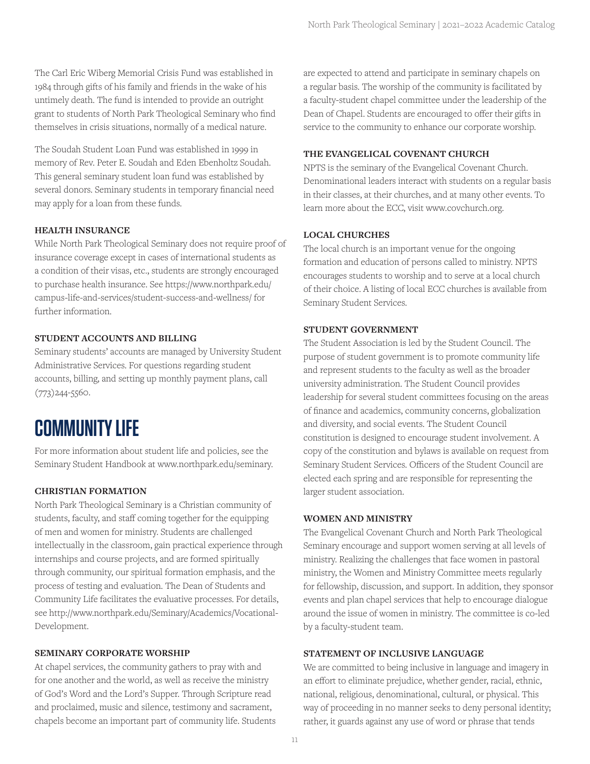The Carl Eric Wiberg Memorial Crisis Fund was established in 1984 through gifts of his family and friends in the wake of his untimely death. The fund is intended to provide an outright grant to students of North Park Theological Seminary who find themselves in crisis situations, normally of a medical nature.

The Soudah Student Loan Fund was established in 1999 in memory of Rev. Peter E. Soudah and Eden Ebenholtz Soudah. This general seminary student loan fund was established by several donors. Seminary students in temporary financial need may apply for a loan from these funds.

#### **HEALTH INSURANCE**

While North Park Theological Seminary does not require proof of insurance coverage except in cases of international students as a condition of their visas, etc., students are strongly encouraged to purchase health insurance. See https://www.northpark.edu/ campus-life-and-services/student-success-and-wellness/ for further information.

#### **STUDENT ACCOUNTS AND BILLING**

Seminary students' accounts are managed by University Student Administrative Services. For questions regarding student accounts, billing, and setting up monthly payment plans, call (773)244-5560.

## **COMMUNITY LIFE**

For more information about student life and policies, see the Seminary Student Handbook at www.northpark.edu/seminary.

#### **CHRISTIAN FORMATION**

North Park Theological Seminary is a Christian community of students, faculty, and staff coming together for the equipping of men and women for ministry. Students are challenged intellectually in the classroom, gain practical experience through internships and course projects, and are formed spiritually through community, our spiritual formation emphasis, and the process of testing and evaluation. The Dean of Students and Community Life facilitates the evaluative processes. For details, see http://www.northpark.edu/Seminary/Academics/Vocational-Development.

#### **SEMINARY CORPORATE WORSHIP**

At chapel services, the community gathers to pray with and for one another and the world, as well as receive the ministry of God's Word and the Lord's Supper. Through Scripture read and proclaimed, music and silence, testimony and sacrament, chapels become an important part of community life. Students are expected to attend and participate in seminary chapels on a regular basis. The worship of the community is facilitated by a faculty-student chapel committee under the leadership of the Dean of Chapel. Students are encouraged to offer their gifts in service to the community to enhance our corporate worship.

## **THE EVANGELICAL COVENANT CHURCH**

NPTS is the seminary of the Evangelical Covenant Church. Denominational leaders interact with students on a regular basis in their classes, at their churches, and at many other events. To learn more about the ECC, visit www.covchurch.org.

#### **LOCAL CHURCHES**

The local church is an important venue for the ongoing formation and education of persons called to ministry. NPTS encourages students to worship and to serve at a local church of their choice. A listing of local ECC churches is available from Seminary Student Services.

#### **STUDENT GOVERNMENT**

The Student Association is led by the Student Council. The purpose of student government is to promote community life and represent students to the faculty as well as the broader university administration. The Student Council provides leadership for several student committees focusing on the areas of finance and academics, community concerns, globalization and diversity, and social events. The Student Council constitution is designed to encourage student involvement. A copy of the constitution and bylaws is available on request from Seminary Student Services. Officers of the Student Council are elected each spring and are responsible for representing the larger student association.

#### **WOMEN AND MINISTRY**

The Evangelical Covenant Church and North Park Theological Seminary encourage and support women serving at all levels of ministry. Realizing the challenges that face women in pastoral ministry, the Women and Ministry Committee meets regularly for fellowship, discussion, and support. In addition, they sponsor events and plan chapel services that help to encourage dialogue around the issue of women in ministry. The committee is co-led by a faculty-student team.

#### **STATEMENT OF INCLUSIVE LANGUAGE**

We are committed to being inclusive in language and imagery in an effort to eliminate prejudice, whether gender, racial, ethnic, national, religious, denominational, cultural, or physical. This way of proceeding in no manner seeks to deny personal identity; rather, it guards against any use of word or phrase that tends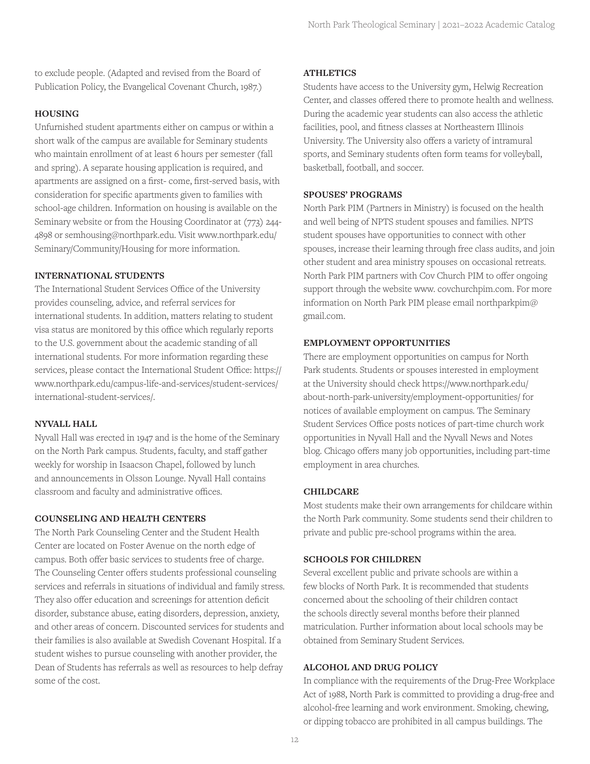to exclude people. (Adapted and revised from the Board of Publication Policy, the Evangelical Covenant Church, 1987.)

#### **HOUSING**

Unfurnished student apartments either on campus or within a short walk of the campus are available for Seminary students who maintain enrollment of at least 6 hours per semester (fall and spring). A separate housing application is required, and apartments are assigned on a first- come, first-served basis, with consideration for specific apartments given to families with school-age children. Information on housing is available on the Seminary website or from the Housing Coordinator at (773) 244- 4898 or semhousing@northpark.edu. Visit www.northpark.edu/ Seminary/Community/Housing for more information.

#### **INTERNATIONAL STUDENTS**

The International Student Services Office of the University provides counseling, advice, and referral services for international students. In addition, matters relating to student visa status are monitored by this office which regularly reports to the U.S. government about the academic standing of all international students. For more information regarding these services, please contact the International Student Office: https:// www.northpark.edu/campus-life-and-services/student-services/ international-student-services/.

#### **NYVALL HALL**

Nyvall Hall was erected in 1947 and is the home of the Seminary on the North Park campus. Students, faculty, and staff gather weekly for worship in Isaacson Chapel, followed by lunch and announcements in Olsson Lounge. Nyvall Hall contains classroom and faculty and administrative offices.

#### **COUNSELING AND HEALTH CENTERS**

The North Park Counseling Center and the Student Health Center are located on Foster Avenue on the north edge of campus. Both offer basic services to students free of charge. The Counseling Center offers students professional counseling services and referrals in situations of individual and family stress. They also offer education and screenings for attention deficit disorder, substance abuse, eating disorders, depression, anxiety, and other areas of concern. Discounted services for students and their families is also available at Swedish Covenant Hospital. If a student wishes to pursue counseling with another provider, the Dean of Students has referrals as well as resources to help defray some of the cost.

#### **ATHLETICS**

Students have access to the University gym, Helwig Recreation Center, and classes offered there to promote health and wellness. During the academic year students can also access the athletic facilities, pool, and fitness classes at Northeastern Illinois University. The University also offers a variety of intramural sports, and Seminary students often form teams for volleyball, basketball, football, and soccer.

#### **SPOUSES' PROGRAMS**

North Park PIM (Partners in Ministry) is focused on the health and well being of NPTS student spouses and families. NPTS student spouses have opportunities to connect with other spouses, increase their learning through free class audits, and join other student and area ministry spouses on occasional retreats. North Park PIM partners with Cov Church PIM to offer ongoing support through the website www. covchurchpim.com. For more information on North Park PIM please email northparkpim@ gmail.com.

#### **EMPLOYMENT OPPORTUNITIES**

There are employment opportunities on campus for North Park students. Students or spouses interested in employment at the University should check https://www.northpark.edu/ about-north-park-university/employment-opportunities/ for notices of available employment on campus. The Seminary Student Services Office posts notices of part-time church work opportunities in Nyvall Hall and the Nyvall News and Notes blog. Chicago offers many job opportunities, including part-time employment in area churches.

#### **CHILDCARE**

Most students make their own arrangements for childcare within the North Park community. Some students send their children to private and public pre-school programs within the area.

#### **SCHOOLS FOR CHILDREN**

Several excellent public and private schools are within a few blocks of North Park. It is recommended that students concerned about the schooling of their children contact the schools directly several months before their planned matriculation. Further information about local schools may be obtained from Seminary Student Services.

#### **ALCOHOL AND DRUG POLICY**

In compliance with the requirements of the Drug-Free Workplace Act of 1988, North Park is committed to providing a drug-free and alcohol-free learning and work environment. Smoking, chewing, or dipping tobacco are prohibited in all campus buildings. The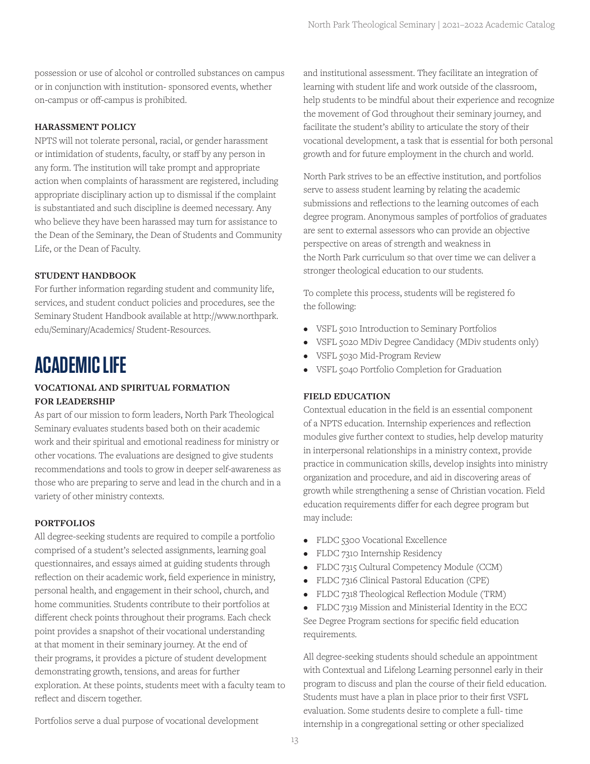possession or use of alcohol or controlled substances on campus or in conjunction with institution- sponsored events, whether on-campus or off-campus is prohibited.

## **HARASSMENT POLICY**

NPTS will not tolerate personal, racial, or gender harassment or intimidation of students, faculty, or staff by any person in any form. The institution will take prompt and appropriate action when complaints of harassment are registered, including appropriate disciplinary action up to dismissal if the complaint is substantiated and such discipline is deemed necessary. Any who believe they have been harassed may turn for assistance to the Dean of the Seminary, the Dean of Students and Community Life, or the Dean of Faculty.

## **STUDENT HANDBOOK**

For further information regarding student and community life, services, and student conduct policies and procedures, see the Seminary Student Handbook available at http://www.northpark. edu/Seminary/Academics/ Student-Resources.

## **ACADEMIC LIFE**

## **VOCATIONAL AND SPIRITUAL FORMATION FOR LEADERSHIP**

As part of our mission to form leaders, North Park Theological Seminary evaluates students based both on their academic work and their spiritual and emotional readiness for ministry or other vocations. The evaluations are designed to give students recommendations and tools to grow in deeper self-awareness as those who are preparing to serve and lead in the church and in a variety of other ministry contexts.

## **PORTFOLIOS**

All degree-seeking students are required to compile a portfolio comprised of a student's selected assignments, learning goal questionnaires, and essays aimed at guiding students through reflection on their academic work, field experience in ministry, personal health, and engagement in their school, church, and home communities. Students contribute to their portfolios at different check points throughout their programs. Each check point provides a snapshot of their vocational understanding at that moment in their seminary journey. At the end of their programs, it provides a picture of student development demonstrating growth, tensions, and areas for further exploration. At these points, students meet with a faculty team to reflect and discern together.

and institutional assessment. They facilitate an integration of learning with student life and work outside of the classroom, help students to be mindful about their experience and recognize the movement of God throughout their seminary journey, and facilitate the student's ability to articulate the story of their vocational development, a task that is essential for both personal growth and for future employment in the church and world.

North Park strives to be an effective institution, and portfolios serve to assess student learning by relating the academic submissions and reflections to the learning outcomes of each degree program. Anonymous samples of portfolios of graduates are sent to external assessors who can provide an objective perspective on areas of strength and weakness in the North Park curriculum so that over time we can deliver a stronger theological education to our students.

To complete this process, students will be registered fo the following:

- VSFL 5010 Introduction to Seminary Portfolios
- VSFL 5020 MDiv Degree Candidacy (MDiv students only)
- VSFL 5030 Mid-Program Review
- VSFL 5040 Portfolio Completion for Graduation

## **FIELD EDUCATION**

Contextual education in the field is an essential component of a NPTS education. Internship experiences and reflection modules give further context to studies, help develop maturity in interpersonal relationships in a ministry context, provide practice in communication skills, develop insights into ministry organization and procedure, and aid in discovering areas of growth while strengthening a sense of Christian vocation. Field education requirements differ for each degree program but may include:

- FLDC 5300 Vocational Excellence
- FLDC 7310 Internship Residency
- FLDC 7315 Cultural Competency Module (CCM)
- FLDC 7316 Clinical Pastoral Education (CPE)
- FLDC 7318 Theological Reflection Module (TRM)
- FLDC 7319 Mission and Ministerial Identity in the ECC See Degree Program sections for specific field education requirements.

All degree-seeking students should schedule an appointment with Contextual and Lifelong Learning personnel early in their program to discuss and plan the course of their field education. Students must have a plan in place prior to their first VSFL evaluation. Some students desire to complete a full- time internship in a congregational setting or other specialized

Portfolios serve a dual purpose of vocational development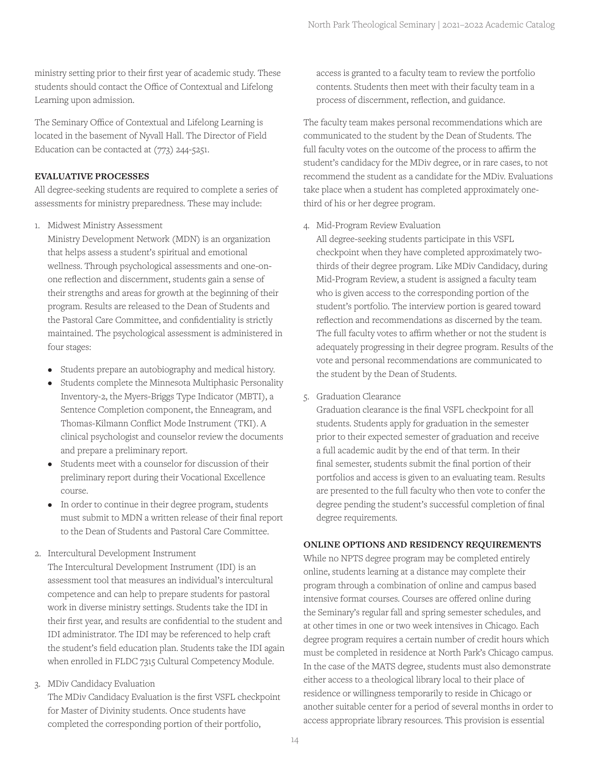ministry setting prior to their first year of academic study. These students should contact the Office of Contextual and Lifelong Learning upon admission.

The Seminary Office of Contextual and Lifelong Learning is located in the basement of Nyvall Hall. The Director of Field Education can be contacted at (773) 244-5251.

#### **EVALUATIVE PROCESSES**

All degree-seeking students are required to complete a series of assessments for ministry preparedness. These may include:

1. Midwest Ministry Assessment

Ministry Development Network (MDN) is an organization that helps assess a student's spiritual and emotional wellness. Through psychological assessments and one-onone reflection and discernment, students gain a sense of their strengths and areas for growth at the beginning of their program. Results are released to the Dean of Students and the Pastoral Care Committee, and confidentiality is strictly maintained. The psychological assessment is administered in four stages:

- Students prepare an autobiography and medical history.
- Students complete the Minnesota Multiphasic Personality Inventory-2, the Myers-Briggs Type Indicator (MBTI), a Sentence Completion component, the Enneagram, and Thomas-Kilmann Conflict Mode Instrument (TKI). A clinical psychologist and counselor review the documents and prepare a preliminary report.
- Students meet with a counselor for discussion of their preliminary report during their Vocational Excellence course.
- In order to continue in their degree program, students must submit to MDN a written release of their final report to the Dean of Students and Pastoral Care Committee.
- 2. Intercultural Development Instrument

The Intercultural Development Instrument (IDI) is an assessment tool that measures an individual's intercultural competence and can help to prepare students for pastoral work in diverse ministry settings. Students take the IDI in their first year, and results are confidential to the student and IDI administrator. The IDI may be referenced to help craft the student's field education plan. Students take the IDI again when enrolled in FLDC 7315 Cultural Competency Module.

3. MDiv Candidacy Evaluation

The MDiv Candidacy Evaluation is the first VSFL checkpoint for Master of Divinity students. Once students have completed the corresponding portion of their portfolio,

access is granted to a faculty team to review the portfolio contents. Students then meet with their faculty team in a process of discernment, reflection, and guidance.

The faculty team makes personal recommendations which are communicated to the student by the Dean of Students. The full faculty votes on the outcome of the process to affirm the student's candidacy for the MDiv degree, or in rare cases, to not recommend the student as a candidate for the MDiv. Evaluations take place when a student has completed approximately onethird of his or her degree program.

4. Mid-Program Review Evaluation

All degree-seeking students participate in this VSFL checkpoint when they have completed approximately twothirds of their degree program. Like MDiv Candidacy, during Mid-Program Review, a student is assigned a faculty team who is given access to the corresponding portion of the student's portfolio. The interview portion is geared toward reflection and recommendations as discerned by the team. The full faculty votes to affirm whether or not the student is adequately progressing in their degree program. Results of the vote and personal recommendations are communicated to the student by the Dean of Students.

5. Graduation Clearance

Graduation clearance is the final VSFL checkpoint for all students. Students apply for graduation in the semester prior to their expected semester of graduation and receive a full academic audit by the end of that term. In their final semester, students submit the final portion of their portfolios and access is given to an evaluating team. Results are presented to the full faculty who then vote to confer the degree pending the student's successful completion of final degree requirements.

## **ONLINE OPTIONS AND RESIDENCY REQUIREMENTS**

While no NPTS degree program may be completed entirely online, students learning at a distance may complete their program through a combination of online and campus based intensive format courses. Courses are offered online during the Seminary's regular fall and spring semester schedules, and at other times in one or two week intensives in Chicago. Each degree program requires a certain number of credit hours which must be completed in residence at North Park's Chicago campus. In the case of the MATS degree, students must also demonstrate either access to a theological library local to their place of residence or willingness temporarily to reside in Chicago or another suitable center for a period of several months in order to access appropriate library resources. This provision is essential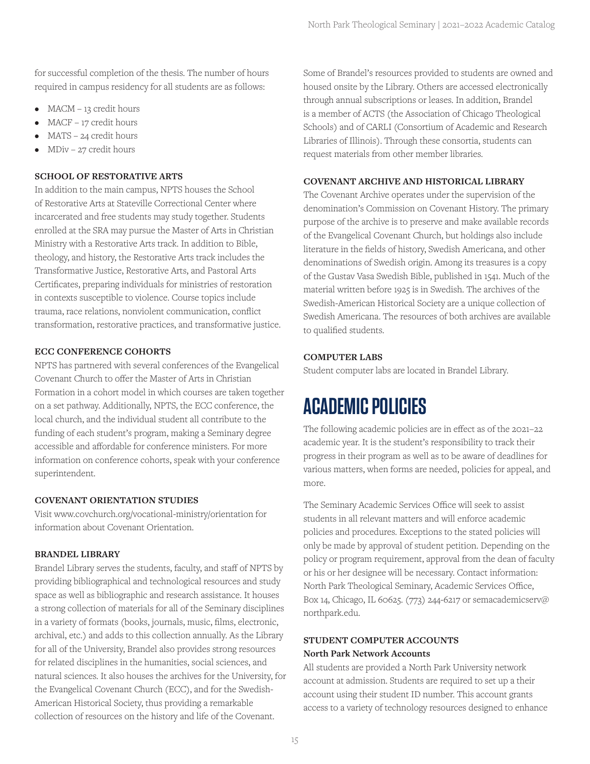for successful completion of the thesis. The number of hours required in campus residency for all students are as follows:

- MACM 13 credit hours
- MACF 17 credit hours
- MATS 24 credit hours
- MDiv 27 credit hours

#### **SCHOOL OF RESTORATIVE ARTS**

In addition to the main campus, NPTS houses the School of Restorative Arts at Stateville Correctional Center where incarcerated and free students may study together. Students enrolled at the SRA may pursue the Master of Arts in Christian Ministry with a Restorative Arts track. In addition to Bible, theology, and history, the Restorative Arts track includes the Transformative Justice, Restorative Arts, and Pastoral Arts Certificates, preparing individuals for ministries of restoration in contexts susceptible to violence. Course topics include trauma, race relations, nonviolent communication, conflict transformation, restorative practices, and transformative justice.

#### **ECC CONFERENCE COHORTS**

NPTS has partnered with several conferences of the Evangelical Covenant Church to offer the Master of Arts in Christian Formation in a cohort model in which courses are taken together on a set pathway. Additionally, NPTS, the ECC conference, the local church, and the individual student all contribute to the funding of each student's program, making a Seminary degree accessible and affordable for conference ministers. For more information on conference cohorts, speak with your conference superintendent.

#### **COVENANT ORIENTATION STUDIES**

Visit www.covchurch.org/vocational-ministry/orientation for information about Covenant Orientation.

## **BRANDEL LIBRARY**

Brandel Library serves the students, faculty, and staff of NPTS by providing bibliographical and technological resources and study space as well as bibliographic and research assistance. It houses a strong collection of materials for all of the Seminary disciplines in a variety of formats (books, journals, music, films, electronic, archival, etc.) and adds to this collection annually. As the Library for all of the University, Brandel also provides strong resources for related disciplines in the humanities, social sciences, and natural sciences. It also houses the archives for the University, for the Evangelical Covenant Church (ECC), and for the Swedish-American Historical Society, thus providing a remarkable collection of resources on the history and life of the Covenant.

Some of Brandel's resources provided to students are owned and housed onsite by the Library. Others are accessed electronically through annual subscriptions or leases. In addition, Brandel is a member of ACTS (the Association of Chicago Theological Schools) and of CARLI (Consortium of Academic and Research Libraries of Illinois). Through these consortia, students can request materials from other member libraries.

## **COVENANT ARCHIVE AND HISTORICAL LIBRARY**

The Covenant Archive operates under the supervision of the denomination's Commission on Covenant History. The primary purpose of the archive is to preserve and make available records of the Evangelical Covenant Church, but holdings also include literature in the fields of history, Swedish Americana, and other denominations of Swedish origin. Among its treasures is a copy of the Gustav Vasa Swedish Bible, published in 1541. Much of the material written before 1925 is in Swedish. The archives of the Swedish-American Historical Society are a unique collection of Swedish Americana. The resources of both archives are available to qualified students.

## **COMPUTER LABS**

Student computer labs are located in Brandel Library.

## **ACADEMIC POLICIES**

The following academic policies are in effect as of the 2021–22 academic year. It is the student's responsibility to track their progress in their program as well as to be aware of deadlines for various matters, when forms are needed, policies for appeal, and more.

The Seminary Academic Services Office will seek to assist students in all relevant matters and will enforce academic policies and procedures. Exceptions to the stated policies will only be made by approval of student petition. Depending on the policy or program requirement, approval from the dean of faculty or his or her designee will be necessary. Contact information: North Park Theological Seminary, Academic Services Office, Box 14, Chicago, IL 60625. (773) 244-6217 or semacademicserv@ northpark.edu.

## **STUDENT COMPUTER ACCOUNTS North Park Network Accounts**

All students are provided a North Park University network account at admission. Students are required to set up a their account using their student ID number. This account grants access to a variety of technology resources designed to enhance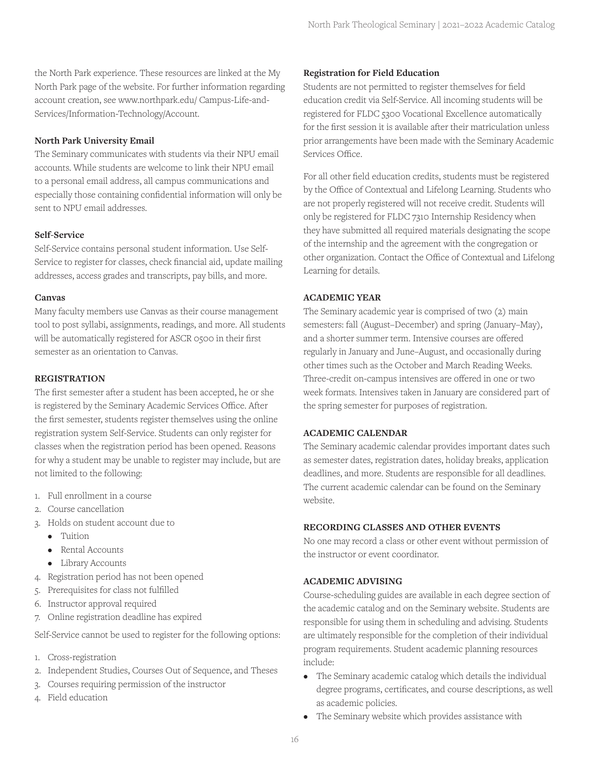the North Park experience. These resources are linked at the My North Park page of the website. For further information regarding account creation, see www.northpark.edu/ Campus-Life-and-Services/Information-Technology/Account.

#### **North Park University Email**

The Seminary communicates with students via their NPU email accounts. While students are welcome to link their NPU email to a personal email address, all campus communications and especially those containing confidential information will only be sent to NPU email addresses.

#### **Self-Service**

Self-Service contains personal student information. Use Self-Service to register for classes, check financial aid, update mailing addresses, access grades and transcripts, pay bills, and more.

#### **Canvas**

Many faculty members use Canvas as their course management tool to post syllabi, assignments, readings, and more. All students will be automatically registered for ASCR 0500 in their first semester as an orientation to Canvas.

#### **REGISTRATION**

The first semester after a student has been accepted, he or she is registered by the Seminary Academic Services Office. After the first semester, students register themselves using the online registration system Self-Service. Students can only register for classes when the registration period has been opened. Reasons for why a student may be unable to register may include, but are not limited to the following:

- 1. Full enrollment in a course
- 2. Course cancellation
- 3. Holds on student account due to
	- Tuition
	- Rental Accounts
	- Library Accounts
- 4. Registration period has not been opened
- 5. Prerequisites for class not fulfilled
- 6. Instructor approval required
- 7. Online registration deadline has expired

Self-Service cannot be used to register for the following options:

- 1. Cross-registration
- 2. Independent Studies, Courses Out of Sequence, and Theses
- 3. Courses requiring permission of the instructor
- 4. Field education

#### **Registration for Field Education**

Students are not permitted to register themselves for field education credit via Self-Service. All incoming students will be registered for FLDC 5300 Vocational Excellence automatically for the first session it is available after their matriculation unless prior arrangements have been made with the Seminary Academic Services Office.

For all other field education credits, students must be registered by the Office of Contextual and Lifelong Learning. Students who are not properly registered will not receive credit. Students will only be registered for FLDC 7310 Internship Residency when they have submitted all required materials designating the scope of the internship and the agreement with the congregation or other organization. Contact the Office of Contextual and Lifelong Learning for details.

#### **ACADEMIC YEAR**

The Seminary academic year is comprised of two (2) main semesters: fall (August–December) and spring (January–May), and a shorter summer term. Intensive courses are offered regularly in January and June–August, and occasionally during other times such as the October and March Reading Weeks. Three-credit on-campus intensives are offered in one or two week formats. Intensives taken in January are considered part of the spring semester for purposes of registration.

#### **ACADEMIC CALENDAR**

The Seminary academic calendar provides important dates such as semester dates, registration dates, holiday breaks, application deadlines, and more. Students are responsible for all deadlines. The current academic calendar can be found on the Seminary website.

#### **RECORDING CLASSES AND OTHER EVENTS**

No one may record a class or other event without permission of the instructor or event coordinator.

#### **ACADEMIC ADVISING**

Course-scheduling guides are available in each degree section of the academic catalog and on the Seminary website. Students are responsible for using them in scheduling and advising. Students are ultimately responsible for the completion of their individual program requirements. Student academic planning resources include:

- The Seminary academic catalog which details the individual degree programs, certificates, and course descriptions, as well as academic policies.
- The Seminary website which provides assistance with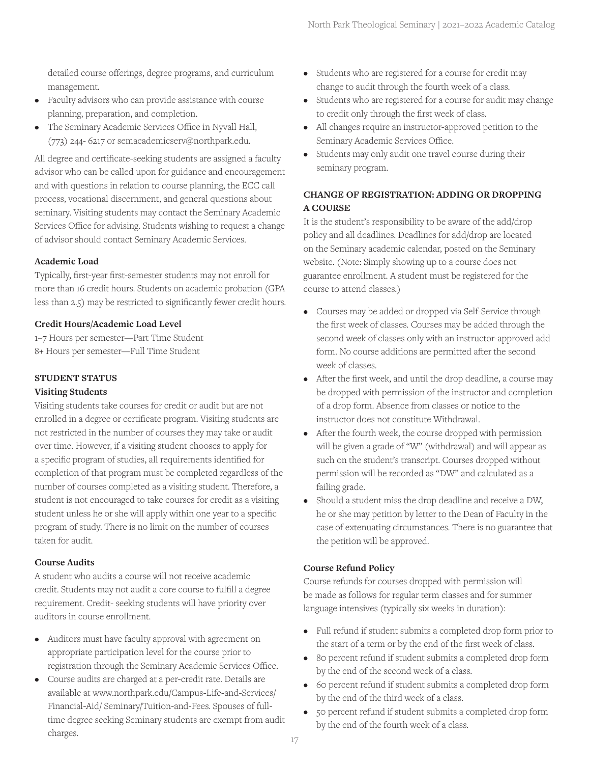detailed course offerings, degree programs, and curriculum management.

- Faculty advisors who can provide assistance with course planning, preparation, and completion.
- The Seminary Academic Services Office in Nyvall Hall, (773) 244- 6217 or semacademicserv@northpark.edu.

All degree and certificate-seeking students are assigned a faculty advisor who can be called upon for guidance and encouragement and with questions in relation to course planning, the ECC call process, vocational discernment, and general questions about seminary. Visiting students may contact the Seminary Academic Services Office for advising. Students wishing to request a change of advisor should contact Seminary Academic Services.

## **Academic Load**

Typically, first-year first-semester students may not enroll for more than 16 credit hours. Students on academic probation (GPA less than 2.5) may be restricted to significantly fewer credit hours.

## **Credit Hours/Academic Load Level**

1–7 Hours per semester—Part Time Student 8+ Hours per semester—Full Time Student

## **STUDENT STATUS**

#### **Visiting Students**

Visiting students take courses for credit or audit but are not enrolled in a degree or certificate program. Visiting students are not restricted in the number of courses they may take or audit over time. However, if a visiting student chooses to apply for a specific program of studies, all requirements identified for completion of that program must be completed regardless of the number of courses completed as a visiting student. Therefore, a student is not encouraged to take courses for credit as a visiting student unless he or she will apply within one year to a specific program of study. There is no limit on the number of courses taken for audit.

## **Course Audits**

A student who audits a course will not receive academic credit. Students may not audit a core course to fulfill a degree requirement. Credit- seeking students will have priority over auditors in course enrollment.

- Auditors must have faculty approval with agreement on appropriate participation level for the course prior to registration through the Seminary Academic Services Office.
- Course audits are charged at a per-credit rate. Details are available at www.northpark.edu/Campus-Life-and-Services/ Financial-Aid/ Seminary/Tuition-and-Fees. Spouses of fulltime degree seeking Seminary students are exempt from audit charges.
- Students who are registered for a course for credit may change to audit through the fourth week of a class.
- Students who are registered for a course for audit may change to credit only through the first week of class.
- All changes require an instructor-approved petition to the Seminary Academic Services Office.
- Students may only audit one travel course during their seminary program.

## **CHANGE OF REGISTRATION: ADDING OR DROPPING A COURSE**

It is the student's responsibility to be aware of the add/drop policy and all deadlines. Deadlines for add/drop are located on the Seminary academic calendar, posted on the Seminary website. (Note: Simply showing up to a course does not guarantee enrollment. A student must be registered for the course to attend classes.)

- Courses may be added or dropped via Self-Service through the first week of classes. Courses may be added through the second week of classes only with an instructor-approved add form. No course additions are permitted after the second week of classes.
- After the first week, and until the drop deadline, a course may be dropped with permission of the instructor and completion of a drop form. Absence from classes or notice to the instructor does not constitute Withdrawal.
- After the fourth week, the course dropped with permission will be given a grade of "W" (withdrawal) and will appear as such on the student's transcript. Courses dropped without permission will be recorded as "DW" and calculated as a failing grade.
- Should a student miss the drop deadline and receive a DW, he or she may petition by letter to the Dean of Faculty in the case of extenuating circumstances. There is no guarantee that the petition will be approved.

## **Course Refund Policy**

Course refunds for courses dropped with permission will be made as follows for regular term classes and for summer language intensives (typically six weeks in duration):

- Full refund if student submits a completed drop form prior to the start of a term or by the end of the first week of class.
- 80 percent refund if student submits a completed drop form by the end of the second week of a class.
- 60 percent refund if student submits a completed drop form by the end of the third week of a class.
- 50 percent refund if student submits a completed drop form by the end of the fourth week of a class.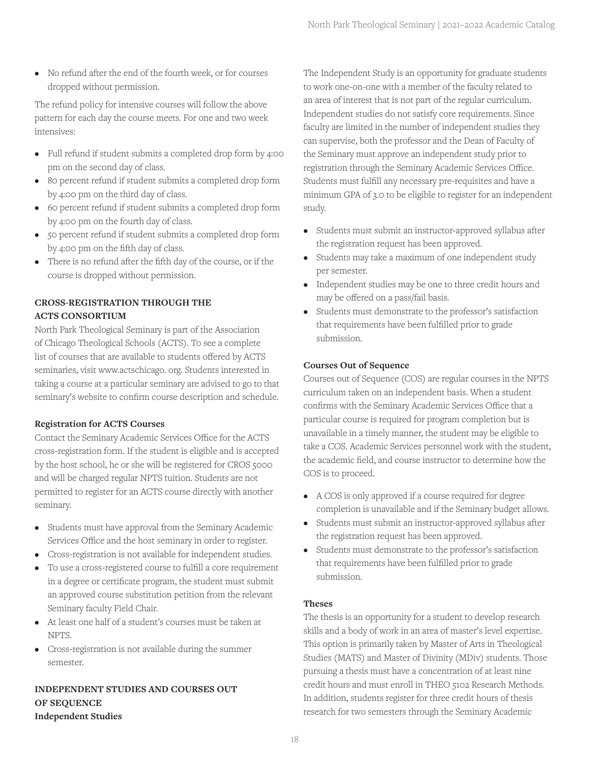• No refund after the end of the fourth week, or for courses dropped without permission.

The refund policy for intensive courses will follow the above pattern for each day the course meets. For one and two week intensives:

- Full refund if student submits a completed drop form by 4:00 pm on the second day of class.
- 80 percent refund if student submits a completed drop form by 4:00 pm on the third day of class.
- 60 percent refund if student submits a completed drop form by 4:00 pm on the fourth day of class.
- 50 percent refund if student submits a completed drop form by 4:00 pm on the fifth day of class.
- There is no refund after the fifth day of the course, or if the course is dropped without permission.

## **CROSS-REGISTRATION THROUGH THE ACTS CONSORTIUM**

North Park Theological Seminary is part of the Association of Chicago Theological Schools (ACTS). To see a complete list of courses that are available to students offered by ACTS seminaries, visit www.actschicago. org. Students interested in taking a course at a particular seminary are advised to go to that seminary's website to confirm course description and schedule.

## **Registration for ACTS Courses**

Contact the Seminary Academic Services Office for the ACTS cross-registration form. If the student is eligible and is accepted by the host school, he or she will be registered for CROS 5000 and will be charged regular NPTS tuition. Students are not permitted to register for an ACTS course directly with another seminary.

- Students must have approval from the Seminary Academic Services Office and the host seminary in order to register.
- Cross-registration is not available for independent studies.
- To use a cross-registered course to fulfill a core requirement in a degree or certificate program, the student must submit an approved course substitution petition from the relevant Seminary faculty Field Chair.
- At least one half of a student's courses must be taken at NPTS.
- Cross-registration is not available during the summer semester.

## **INDEPENDENT STUDIES AND COURSES OUT OF SEQUENCE Independent Studies**

The Independent Study is an opportunity for graduate students to work one-on-one with a member of the faculty related to an area of interest that is not part of the regular curriculum. Independent studies do not satisfy core requirements. Since faculty are limited in the number of independent studies they can supervise, both the professor and the Dean of Faculty of the Seminary must approve an independent study prior to registration through the Seminary Academic Services Office. Students must fulfill any necessary pre-requisites and have a minimum GPA of 3.0 to be eligible to register for an independent study.

- Students must submit an instructor-approved syllabus after the registration request has been approved.
- Students may take a maximum of one independent study per semester.
- Independent studies may be one to three credit hours and may be offered on a pass/fail basis.
- Students must demonstrate to the professor's satisfaction that requirements have been fulfilled prior to grade submission.

## **Courses Out of Sequence**

Courses out of Sequence (COS) are regular courses in the NPTS curriculum taken on an independent basis. When a student confirms with the Seminary Academic Services Office that a particular course is required for program completion but is unavailable in a timely manner, the student may be eligible to take a COS. Academic Services personnel work with the student, the academic field, and course instructor to determine how the COS is to proceed.

- A COS is only approved if a course required for degree completion is unavailable and if the Seminary budget allows.
- Students must submit an instructor-approved syllabus after the registration request has been approved.
- Students must demonstrate to the professor's satisfaction that requirements have been fulfilled prior to grade submission.

## **Theses**

The thesis is an opportunity for a student to develop research skills and a body of work in an area of master's level expertise. This option is primarily taken by Master of Arts in Theological Studies (MATS) and Master of Divinity (MDiv) students. Those pursuing a thesis must have a concentration of at least nine credit hours and must enroll in THEO 5102 Research Methods. In addition, students register for three credit hours of thesis research for two semesters through the Seminary Academic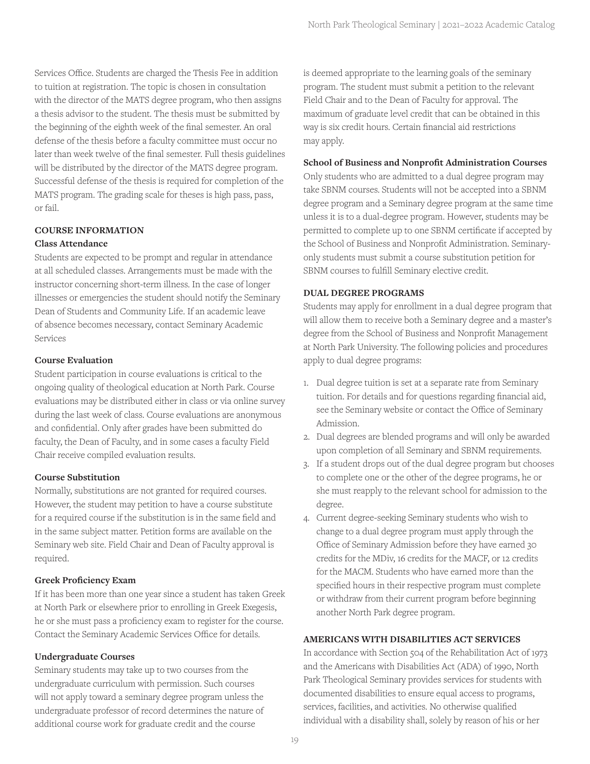Services Office. Students are charged the Thesis Fee in addition to tuition at registration. The topic is chosen in consultation with the director of the MATS degree program, who then assigns a thesis advisor to the student. The thesis must be submitted by the beginning of the eighth week of the final semester. An oral defense of the thesis before a faculty committee must occur no later than week twelve of the final semester. Full thesis guidelines will be distributed by the director of the MATS degree program. Successful defense of the thesis is required for completion of the MATS program. The grading scale for theses is high pass, pass, or fail.

## **COURSE INFORMATION**

## **Class Attendance**

Students are expected to be prompt and regular in attendance at all scheduled classes. Arrangements must be made with the instructor concerning short-term illness. In the case of longer illnesses or emergencies the student should notify the Seminary Dean of Students and Community Life. If an academic leave of absence becomes necessary, contact Seminary Academic Services

#### **Course Evaluation**

Student participation in course evaluations is critical to the ongoing quality of theological education at North Park. Course evaluations may be distributed either in class or via online survey during the last week of class. Course evaluations are anonymous and confidential. Only after grades have been submitted do faculty, the Dean of Faculty, and in some cases a faculty Field Chair receive compiled evaluation results.

#### **Course Substitution**

Normally, substitutions are not granted for required courses. However, the student may petition to have a course substitute for a required course if the substitution is in the same field and in the same subject matter. Petition forms are available on the Seminary web site. Field Chair and Dean of Faculty approval is required.

#### **Greek Proficiency Exam**

If it has been more than one year since a student has taken Greek at North Park or elsewhere prior to enrolling in Greek Exegesis, he or she must pass a proficiency exam to register for the course. Contact the Seminary Academic Services Office for details.

#### **Undergraduate Courses**

Seminary students may take up to two courses from the undergraduate curriculum with permission. Such courses will not apply toward a seminary degree program unless the undergraduate professor of record determines the nature of additional course work for graduate credit and the course

is deemed appropriate to the learning goals of the seminary program. The student must submit a petition to the relevant Field Chair and to the Dean of Faculty for approval. The maximum of graduate level credit that can be obtained in this way is six credit hours. Certain financial aid restrictions may apply.

#### **School of Business and Nonprofit Administration Courses**

Only students who are admitted to a dual degree program may take SBNM courses. Students will not be accepted into a SBNM degree program and a Seminary degree program at the same time unless it is to a dual-degree program. However, students may be permitted to complete up to one SBNM certificate if accepted by the School of Business and Nonprofit Administration. Seminaryonly students must submit a course substitution petition for SBNM courses to fulfill Seminary elective credit.

#### **DUAL DEGREE PROGRAMS**

Students may apply for enrollment in a dual degree program that will allow them to receive both a Seminary degree and a master's degree from the School of Business and Nonprofit Management at North Park University. The following policies and procedures apply to dual degree programs:

- 1. Dual degree tuition is set at a separate rate from Seminary tuition. For details and for questions regarding financial aid, see the Seminary website or contact the Office of Seminary Admission.
- 2. Dual degrees are blended programs and will only be awarded upon completion of all Seminary and SBNM requirements.
- 3. If a student drops out of the dual degree program but chooses to complete one or the other of the degree programs, he or she must reapply to the relevant school for admission to the degree.
- 4. Current degree-seeking Seminary students who wish to change to a dual degree program must apply through the Office of Seminary Admission before they have earned 30 credits for the MDiv, 16 credits for the MACF, or 12 credits for the MACM. Students who have earned more than the specified hours in their respective program must complete or withdraw from their current program before beginning another North Park degree program.

#### **AMERICANS WITH DISABILITIES ACT SERVICES**

In accordance with Section 504 of the Rehabilitation Act of 1973 and the Americans with Disabilities Act (ADA) of 1990, North Park Theological Seminary provides services for students with documented disabilities to ensure equal access to programs, services, facilities, and activities. No otherwise qualified individual with a disability shall, solely by reason of his or her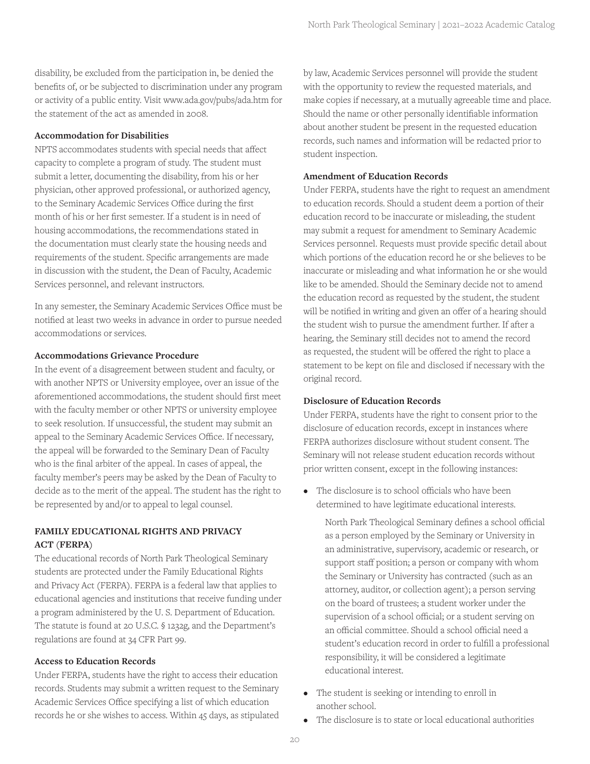disability, be excluded from the participation in, be denied the benefits of, or be subjected to discrimination under any program or activity of a public entity. Visit www.ada.gov/pubs/ada.htm for the statement of the act as amended in 2008.

#### **Accommodation for Disabilities**

NPTS accommodates students with special needs that affect capacity to complete a program of study. The student must submit a letter, documenting the disability, from his or her physician, other approved professional, or authorized agency, to the Seminary Academic Services Office during the first month of his or her first semester. If a student is in need of housing accommodations, the recommendations stated in the documentation must clearly state the housing needs and requirements of the student. Specific arrangements are made in discussion with the student, the Dean of Faculty, Academic Services personnel, and relevant instructors.

In any semester, the Seminary Academic Services Office must be notified at least two weeks in advance in order to pursue needed accommodations or services.

## **Accommodations Grievance Procedure**

In the event of a disagreement between student and faculty, or with another NPTS or University employee, over an issue of the aforementioned accommodations, the student should first meet with the faculty member or other NPTS or university employee to seek resolution. If unsuccessful, the student may submit an appeal to the Seminary Academic Services Office. If necessary, the appeal will be forwarded to the Seminary Dean of Faculty who is the final arbiter of the appeal. In cases of appeal, the faculty member's peers may be asked by the Dean of Faculty to decide as to the merit of the appeal. The student has the right to be represented by and/or to appeal to legal counsel.

## **FAMILY EDUCATIONAL RIGHTS AND PRIVACY ACT (FERPA)**

The educational records of North Park Theological Seminary students are protected under the Family Educational Rights and Privacy Act (FERPA). FERPA is a federal law that applies to educational agencies and institutions that receive funding under a program administered by the U. S. Department of Education. The statute is found at 20 U.S.C. § 1232g, and the Department's regulations are found at 34 CFR Part 99.

#### **Access to Education Records**

Under FERPA, students have the right to access their education records. Students may submit a written request to the Seminary Academic Services Office specifying a list of which education records he or she wishes to access. Within 45 days, as stipulated

by law, Academic Services personnel will provide the student with the opportunity to review the requested materials, and make copies if necessary, at a mutually agreeable time and place. Should the name or other personally identifiable information about another student be present in the requested education records, such names and information will be redacted prior to student inspection.

#### **Amendment of Education Records**

Under FERPA, students have the right to request an amendment to education records. Should a student deem a portion of their education record to be inaccurate or misleading, the student may submit a request for amendment to Seminary Academic Services personnel. Requests must provide specific detail about which portions of the education record he or she believes to be inaccurate or misleading and what information he or she would like to be amended. Should the Seminary decide not to amend the education record as requested by the student, the student will be notified in writing and given an offer of a hearing should the student wish to pursue the amendment further. If after a hearing, the Seminary still decides not to amend the record as requested, the student will be offered the right to place a statement to be kept on file and disclosed if necessary with the original record.

#### **Disclosure of Education Records**

Under FERPA, students have the right to consent prior to the disclosure of education records, except in instances where FERPA authorizes disclosure without student consent. The Seminary will not release student education records without prior written consent, except in the following instances:

• The disclosure is to school officials who have been determined to have legitimate educational interests.

North Park Theological Seminary defines a school official as a person employed by the Seminary or University in an administrative, supervisory, academic or research, or support staff position; a person or company with whom the Seminary or University has contracted (such as an attorney, auditor, or collection agent); a person serving on the board of trustees; a student worker under the supervision of a school official; or a student serving on an official committee. Should a school official need a student's education record in order to fulfill a professional responsibility, it will be considered a legitimate educational interest.

- The student is seeking or intending to enroll in another school.
- The disclosure is to state or local educational authorities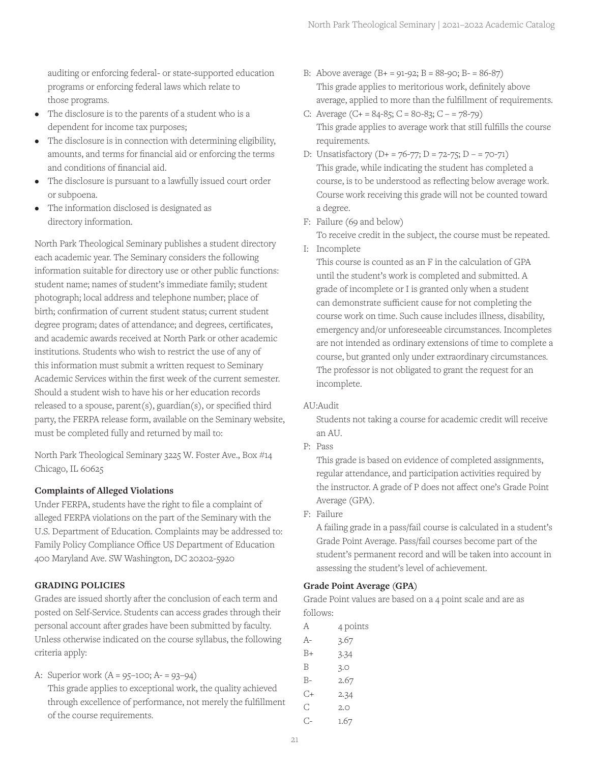auditing or enforcing federal- or state-supported education programs or enforcing federal laws which relate to those programs.

- The disclosure is to the parents of a student who is a dependent for income tax purposes;
- The disclosure is in connection with determining eligibility, amounts, and terms for financial aid or enforcing the terms and conditions of financial aid.
- The disclosure is pursuant to a lawfully issued court order or subpoena.
- The information disclosed is designated as directory information.

North Park Theological Seminary publishes a student directory each academic year. The Seminary considers the following information suitable for directory use or other public functions: student name; names of student's immediate family; student photograph; local address and telephone number; place of birth; confirmation of current student status; current student degree program; dates of attendance; and degrees, certificates, and academic awards received at North Park or other academic institutions. Students who wish to restrict the use of any of this information must submit a written request to Seminary Academic Services within the first week of the current semester. Should a student wish to have his or her education records released to a spouse, parent(s), guardian(s), or specified third party, the FERPA release form, available on the Seminary website, must be completed fully and returned by mail to:

North Park Theological Seminary 3225 W. Foster Ave., Box #14 Chicago, IL 60625

## **Complaints of Alleged Violations**

Under FERPA, students have the right to file a complaint of alleged FERPA violations on the part of the Seminary with the U.S. Department of Education. Complaints may be addressed to: Family Policy Compliance Office US Department of Education 400 Maryland Ave. SW Washington, DC 20202-5920

#### **GRADING POLICIES**

Grades are issued shortly after the conclusion of each term and posted on Self-Service. Students can access grades through their personal account after grades have been submitted by faculty. Unless otherwise indicated on the course syllabus, the following criteria apply:

A: Superior work (A = 95–100; A- = 93–94)

This grade applies to exceptional work, the quality achieved through excellence of performance, not merely the fulfillment of the course requirements.

- B: Above average  $(B + 91-92; B = 88-90; B 86-87)$ This grade applies to meritorious work, definitely above average, applied to more than the fulfillment of requirements.
- C: Average  $(C + 84-85; C = 80-83; C = 78-79)$ This grade applies to average work that still fulfills the course requirements.
- D: Unsatisfactory  $(D+ = 76-77; D = 72-75; D = 70-71)$ This grade, while indicating the student has completed a course, is to be understood as reflecting below average work. Course work receiving this grade will not be counted toward a degree.
- F: Failure (69 and below)

To receive credit in the subject, the course must be repeated.

I: Incomplete

This course is counted as an F in the calculation of GPA until the student's work is completed and submitted. A grade of incomplete or I is granted only when a student can demonstrate sufficient cause for not completing the course work on time. Such cause includes illness, disability, emergency and/or unforeseeable circumstances. Incompletes are not intended as ordinary extensions of time to complete a course, but granted only under extraordinary circumstances. The professor is not obligated to grant the request for an incomplete.

#### AU:Audit

Students not taking a course for academic credit will receive an AU.

P: Pass

This grade is based on evidence of completed assignments, regular attendance, and participation activities required by the instructor. A grade of P does not affect one's Grade Point Average (GPA).

F: Failure

A failing grade in a pass/fail course is calculated in a student's Grade Point Average. Pass/fail courses become part of the student's permanent record and will be taken into account in assessing the student's level of achievement.

#### **Grade Point Average (GPA)**

Grade Point values are based on a 4 point scale and are as follows:

- A 4 points A- 3.67 B+ 3.34
- B 3.0
- B- 2.67
- C+ 2.34
- C 2.0
- C- 1.67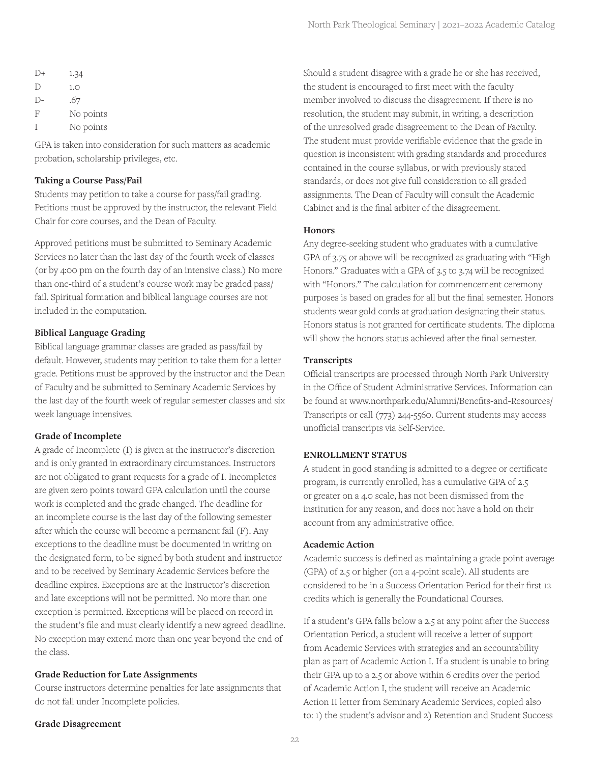| $D+$ | 1.34      |
|------|-----------|
| D    | 1.0       |
| $D-$ | .67       |
| F    | No points |
| T    | No points |

GPA is taken into consideration for such matters as academic probation, scholarship privileges, etc.

## **Taking a Course Pass/Fail**

Students may petition to take a course for pass/fail grading. Petitions must be approved by the instructor, the relevant Field Chair for core courses, and the Dean of Faculty.

Approved petitions must be submitted to Seminary Academic Services no later than the last day of the fourth week of classes (or by 4:00 pm on the fourth day of an intensive class.) No more than one-third of a student's course work may be graded pass/ fail. Spiritual formation and biblical language courses are not included in the computation.

## **Biblical Language Grading**

Biblical language grammar classes are graded as pass/fail by default. However, students may petition to take them for a letter grade. Petitions must be approved by the instructor and the Dean of Faculty and be submitted to Seminary Academic Services by the last day of the fourth week of regular semester classes and six week language intensives.

## **Grade of Incomplete**

A grade of Incomplete (I) is given at the instructor's discretion and is only granted in extraordinary circumstances. Instructors are not obligated to grant requests for a grade of I. Incompletes are given zero points toward GPA calculation until the course work is completed and the grade changed. The deadline for an incomplete course is the last day of the following semester after which the course will become a permanent fail (F). Any exceptions to the deadline must be documented in writing on the designated form, to be signed by both student and instructor and to be received by Seminary Academic Services before the deadline expires. Exceptions are at the Instructor's discretion and late exceptions will not be permitted. No more than one exception is permitted. Exceptions will be placed on record in the student's file and must clearly identify a new agreed deadline. No exception may extend more than one year beyond the end of the class.

#### **Grade Reduction for Late Assignments**

Course instructors determine penalties for late assignments that do not fall under Incomplete policies.

**Grade Disagreement**

Should a student disagree with a grade he or she has received, the student is encouraged to first meet with the faculty member involved to discuss the disagreement. If there is no resolution, the student may submit, in writing, a description of the unresolved grade disagreement to the Dean of Faculty. The student must provide verifiable evidence that the grade in question is inconsistent with grading standards and procedures contained in the course syllabus, or with previously stated standards, or does not give full consideration to all graded assignments. The Dean of Faculty will consult the Academic Cabinet and is the final arbiter of the disagreement.

## **Honors**

Any degree-seeking student who graduates with a cumulative GPA of 3.75 or above will be recognized as graduating with "High Honors." Graduates with a GPA of 3.5 to 3.74 will be recognized with "Honors." The calculation for commencement ceremony purposes is based on grades for all but the final semester. Honors students wear gold cords at graduation designating their status. Honors status is not granted for certificate students. The diploma will show the honors status achieved after the final semester.

## **Transcripts**

Official transcripts are processed through North Park University in the Office of Student Administrative Services. Information can be found at www.northpark.edu/Alumni/Benefits-and-Resources/ Transcripts or call (773) 244-5560. Current students may access unofficial transcripts via Self-Service.

#### **ENROLLMENT STATUS**

A student in good standing is admitted to a degree or certificate program, is currently enrolled, has a cumulative GPA of 2.5 or greater on a 4.0 scale, has not been dismissed from the institution for any reason, and does not have a hold on their account from any administrative office.

#### **Academic Action**

Academic success is defined as maintaining a grade point average (GPA) of 2.5 or higher (on a 4-point scale). All students are considered to be in a Success Orientation Period for their first 12 credits which is generally the Foundational Courses.

If a student's GPA falls below a 2.5 at any point after the Success Orientation Period, a student will receive a letter of support from Academic Services with strategies and an accountability plan as part of Academic Action I. If a student is unable to bring their GPA up to a 2.5 or above within 6 credits over the period of Academic Action I, the student will receive an Academic Action II letter from Seminary Academic Services, copied also to: 1) the student's advisor and 2) Retention and Student Success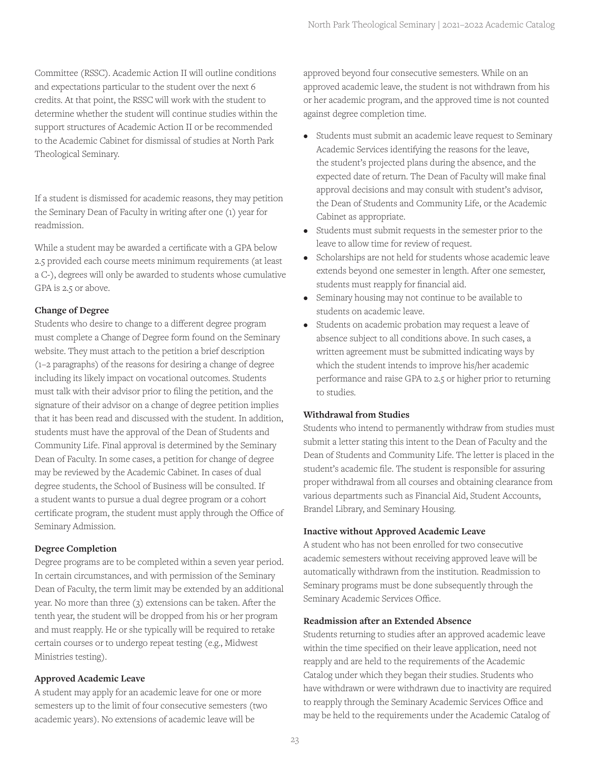Committee (RSSC). Academic Action II will outline conditions and expectations particular to the student over the next 6 credits. At that point, the RSSC will work with the student to determine whether the student will continue studies within the support structures of Academic Action II or be recommended to the Academic Cabinet for dismissal of studies at North Park Theological Seminary.

If a student is dismissed for academic reasons, they may petition the Seminary Dean of Faculty in writing after one (1) year for readmission.

While a student may be awarded a certificate with a GPA below 2.5 provided each course meets minimum requirements (at least a C-), degrees will only be awarded to students whose cumulative GPA is 2.5 or above.

## **Change of Degree**

Students who desire to change to a different degree program must complete a Change of Degree form found on the Seminary website. They must attach to the petition a brief description (1–2 paragraphs) of the reasons for desiring a change of degree including its likely impact on vocational outcomes. Students must talk with their advisor prior to filing the petition, and the signature of their advisor on a change of degree petition implies that it has been read and discussed with the student. In addition, students must have the approval of the Dean of Students and Community Life. Final approval is determined by the Seminary Dean of Faculty. In some cases, a petition for change of degree may be reviewed by the Academic Cabinet. In cases of dual degree students, the School of Business will be consulted. If a student wants to pursue a dual degree program or a cohort certificate program, the student must apply through the Office of Seminary Admission.

## **Degree Completion**

Degree programs are to be completed within a seven year period. In certain circumstances, and with permission of the Seminary Dean of Faculty, the term limit may be extended by an additional year. No more than three (3) extensions can be taken. After the tenth year, the student will be dropped from his or her program and must reapply. He or she typically will be required to retake certain courses or to undergo repeat testing (e.g., Midwest Ministries testing).

## **Approved Academic Leave**

A student may apply for an academic leave for one or more semesters up to the limit of four consecutive semesters (two academic years). No extensions of academic leave will be

approved beyond four consecutive semesters. While on an approved academic leave, the student is not withdrawn from his or her academic program, and the approved time is not counted against degree completion time.

- Students must submit an academic leave request to Seminary Academic Services identifying the reasons for the leave, the student's projected plans during the absence, and the expected date of return. The Dean of Faculty will make final approval decisions and may consult with student's advisor, the Dean of Students and Community Life, or the Academic Cabinet as appropriate.
- Students must submit requests in the semester prior to the leave to allow time for review of request.
- Scholarships are not held for students whose academic leave extends beyond one semester in length. After one semester, students must reapply for financial aid.
- Seminary housing may not continue to be available to students on academic leave.
- Students on academic probation may request a leave of absence subject to all conditions above. In such cases, a written agreement must be submitted indicating ways by which the student intends to improve his/her academic performance and raise GPA to 2.5 or higher prior to returning to studies.

## **Withdrawal from Studies**

Students who intend to permanently withdraw from studies must submit a letter stating this intent to the Dean of Faculty and the Dean of Students and Community Life. The letter is placed in the student's academic file. The student is responsible for assuring proper withdrawal from all courses and obtaining clearance from various departments such as Financial Aid, Student Accounts, Brandel Library, and Seminary Housing.

## **Inactive without Approved Academic Leave**

A student who has not been enrolled for two consecutive academic semesters without receiving approved leave will be automatically withdrawn from the institution. Readmission to Seminary programs must be done subsequently through the Seminary Academic Services Office.

## **Readmission after an Extended Absence**

Students returning to studies after an approved academic leave within the time specified on their leave application, need not reapply and are held to the requirements of the Academic Catalog under which they began their studies. Students who have withdrawn or were withdrawn due to inactivity are required to reapply through the Seminary Academic Services Office and may be held to the requirements under the Academic Catalog of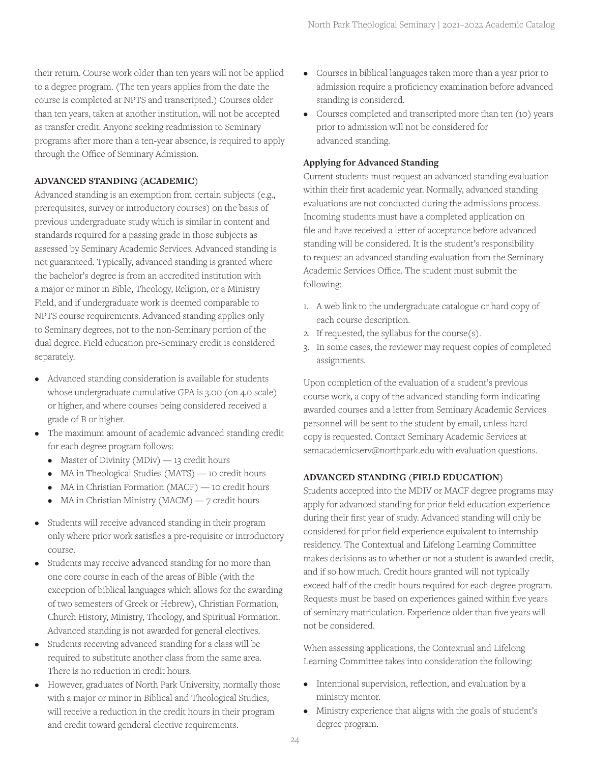their return. Course work older than ten years will not be applied to a degree program. (The ten years applies from the date the course is completed at NPTS and transcripted.) Courses older than ten years, taken at another institution, will not be accepted as transfer credit. Anyone seeking readmission to Seminary programs after more than a ten-year absence, is required to apply through the Office of Seminary Admission.

## **ADVANCED STANDING (ACADEMIC)**

Advanced standing is an exemption from certain subjects (e.g., prerequisites, survey or introductory courses) on the basis of previous undergraduate study which is similar in content and standards required for a passing grade in those subjects as assessed by Seminary Academic Services. Advanced standing is not guaranteed. Typically, advanced standing is granted where the bachelor's degree is from an accredited institution with a major or minor in Bible, Theology, Religion, or a Ministry Field, and if undergraduate work is deemed comparable to NPTS course requirements. Advanced standing applies only to Seminary degrees, not to the non-Seminary portion of the dual degree. Field education pre-Seminary credit is considered separately.

- Advanced standing consideration is available for students whose undergraduate cumulative GPA is 3.00 (on 4.0 scale) or higher, and where courses being considered received a grade of B or higher.
- The maximum amount of academic advanced standing credit for each degree program follows:
	- Master of Divinity (MDiv)  $-13$  credit hours
	- MA in Theological Studies (MATS) 10 credit hours
	- MA in Christian Formation (MACF) 10 credit hours
	- MA in Christian Ministry (MACM)  $-7$  credit hours
- Students will receive advanced standing in their program only where prior work satisfies a pre-requisite or introductory course.
- Students may receive advanced standing for no more than one core course in each of the areas of Bible (with the exception of biblical languages which allows for the awarding of two semesters of Greek or Hebrew), Christian Formation, Church History, Ministry, Theology, and Spiritual Formation. Advanced standing is not awarded for general electives.
- Students receiving advanced standing for a class will be required to substitute another class from the same area. There is no reduction in credit hours.
- However, graduates of North Park University, normally those with a major or minor in Biblical and Theological Studies, will receive a reduction in the credit hours in their program and credit toward genderal elective requirements.
- Courses in biblical languages taken more than a year prior to admission require a proficiency examination before advanced standing is considered.
- Courses completed and transcripted more than ten (10) years prior to admission will not be considered for advanced standing.

#### **Applying for Advanced Standing**

Current students must request an advanced standing evaluation within their first academic year. Normally, advanced standing evaluations are not conducted during the admissions process. Incoming students must have a completed application on file and have received a letter of acceptance before advanced standing will be considered. It is the student's responsibility to request an advanced standing evaluation from the Seminary Academic Services Office. The student must submit the following:

- 1. A web link to the undergraduate catalogue or hard copy of each course description.
- 2. If requested, the syllabus for the course(s).
- 3. In some cases, the reviewer may request copies of completed assignments.

Upon completion of the evaluation of a student's previous course work, a copy of the advanced standing form indicating awarded courses and a letter from Seminary Academic Services personnel will be sent to the student by email, unless hard copy is requested. Contact Seminary Academic Services at semacademicserv@northpark.edu with evaluation questions.

#### **ADVANCED STANDING (FIELD EDUCATION)**

Students accepted into the MDIV or MACF degree programs may apply for advanced standing for prior field education experience during their first year of study. Advanced standing will only be considered for prior field experience equivalent to internship residency. The Contextual and Lifelong Learning Committee makes decisions as to whether or not a student is awarded credit, and if so how much. Credit hours granted will not typically exceed half of the credit hours required for each degree program. Requests must be based on experiences gained within five years of seminary matriculation. Experience older than five years will not be considered.

When assessing applications, the Contextual and Lifelong Learning Committee takes into consideration the following:

- Intentional supervision, reflection, and evaluation by a ministry mentor.
- Ministry experience that aligns with the goals of student's degree program.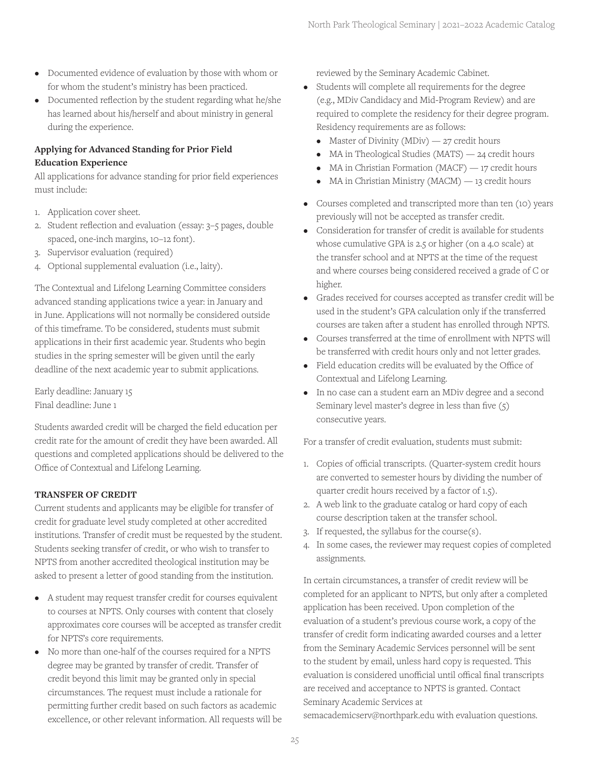- Documented evidence of evaluation by those with whom or for whom the student's ministry has been practiced.
- Documented reflection by the student regarding what he/she has learned about his/herself and about ministry in general during the experience.

## **Applying for Advanced Standing for Prior Field Education Experience**

All applications for advance standing for prior field experiences must include:

- 1. Application cover sheet.
- 2. Student reflection and evaluation (essay: 3–5 pages, double spaced, one-inch margins, 10–12 font).
- 3. Supervisor evaluation (required)
- 4. Optional supplemental evaluation (i.e., laity).

The Contextual and Lifelong Learning Committee considers advanced standing applications twice a year: in January and in June. Applications will not normally be considered outside of this timeframe. To be considered, students must submit applications in their first academic year. Students who begin studies in the spring semester will be given until the early deadline of the next academic year to submit applications.

Early deadline: January 15 Final deadline: June 1

Students awarded credit will be charged the field education per credit rate for the amount of credit they have been awarded. All questions and completed applications should be delivered to the Office of Contextual and Lifelong Learning.

## **TRANSFER OF CREDIT**

Current students and applicants may be eligible for transfer of credit for graduate level study completed at other accredited institutions. Transfer of credit must be requested by the student. Students seeking transfer of credit, or who wish to transfer to NPTS from another accredited theological institution may be asked to present a letter of good standing from the institution.

- A student may request transfer credit for courses equivalent to courses at NPTS. Only courses with content that closely approximates core courses will be accepted as transfer credit for NPTS's core requirements.
- No more than one-half of the courses required for a NPTS degree may be granted by transfer of credit. Transfer of credit beyond this limit may be granted only in special circumstances. The request must include a rationale for permitting further credit based on such factors as academic excellence, or other relevant information. All requests will be

reviewed by the Seminary Academic Cabinet.

- Students will complete all requirements for the degree (e.g., MDiv Candidacy and Mid-Program Review) and are required to complete the residency for their degree program. Residency requirements are as follows:
	- Master of Divinity (MDiv)  $-27$  credit hours
	- MA in Theological Studies (MATS) 24 credit hours
	- MA in Christian Formation (MACF) 17 credit hours
	- MA in Christian Ministry (MACM) 13 credit hours
- Courses completed and transcripted more than ten (10) years previously will not be accepted as transfer credit.
- Consideration for transfer of credit is available for students whose cumulative GPA is 2.5 or higher (on a 4.0 scale) at the transfer school and at NPTS at the time of the request and where courses being considered received a grade of C or higher.
- Grades received for courses accepted as transfer credit will be used in the student's GPA calculation only if the transferred courses are taken after a student has enrolled through NPTS.
- Courses transferred at the time of enrollment with NPTS will be transferred with credit hours only and not letter grades.
- Field education credits will be evaluated by the Office of Contextual and Lifelong Learning.
- In no case can a student earn an MDiv degree and a second Seminary level master's degree in less than five (5) consecutive years.

For a transfer of credit evaluation, students must submit:

- 1. Copies of official transcripts. (Quarter-system credit hours are converted to semester hours by dividing the number of quarter credit hours received by a factor of 1.5).
- 2. A web link to the graduate catalog or hard copy of each course description taken at the transfer school.
- 3. If requested, the syllabus for the course(s).
- 4. In some cases, the reviewer may request copies of completed assignments.

In certain circumstances, a transfer of credit review will be completed for an applicant to NPTS, but only after a completed application has been received. Upon completion of the evaluation of a student's previous course work, a copy of the transfer of credit form indicating awarded courses and a letter from the Seminary Academic Services personnel will be sent to the student by email, unless hard copy is requested. This evaluation is considered unofficial until offical final transcripts are received and acceptance to NPTS is granted. Contact Seminary Academic Services at

semacademicserv@northpark.edu with evaluation questions.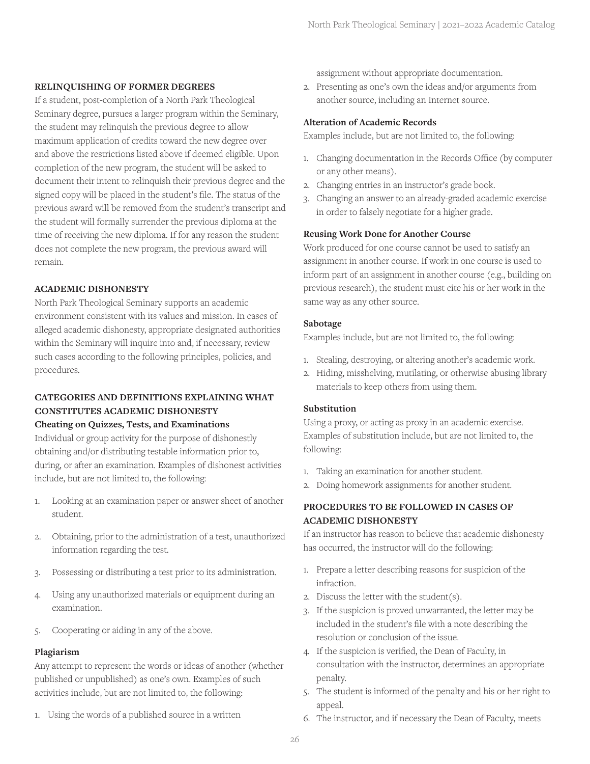#### **RELINQUISHING OF FORMER DEGREES**

If a student, post-completion of a North Park Theological Seminary degree, pursues a larger program within the Seminary, the student may relinquish the previous degree to allow maximum application of credits toward the new degree over and above the restrictions listed above if deemed eligible. Upon completion of the new program, the student will be asked to document their intent to relinquish their previous degree and the signed copy will be placed in the student's file. The status of the previous award will be removed from the student's transcript and the student will formally surrender the previous diploma at the time of receiving the new diploma. If for any reason the student does not complete the new program, the previous award will remain.

## **ACADEMIC DISHONESTY**

North Park Theological Seminary supports an academic environment consistent with its values and mission. In cases of alleged academic dishonesty, appropriate designated authorities within the Seminary will inquire into and, if necessary, review such cases according to the following principles, policies, and procedures.

## **CATEGORIES AND DEFINITIONS EXPLAINING WHAT CONSTITUTES ACADEMIC DISHONESTY**

## **Cheating on Quizzes, Tests, and Examinations**

Individual or group activity for the purpose of dishonestly obtaining and/or distributing testable information prior to, during, or after an examination. Examples of dishonest activities include, but are not limited to, the following:

- 1. Looking at an examination paper or answer sheet of another student.
- 2. Obtaining, prior to the administration of a test, unauthorized information regarding the test.
- 3. Possessing or distributing a test prior to its administration.
- 4. Using any unauthorized materials or equipment during an examination.
- 5. Cooperating or aiding in any of the above.

## **Plagiarism**

Any attempt to represent the words or ideas of another (whether published or unpublished) as one's own. Examples of such activities include, but are not limited to, the following:

1. Using the words of a published source in a written

assignment without appropriate documentation.

2. Presenting as one's own the ideas and/or arguments from another source, including an Internet source.

## **Alteration of Academic Records**

Examples include, but are not limited to, the following:

- 1. Changing documentation in the Records Office (by computer or any other means).
- 2. Changing entries in an instructor's grade book.
- 3. Changing an answer to an already-graded academic exercise in order to falsely negotiate for a higher grade.

## **Reusing Work Done for Another Course**

Work produced for one course cannot be used to satisfy an assignment in another course. If work in one course is used to inform part of an assignment in another course (e.g., building on previous research), the student must cite his or her work in the same way as any other source.

## **Sabotage**

Examples include, but are not limited to, the following:

- 1. Stealing, destroying, or altering another's academic work.
- 2. Hiding, misshelving, mutilating, or otherwise abusing library materials to keep others from using them.

## **Substitution**

Using a proxy, or acting as proxy in an academic exercise. Examples of substitution include, but are not limited to, the following:

- 1. Taking an examination for another student.
- 2. Doing homework assignments for another student.

## **PROCEDURES TO BE FOLLOWED IN CASES OF ACADEMIC DISHONESTY**

If an instructor has reason to believe that academic dishonesty has occurred, the instructor will do the following:

- 1. Prepare a letter describing reasons for suspicion of the infraction.
- 2. Discuss the letter with the student(s).
- 3. If the suspicion is proved unwarranted, the letter may be included in the student's file with a note describing the resolution or conclusion of the issue.
- 4. If the suspicion is verified, the Dean of Faculty, in consultation with the instructor, determines an appropriate penalty.
- 5. The student is informed of the penalty and his or her right to appeal.
- 6. The instructor, and if necessary the Dean of Faculty, meets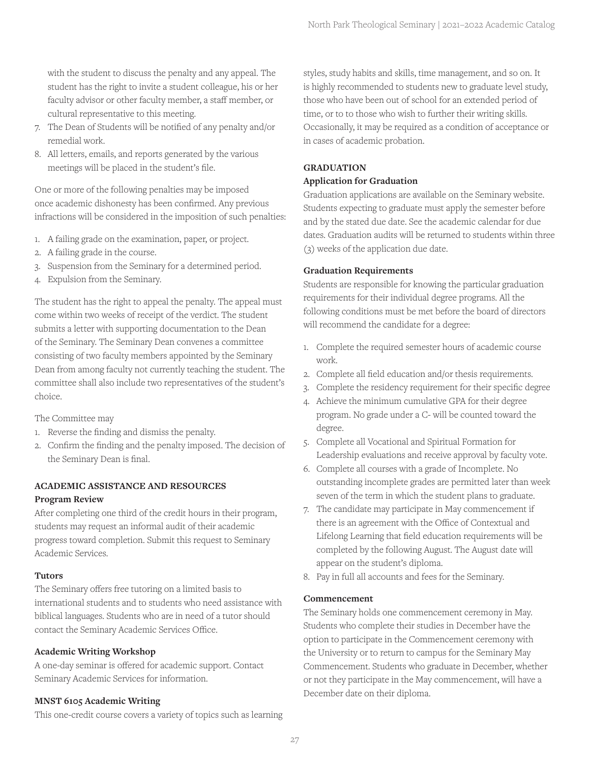with the student to discuss the penalty and any appeal. The student has the right to invite a student colleague, his or her faculty advisor or other faculty member, a staff member, or cultural representative to this meeting.

- 7. The Dean of Students will be notified of any penalty and/or remedial work.
- 8. All letters, emails, and reports generated by the various meetings will be placed in the student's file.

One or more of the following penalties may be imposed once academic dishonesty has been confirmed. Any previous infractions will be considered in the imposition of such penalties:

- 1. A failing grade on the examination, paper, or project.
- 2. A failing grade in the course.
- 3. Suspension from the Seminary for a determined period.
- 4. Expulsion from the Seminary.

The student has the right to appeal the penalty. The appeal must come within two weeks of receipt of the verdict. The student submits a letter with supporting documentation to the Dean of the Seminary. The Seminary Dean convenes a committee consisting of two faculty members appointed by the Seminary Dean from among faculty not currently teaching the student. The committee shall also include two representatives of the student's choice.

The Committee may

- 1. Reverse the finding and dismiss the penalty.
- 2. Confirm the finding and the penalty imposed. The decision of the Seminary Dean is final.

## **ACADEMIC ASSISTANCE AND RESOURCES Program Review**

After completing one third of the credit hours in their program, students may request an informal audit of their academic progress toward completion. Submit this request to Seminary Academic Services.

## **Tutors**

The Seminary offers free tutoring on a limited basis to international students and to students who need assistance with biblical languages. Students who are in need of a tutor should contact the Seminary Academic Services Office.

## **Academic Writing Workshop**

A one-day seminar is offered for academic support. Contact Seminary Academic Services for information.

## **MNST 6105 Academic Writing**

This one-credit course covers a variety of topics such as learning

styles, study habits and skills, time management, and so on. It is highly recommended to students new to graduate level study, those who have been out of school for an extended period of time, or to to those who wish to further their writing skills. Occasionally, it may be required as a condition of acceptance or in cases of academic probation.

## **GRADUATION**

## **Application for Graduation**

Graduation applications are available on the Seminary website. Students expecting to graduate must apply the semester before and by the stated due date. See the academic calendar for due dates. Graduation audits will be returned to students within three (3) weeks of the application due date.

## **Graduation Requirements**

Students are responsible for knowing the particular graduation requirements for their individual degree programs. All the following conditions must be met before the board of directors will recommend the candidate for a degree:

- 1. Complete the required semester hours of academic course work.
- 2. Complete all field education and/or thesis requirements.
- 3. Complete the residency requirement for their specific degree
- 4. Achieve the minimum cumulative GPA for their degree program. No grade under a C- will be counted toward the degree.
- 5. Complete all Vocational and Spiritual Formation for Leadership evaluations and receive approval by faculty vote.
- 6. Complete all courses with a grade of Incomplete. No outstanding incomplete grades are permitted later than week seven of the term in which the student plans to graduate.
- 7. The candidate may participate in May commencement if there is an agreement with the Office of Contextual and Lifelong Learning that field education requirements will be completed by the following August. The August date will appear on the student's diploma.
- 8. Pay in full all accounts and fees for the Seminary.

## **Commencement**

The Seminary holds one commencement ceremony in May. Students who complete their studies in December have the option to participate in the Commencement ceremony with the University or to return to campus for the Seminary May Commencement. Students who graduate in December, whether or not they participate in the May commencement, will have a December date on their diploma.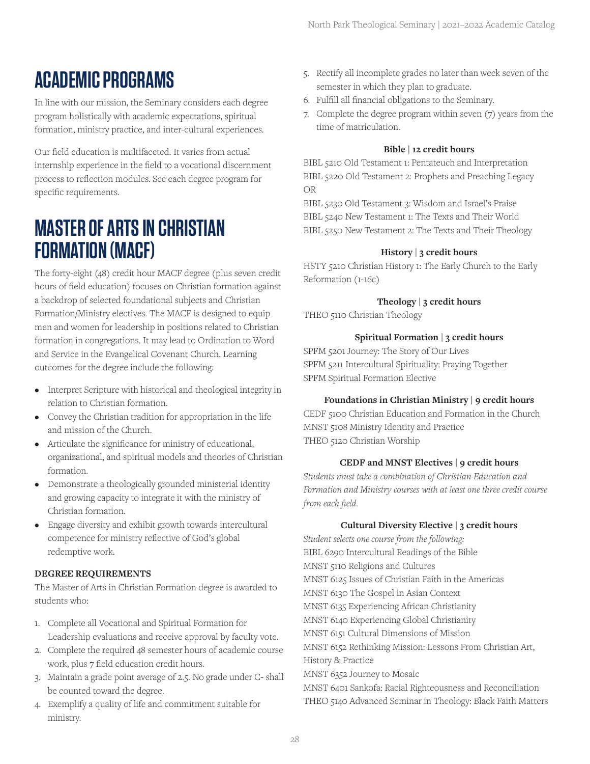## **ACADEMIC PROGRAMS**

In line with our mission, the Seminary considers each degree program holistically with academic expectations, spiritual formation, ministry practice, and inter-cultural experiences.

Our field education is multifaceted. It varies from actual internship experience in the field to a vocational discernment process to reflection modules. See each degree program for specific requirements.

## **MASTER OF ARTS IN CHRISTIAN FORMATION (MACF)**

The forty-eight (48) credit hour MACF degree (plus seven credit hours of field education) focuses on Christian formation against a backdrop of selected foundational subjects and Christian Formation/Ministry electives. The MACF is designed to equip men and women for leadership in positions related to Christian formation in congregations. It may lead to Ordination to Word and Service in the Evangelical Covenant Church. Learning outcomes for the degree include the following:

- Interpret Scripture with historical and theological integrity in relation to Christian formation.
- Convey the Christian tradition for appropriation in the life and mission of the Church.
- Articulate the significance for ministry of educational, organizational, and spiritual models and theories of Christian formation.
- Demonstrate a theologically grounded ministerial identity and growing capacity to integrate it with the ministry of Christian formation.
- Engage diversity and exhibit growth towards intercultural competence for ministry reflective of God's global redemptive work.

## **DEGREE REQUIREMENTS**

The Master of Arts in Christian Formation degree is awarded to students who:

- 1. Complete all Vocational and Spiritual Formation for Leadership evaluations and receive approval by faculty vote.
- 2. Complete the required 48 semester hours of academic course work, plus 7 field education credit hours.
- 3. Maintain a grade point average of 2.5. No grade under C- shall be counted toward the degree.
- 4. Exemplify a quality of life and commitment suitable for ministry.
- 5. Rectify all incomplete grades no later than week seven of the semester in which they plan to graduate.
- 6. Fulfill all financial obligations to the Seminary.
- 7. Complete the degree program within seven (7) years from the time of matriculation.

## **Bible | 12 credit hours**

BIBL 5210 Old Testament 1: Pentateuch and Interpretation BIBL 5220 Old Testament 2: Prophets and Preaching Legacy OR

BIBL 5230 Old Testament 3: Wisdom and Israel's Praise BIBL 5240 New Testament 1: The Texts and Their World BIBL 5250 New Testament 2: The Texts and Their Theology

## **History | 3 credit hours**

HSTY 5210 Christian History 1: The Early Church to the Early Reformation (1-16c)

## **Theology | 3 credit hours**

THEO 5110 Christian Theology

## **Spiritual Formation | 3 credit hours**

SPFM 5201 Journey: The Story of Our Lives SPFM 5211 Intercultural Spirituality: Praying Together SPFM Spiritual Formation Elective

## **Foundations in Christian Ministry | 9 credit hours**

CEDF 5100 Christian Education and Formation in the Church MNST 5108 Ministry Identity and Practice THEO 5120 Christian Worship

## **CEDF and MNST Electives | 9 credit hours**

*Students must take a combination of Christian Education and Formation and Ministry courses with at least one three credit course from each field.*

## **Cultural Diversity Elective | 3 credit hours**

*Student selects one course from the following:* BIBL 6290 Intercultural Readings of the Bible MNST 5110 Religions and Cultures MNST 6125 Issues of Christian Faith in the Americas MNST 6130 The Gospel in Asian Context MNST 6135 Experiencing African Christianity MNST 6140 Experiencing Global Christianity MNST 6151 Cultural Dimensions of Mission MNST 6152 Rethinking Mission: Lessons From Christian Art, History & Practice MNST 6352 Journey to Mosaic MNST 6401 Sankofa: Racial Righteousness and Reconciliation THEO 5140 Advanced Seminar in Theology: Black Faith Matters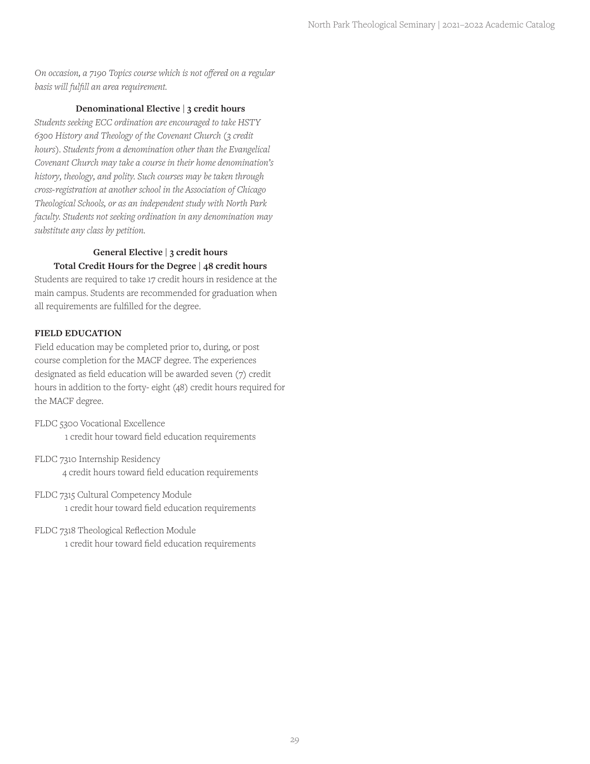*On occasion, a 7190 Topics course which is not offered on a regular basis will fulfill an area requirement.*

## **Denominational Elective | 3 credit hours**

*Students seeking ECC ordination are encouraged to take HSTY 6300 History and Theology of the Covenant Church (3 credit hours). Students from a denomination other than the Evangelical Covenant Church may take a course in their home denomination's history, theology, and polity. Such courses may be taken through cross-registration at another school in the Association of Chicago Theological Schools, or as an independent study with North Park faculty. Students not seeking ordination in any denomination may substitute any class by petition.*

## **General Elective | 3 credit hours Total Credit Hours for the Degree | 48 credit hours**

Students are required to take 17 credit hours in residence at the main campus. Students are recommended for graduation when all requirements are fulfilled for the degree.

## **FIELD EDUCATION**

Field education may be completed prior to, during, or post course completion for the MACF degree. The experiences designated as field education will be awarded seven (7) credit hours in addition to the forty- eight (48) credit hours required for the MACF degree.

- FLDC 5300 Vocational Excellence 1 credit hour toward field education requirements
- FLDC 7310 Internship Residency 4 credit hours toward field education requirements
- FLDC 7315 Cultural Competency Module 1 credit hour toward field education requirements
- FLDC 7318 Theological Reflection Module 1 credit hour toward field education requirements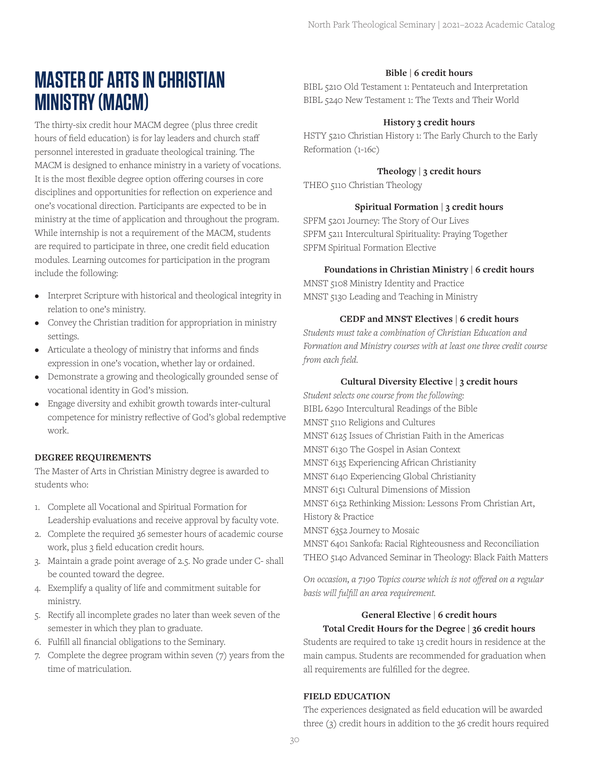## **MASTER OF ARTS IN CHRISTIAN MINISTRY (MACM)**

The thirty-six credit hour MACM degree (plus three credit hours of field education) is for lay leaders and church staff personnel interested in graduate theological training. The MACM is designed to enhance ministry in a variety of vocations. It is the most flexible degree option offering courses in core disciplines and opportunities for reflection on experience and one's vocational direction. Participants are expected to be in ministry at the time of application and throughout the program. While internship is not a requirement of the MACM, students are required to participate in three, one credit field education modules. Learning outcomes for participation in the program include the following:

- Interpret Scripture with historical and theological integrity in relation to one's ministry.
- Convey the Christian tradition for appropriation in ministry settings.
- Articulate a theology of ministry that informs and finds expression in one's vocation, whether lay or ordained.
- Demonstrate a growing and theologically grounded sense of vocational identity in God's mission.
- Engage diversity and exhibit growth towards inter-cultural competence for ministry reflective of God's global redemptive work.

## **DEGREE REQUIREMENTS**

The Master of Arts in Christian Ministry degree is awarded to students who:

- 1. Complete all Vocational and Spiritual Formation for Leadership evaluations and receive approval by faculty vote.
- 2. Complete the required 36 semester hours of academic course work, plus 3 field education credit hours.
- 3. Maintain a grade point average of 2.5. No grade under C- shall be counted toward the degree.
- 4. Exemplify a quality of life and commitment suitable for ministry.
- 5. Rectify all incomplete grades no later than week seven of the semester in which they plan to graduate.
- 6. Fulfill all financial obligations to the Seminary.
- 7. Complete the degree program within seven (7) years from the time of matriculation.

## **Bible | 6 credit hours**

BIBL 5210 Old Testament 1: Pentateuch and Interpretation BIBL 5240 New Testament 1: The Texts and Their World

## **History 3 credit hours**

HSTY 5210 Christian History 1: The Early Church to the Early Reformation (1-16c)

## **Theology | 3 credit hours**

THEO 5110 Christian Theology

## **Spiritual Formation | 3 credit hours**

SPFM 5201 Journey: The Story of Our Lives SPFM 5211 Intercultural Spirituality: Praying Together SPFM Spiritual Formation Elective

## **Foundations in Christian Ministry | 6 credit hours**

MNST 5108 Ministry Identity and Practice MNST 5130 Leading and Teaching in Ministry

## **CEDF and MNST Electives | 6 credit hours**

*Students must take a combination of Christian Education and Formation and Ministry courses with at least one three credit course from each field.*

## **Cultural Diversity Elective | 3 credit hours**

*Student selects one course from the following:* BIBL 6290 Intercultural Readings of the Bible MNST 5110 Religions and Cultures MNST 6125 Issues of Christian Faith in the Americas MNST 6130 The Gospel in Asian Context MNST 6135 Experiencing African Christianity MNST 6140 Experiencing Global Christianity MNST 6151 Cultural Dimensions of Mission MNST 6152 Rethinking Mission: Lessons From Christian Art, History & Practice MNST 6352 Journey to Mosaic MNST 6401 Sankofa: Racial Righteousness and Reconciliation THEO 5140 Advanced Seminar in Theology: Black Faith Matters

*On occasion, a 7190 Topics course which is not offered on a regular basis will fulfill an area requirement.*

## **General Elective | 6 credit hours Total Credit Hours for the Degree | 36 credit hours**

Students are required to take 13 credit hours in residence at the main campus. Students are recommended for graduation when all requirements are fulfilled for the degree.

#### **FIELD EDUCATION**

The experiences designated as field education will be awarded three (3) credit hours in addition to the 36 credit hours required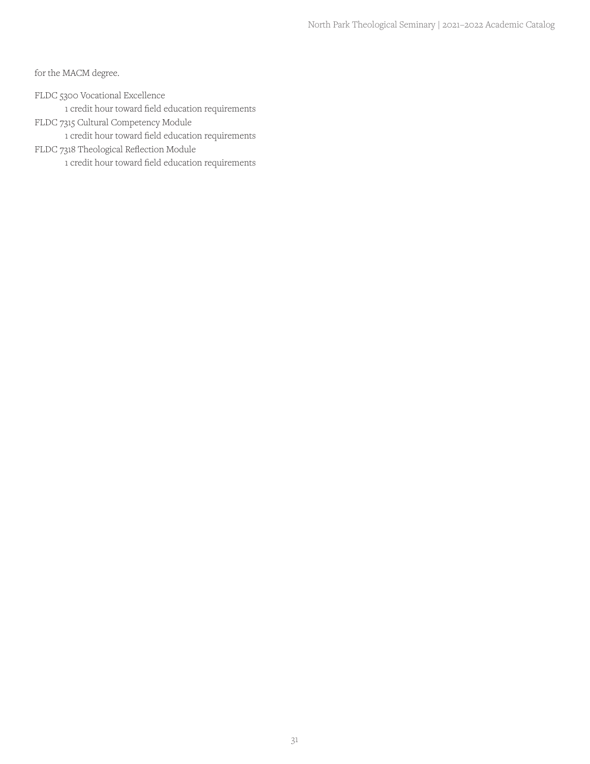for the MACM degree.

FLDC 5300 Vocational Excellence

1 credit hour toward field education requirements

FLDC 7315 Cultural Competency Module

1 credit hour toward field education requirements

FLDC 7318 Theological Reflection Module

1 credit hour toward field education requirements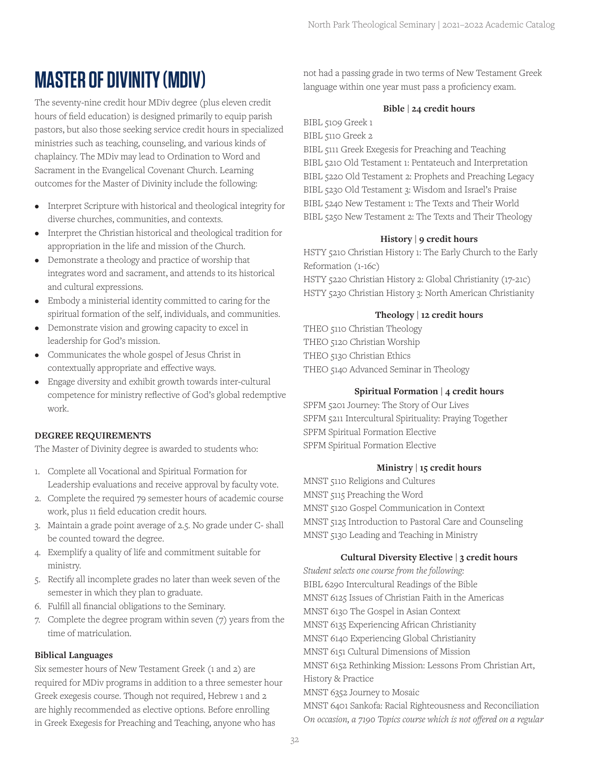## **MASTER OF DIVINITY (MDIV)**

The seventy-nine credit hour MDiv degree (plus eleven credit hours of field education) is designed primarily to equip parish pastors, but also those seeking service credit hours in specialized ministries such as teaching, counseling, and various kinds of chaplaincy. The MDiv may lead to Ordination to Word and Sacrament in the Evangelical Covenant Church. Learning outcomes for the Master of Divinity include the following:

- Interpret Scripture with historical and theological integrity for diverse churches, communities, and contexts.
- Interpret the Christian historical and theological tradition for appropriation in the life and mission of the Church.
- Demonstrate a theology and practice of worship that integrates word and sacrament, and attends to its historical and cultural expressions.
- Embody a ministerial identity committed to caring for the spiritual formation of the self, individuals, and communities.
- Demonstrate vision and growing capacity to excel in leadership for God's mission.
- Communicates the whole gospel of Jesus Christ in contextually appropriate and effective ways.
- Engage diversity and exhibit growth towards inter-cultural competence for ministry reflective of God's global redemptive work.

## **DEGREE REQUIREMENTS**

The Master of Divinity degree is awarded to students who:

- 1. Complete all Vocational and Spiritual Formation for Leadership evaluations and receive approval by faculty vote.
- 2. Complete the required 79 semester hours of academic course work, plus 11 field education credit hours.
- 3. Maintain a grade point average of 2.5. No grade under C- shall be counted toward the degree.
- 4. Exemplify a quality of life and commitment suitable for ministry.
- 5. Rectify all incomplete grades no later than week seven of the semester in which they plan to graduate.
- 6. Fulfill all financial obligations to the Seminary.
- 7. Complete the degree program within seven (7) years from the time of matriculation.

## **Biblical Languages**

Six semester hours of New Testament Greek (1 and 2) are required for MDiv programs in addition to a three semester hour Greek exegesis course. Though not required, Hebrew 1 and 2 are highly recommended as elective options. Before enrolling in Greek Exegesis for Preaching and Teaching, anyone who has

not had a passing grade in two terms of New Testament Greek language within one year must pass a proficiency exam.

## **Bible | 24 credit hours**

BIBL 5109 Greek 1

BIBL 5110 Greek 2

BIBL 5111 Greek Exegesis for Preaching and Teaching BIBL 5210 Old Testament 1: Pentateuch and Interpretation BIBL 5220 Old Testament 2: Prophets and Preaching Legacy BIBL 5230 Old Testament 3: Wisdom and Israel's Praise BIBL 5240 New Testament 1: The Texts and Their World BIBL 5250 New Testament 2: The Texts and Their Theology

## **History | 9 credit hours**

HSTY 5210 Christian History 1: The Early Church to the Early Reformation (1-16c) HSTY 5220 Christian History 2: Global Christianity (17-21c) HSTY 5230 Christian History 3: North American Christianity

## **Theology | 12 credit hours**

THEO 5110 Christian Theology THEO 5120 Christian Worship THEO 5130 Christian Ethics THEO 5140 Advanced Seminar in Theology

## **Spiritual Formation | 4 credit hours**

SPFM 5201 Journey: The Story of Our Lives SPFM 5211 Intercultural Spirituality: Praying Together SPFM Spiritual Formation Elective SPFM Spiritual Formation Elective

## **Ministry | 15 credit hours**

MNST 5110 Religions and Cultures MNST 5115 Preaching the Word MNST 5120 Gospel Communication in Context MNST 5125 Introduction to Pastoral Care and Counseling MNST 5130 Leading and Teaching in Ministry

## **Cultural Diversity Elective | 3 credit hours**

*Student selects one course from the following:* BIBL 6290 Intercultural Readings of the Bible MNST 6125 Issues of Christian Faith in the Americas MNST 6130 The Gospel in Asian Context MNST 6135 Experiencing African Christianity MNST 6140 Experiencing Global Christianity MNST 6151 Cultural Dimensions of Mission MNST 6152 Rethinking Mission: Lessons From Christian Art, History & Practice MNST 6352 Journey to Mosaic MNST 6401 Sankofa: Racial Righteousness and Reconciliation *On occasion, a 7190 Topics course which is not offered on a regular*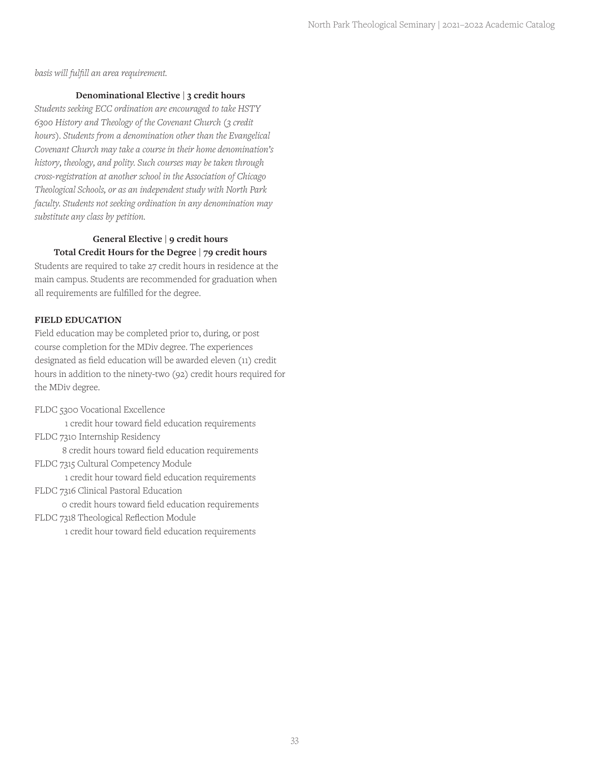*basis will fulfill an area requirement.*

#### **Denominational Elective | 3 credit hours**

*Students seeking ECC ordination are encouraged to take HSTY 6300 History and Theology of the Covenant Church (3 credit hours). Students from a denomination other than the Evangelical Covenant Church may take a course in their home denomination's history, theology, and polity. Such courses may be taken through cross-registration at another school in the Association of Chicago Theological Schools, or as an independent study with North Park faculty. Students not seeking ordination in any denomination may substitute any class by petition.*

## **General Elective | 9 credit hours Total Credit Hours for the Degree | 79 credit hours**

Students are required to take 27 credit hours in residence at the main campus. Students are recommended for graduation when all requirements are fulfilled for the degree.

#### **FIELD EDUCATION**

Field education may be completed prior to, during, or post course completion for the MDiv degree. The experiences designated as field education will be awarded eleven (11) credit hours in addition to the ninety-two (92) credit hours required for the MDiv degree.

FLDC 5300 Vocational Excellence

1 credit hour toward field education requirements FLDC 7310 Internship Residency

8 credit hours toward field education requirements FLDC 7315 Cultural Competency Module

1 credit hour toward field education requirements FLDC 7316 Clinical Pastoral Education

0 credit hours toward field education requirements

FLDC 7318 Theological Reflection Module

1 credit hour toward field education requirements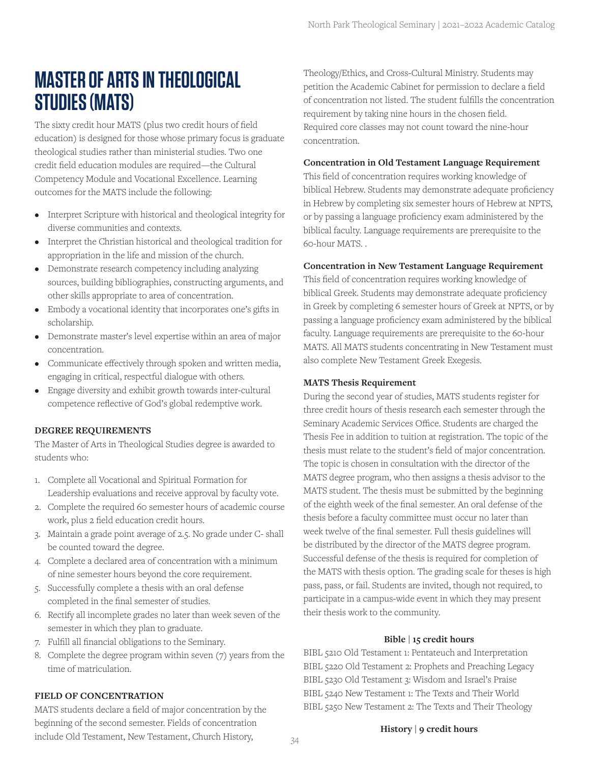## **MASTER OF ARTS IN THEOLOGICAL STUDIES (MATS)**

The sixty credit hour MATS (plus two credit hours of field education) is designed for those whose primary focus is graduate theological studies rather than ministerial studies. Two one credit field education modules are required—the Cultural Competency Module and Vocational Excellence. Learning outcomes for the MATS include the following:

- Interpret Scripture with historical and theological integrity for diverse communities and contexts.
- Interpret the Christian historical and theological tradition for appropriation in the life and mission of the church.
- Demonstrate research competency including analyzing sources, building bibliographies, constructing arguments, and other skills appropriate to area of concentration.
- Embody a vocational identity that incorporates one's gifts in scholarship.
- Demonstrate master's level expertise within an area of major concentration.
- Communicate effectively through spoken and written media, engaging in critical, respectful dialogue with others.
- Engage diversity and exhibit growth towards inter-cultural competence reflective of God's global redemptive work.

## **DEGREE REQUIREMENTS**

The Master of Arts in Theological Studies degree is awarded to students who:

- 1. Complete all Vocational and Spiritual Formation for Leadership evaluations and receive approval by faculty vote.
- 2. Complete the required 60 semester hours of academic course work, plus 2 field education credit hours.
- 3. Maintain a grade point average of 2.5. No grade under C- shall be counted toward the degree.
- 4. Complete a declared area of concentration with a minimum of nine semester hours beyond the core requirement.
- 5. Successfully complete a thesis with an oral defense completed in the final semester of studies.
- 6. Rectify all incomplete grades no later than week seven of the semester in which they plan to graduate.
- 7. Fulfill all financial obligations to the Seminary.
- 8. Complete the degree program within seven (7) years from the time of matriculation.

#### **FIELD OF CONCENTRATION**

MATS students declare a field of major concentration by the beginning of the second semester. Fields of concentration include Old Testament, New Testament, Church History,

Theology/Ethics, and Cross-Cultural Ministry. Students may petition the Academic Cabinet for permission to declare a field of concentration not listed. The student fulfills the concentration requirement by taking nine hours in the chosen field. Required core classes may not count toward the nine-hour concentration.

#### **Concentration in Old Testament Language Requirement**

This field of concentration requires working knowledge of biblical Hebrew. Students may demonstrate adequate proficiency in Hebrew by completing six semester hours of Hebrew at NPTS, or by passing a language proficiency exam administered by the biblical faculty. Language requirements are prerequisite to the 60-hour MATS. .

## **Concentration in New Testament Language Requirement**

This field of concentration requires working knowledge of biblical Greek. Students may demonstrate adequate proficiency in Greek by completing 6 semester hours of Greek at NPTS, or by passing a language proficiency exam administered by the biblical faculty. Language requirements are prerequisite to the 60-hour MATS. All MATS students concentrating in New Testament must also complete New Testament Greek Exegesis.

#### **MATS Thesis Requirement**

During the second year of studies, MATS students register for three credit hours of thesis research each semester through the Seminary Academic Services Office. Students are charged the Thesis Fee in addition to tuition at registration. The topic of the thesis must relate to the student's field of major concentration. The topic is chosen in consultation with the director of the MATS degree program, who then assigns a thesis advisor to the MATS student. The thesis must be submitted by the beginning of the eighth week of the final semester. An oral defense of the thesis before a faculty committee must occur no later than week twelve of the final semester. Full thesis guidelines will be distributed by the director of the MATS degree program. Successful defense of the thesis is required for completion of the MATS with thesis option. The grading scale for theses is high pass, pass, or fail. Students are invited, though not required, to participate in a campus-wide event in which they may present their thesis work to the community.

#### **Bible | 15 credit hours**

BIBL 5210 Old Testament 1: Pentateuch and Interpretation BIBL 5220 Old Testament 2: Prophets and Preaching Legacy BIBL 5230 Old Testament 3: Wisdom and Israel's Praise BIBL 5240 New Testament 1: The Texts and Their World BIBL 5250 New Testament 2: The Texts and Their Theology

#### **History | 9 credit hours**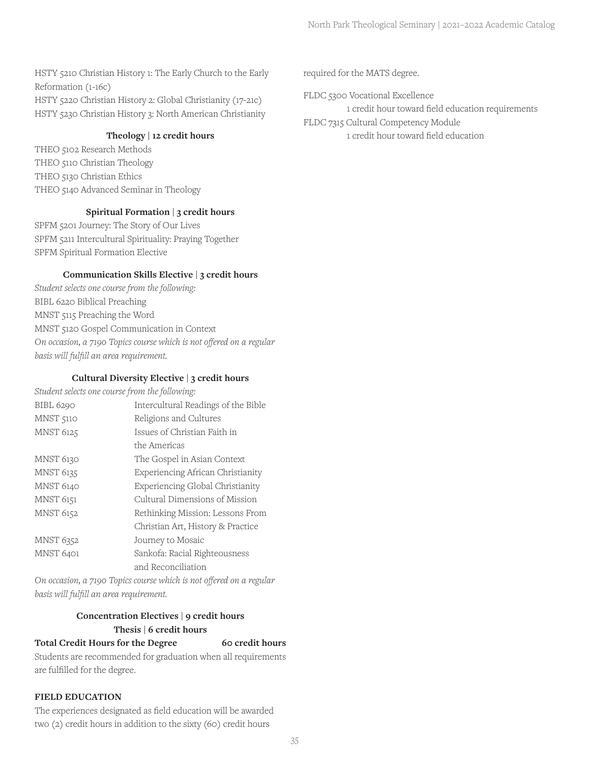HSTY 5210 Christian History 1: The Early Church to the Early Reformation (1-16c) HSTY 5220 Christian History 2: Global Christianity (17-21c) HSTY 5230 Christian History 3: North American Christianity

## **Theology | 12 credit hours**

THEO 5102 Research Methods THEO 5110 Christian Theology THEO 5130 Christian Ethics THEO 5140 Advanced Seminar in Theology

## **Spiritual Formation | 3 credit hours**

SPFM 5201 Journey: The Story of Our Lives SPFM 5211 Intercultural Spirituality: Praying Together SPFM Spiritual Formation Elective

#### **Communication Skills Elective | 3 credit hours**

*Student selects one course from the following:* BIBL 6220 Biblical Preaching MNST 5115 Preaching the Word MNST 5120 Gospel Communication in Context *On occasion, a 7190 Topics course which is not offered on a regular basis will fulfill an area requirement.*

#### **Cultural Diversity Elective | 3 credit hours**

| Student selects one course from the following: |                                     |  |
|------------------------------------------------|-------------------------------------|--|
| <b>BIBL 6290</b>                               | Intercultural Readings of the Bible |  |
| <b>MNST 5110</b>                               | Religions and Cultures              |  |
| <b>MNST 6125</b>                               | Issues of Christian Faith in        |  |
|                                                | the Americas                        |  |
| MNST 6130                                      | The Gospel in Asian Context         |  |
| <b>MNST 6135</b>                               | Experiencing African Christianity   |  |
| <b>MNST 6140</b>                               | Experiencing Global Christianity    |  |
| <b>MNST 6151</b>                               | Cultural Dimensions of Mission      |  |
| <b>MNST 6152</b>                               | Rethinking Mission: Lessons From    |  |
|                                                | Christian Art, History & Practice   |  |
| <b>MNST 6352</b>                               | Journey to Mosaic                   |  |
| MNST 6401                                      | Sankofa: Racial Righteousness       |  |
|                                                | and Reconciliation                  |  |

*On occasion, a 7190 Topics course which is not offered on a regular basis will fulfill an area requirement.*

## **Concentration Electives | 9 credit hours Thesis | 6 credit hours**

## Total Credit Hours for the Degree 60 credit hours

Students are recommended for graduation when all requirements are fulfilled for the degree.

## **FIELD EDUCATION**

The experiences designated as field education will be awarded two (2) credit hours in addition to the sixty (60) credit hours

required for the MATS degree.

FLDC 5300 Vocational Excellence

1 credit hour toward field education requirements

FLDC 7315 Cultural Competency Module 1 credit hour toward field education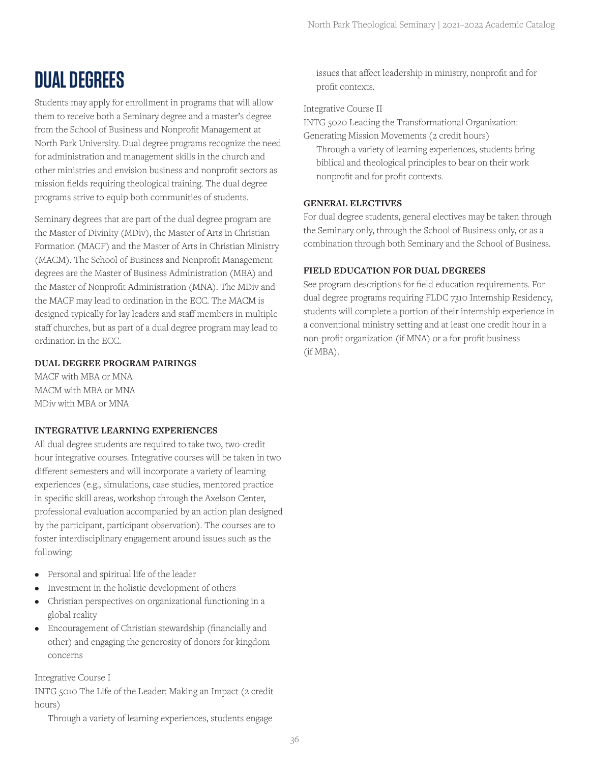## **DUAL DEGREES**

Students may apply for enrollment in programs that will allow them to receive both a Seminary degree and a master's degree from the School of Business and Nonprofit Management at North Park University. Dual degree programs recognize the need for administration and management skills in the church and other ministries and envision business and nonprofit sectors as mission fields requiring theological training. The dual degree programs strive to equip both communities of students.

Seminary degrees that are part of the dual degree program are the Master of Divinity (MDiv), the Master of Arts in Christian Formation (MACF) and the Master of Arts in Christian Ministry (MACM). The School of Business and Nonprofit Management degrees are the Master of Business Administration (MBA) and the Master of Nonprofit Administration (MNA). The MDiv and the MACF may lead to ordination in the ECC. The MACM is designed typically for lay leaders and staff members in multiple staff churches, but as part of a dual degree program may lead to ordination in the ECC.

## **DUAL DEGREE PROGRAM PAIRINGS**

MACF with MBA or MNA MACM with MBA or MNA MDiv with MBA or MNA

## **INTEGRATIVE LEARNING EXPERIENCES**

All dual degree students are required to take two, two-credit hour integrative courses. Integrative courses will be taken in two different semesters and will incorporate a variety of learning experiences (e.g., simulations, case studies, mentored practice in specific skill areas, workshop through the Axelson Center, professional evaluation accompanied by an action plan designed by the participant, participant observation). The courses are to foster interdisciplinary engagement around issues such as the following:

- Personal and spiritual life of the leader
- Investment in the holistic development of others
- Christian perspectives on organizational functioning in a global reality
- Encouragement of Christian stewardship (financially and other) and engaging the generosity of donors for kingdom concerns

Integrative Course I

INTG 5010 The Life of the Leader: Making an Impact (2 credit hours)

Through a variety of learning experiences, students engage

issues that affect leadership in ministry, nonprofit and for profit contexts.

Integrative Course II

INTG 5020 Leading the Transformational Organization: Generating Mission Movements (2 credit hours)

Through a variety of learning experiences, students bring biblical and theological principles to bear on their work nonprofit and for profit contexts.

## **GENERAL ELECTIVES**

For dual degree students, general electives may be taken through the Seminary only, through the School of Business only, or as a combination through both Seminary and the School of Business.

## **FIELD EDUCATION FOR DUAL DEGREES**

See program descriptions for field education requirements. For dual degree programs requiring FLDC 7310 Internship Residency, students will complete a portion of their internship experience in a conventional ministry setting and at least one credit hour in a non-profit organization (if MNA) or a for-profit business (if MBA).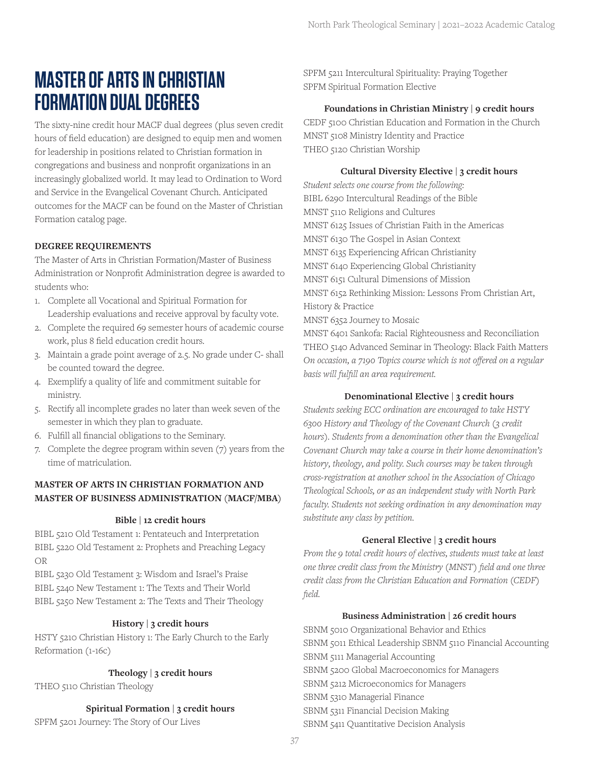## **MASTER OF ARTS IN CHRISTIAN FORMATION DUAL DEGREES**

The sixty-nine credit hour MACF dual degrees (plus seven credit hours of field education) are designed to equip men and women for leadership in positions related to Christian formation in congregations and business and nonprofit organizations in an increasingly globalized world. It may lead to Ordination to Word and Service in the Evangelical Covenant Church. Anticipated outcomes for the MACF can be found on the Master of Christian Formation catalog page.

## **DEGREE REQUIREMENTS**

The Master of Arts in Christian Formation/Master of Business Administration or Nonprofit Administration degree is awarded to students who:

- 1. Complete all Vocational and Spiritual Formation for Leadership evaluations and receive approval by faculty vote.
- 2. Complete the required 69 semester hours of academic course work, plus 8 field education credit hours.
- 3. Maintain a grade point average of 2.5. No grade under C- shall be counted toward the degree.
- 4. Exemplify a quality of life and commitment suitable for ministry.
- 5. Rectify all incomplete grades no later than week seven of the semester in which they plan to graduate.
- 6. Fulfill all financial obligations to the Seminary.
- 7. Complete the degree program within seven (7) years from the time of matriculation.

## **MASTER OF ARTS IN CHRISTIAN FORMATION AND MASTER OF BUSINESS ADMINISTRATION (MACF/MBA)**

#### **Bible | 12 credit hours**

BIBL 5210 Old Testament 1: Pentateuch and Interpretation BIBL 5220 Old Testament 2: Prophets and Preaching Legacy OR

BIBL 5230 Old Testament 3: Wisdom and Israel's Praise BIBL 5240 New Testament 1: The Texts and Their World BIBL 5250 New Testament 2: The Texts and Their Theology

#### **History | 3 credit hours**

HSTY 5210 Christian History 1: The Early Church to the Early Reformation (1-16c)

#### **Theology | 3 credit hours**

THEO 5110 Christian Theology

**Spiritual Formation | 3 credit hours** 

SPFM 5201 Journey: The Story of Our Lives

SPFM 5211 Intercultural Spirituality: Praying Together SPFM Spiritual Formation Elective

#### **Foundations in Christian Ministry | 9 credit hours**

CEDF 5100 Christian Education and Formation in the Church MNST 5108 Ministry Identity and Practice THEO 5120 Christian Worship

## **Cultural Diversity Elective | 3 credit hours**

*Student selects one course from the following:* BIBL 6290 Intercultural Readings of the Bible MNST 5110 Religions and Cultures MNST 6125 Issues of Christian Faith in the Americas MNST 6130 The Gospel in Asian Context MNST 6135 Experiencing African Christianity MNST 6140 Experiencing Global Christianity MNST 6151 Cultural Dimensions of Mission MNST 6152 Rethinking Mission: Lessons From Christian Art, History & Practice MNST 6352 Journey to Mosaic

MNST 6401 Sankofa: Racial Righteousness and Reconciliation THEO 5140 Advanced Seminar in Theology: Black Faith Matters *On occasion, a 7190 Topics course which is not offered on a regular basis will fulfill an area requirement.*

#### **Denominational Elective | 3 credit hours**

*Students seeking ECC ordination are encouraged to take HSTY 6300 History and Theology of the Covenant Church (3 credit hours). Students from a denomination other than the Evangelical Covenant Church may take a course in their home denomination's history, theology, and polity. Such courses may be taken through cross-registration at another school in the Association of Chicago Theological Schools, or as an independent study with North Park faculty. Students not seeking ordination in any denomination may substitute any class by petition.*

#### **General Elective | 3 credit hours**

*From the 9 total credit hours of electives, students must take at least one three credit class from the Ministry (MNST) field and one three credit class from the Christian Education and Formation (CEDF) field.*

#### **Business Administration | 26 credit hours**

SBNM 5010 Organizational Behavior and Ethics SBNM 5011 Ethical Leadership SBNM 5110 Financial Accounting SBNM 5111 Managerial Accounting SBNM 5200 Global Macroeconomics for Managers SBNM 5212 Microeconomics for Managers SBNM 5310 Managerial Finance SBNM 5311 Financial Decision Making SBNM 5411 Quantitative Decision Analysis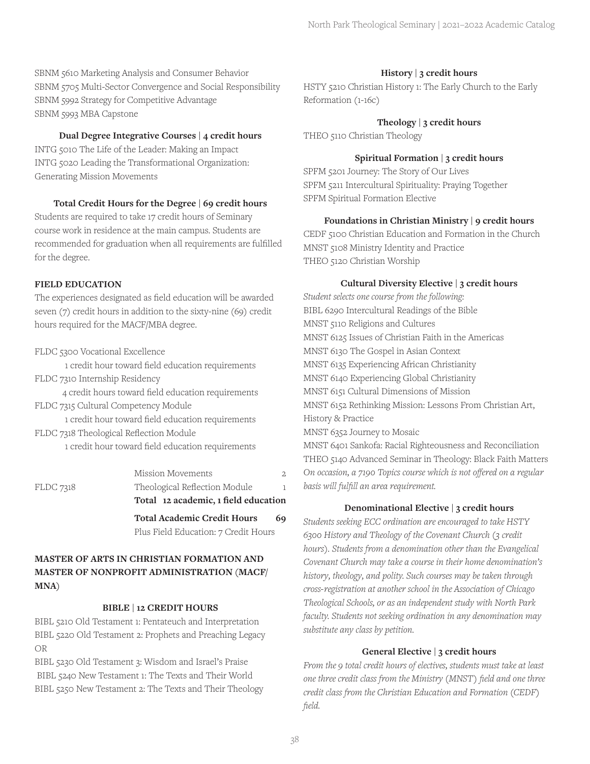SBNM 5610 Marketing Analysis and Consumer Behavior SBNM 5705 Multi-Sector Convergence and Social Responsibility SBNM 5992 Strategy for Competitive Advantage SBNM 5993 MBA Capstone

#### **Dual Degree Integrative Courses | 4 credit hours**

INTG 5010 The Life of the Leader: Making an Impact INTG 5020 Leading the Transformational Organization: Generating Mission Movements

#### **Total Credit Hours for the Degree | 69 credit hours**

Students are required to take 17 credit hours of Seminary course work in residence at the main campus. Students are recommended for graduation when all requirements are fulfilled for the degree.

#### **FIELD EDUCATION**

The experiences designated as field education will be awarded seven (7) credit hours in addition to the sixty-nine (69) credit hours required for the MACF/MBA degree.

FLDC 5300 Vocational Excellence

1 credit hour toward field education requirements FLDC 7310 Internship Residency

4 credit hours toward field education requirements FLDC 7315 Cultural Competency Module

1 credit hour toward field education requirements FLDC 7318 Theological Reflection Module 1 credit hour toward field education requirements

|           | <b>Total Academic Credit Hours</b>                                    | 69 |
|-----------|-----------------------------------------------------------------------|----|
| FLDC 7318 | Theological Reflection Module<br>Total 12 academic, 1 field education |    |
|           | Mission Movements                                                     |    |

## **MASTER OF ARTS IN CHRISTIAN FORMATION AND MASTER OF NONPROFIT ADMINISTRATION (MACF/ MNA)**

## **BIBLE | 12 CREDIT HOURS**

BIBL 5210 Old Testament 1: Pentateuch and Interpretation BIBL 5220 Old Testament 2: Prophets and Preaching Legacy OR

BIBL 5230 Old Testament 3: Wisdom and Israel's Praise BIBL 5240 New Testament 1: The Texts and Their World BIBL 5250 New Testament 2: The Texts and Their Theology

## **History | 3 credit hours**

HSTY 5210 Christian History 1: The Early Church to the Early Reformation (1-16c)

## **Theology | 3 credit hours**

THEO 5110 Christian Theology

## **Spiritual Formation | 3 credit hours**

SPFM 5201 Journey: The Story of Our Lives SPFM 5211 Intercultural Spirituality: Praying Together SPFM Spiritual Formation Elective

## **Foundations in Christian Ministry | 9 credit hours**

CEDF 5100 Christian Education and Formation in the Church MNST 5108 Ministry Identity and Practice THEO 5120 Christian Worship

## **Cultural Diversity Elective | 3 credit hours**

*Student selects one course from the following:* BIBL 6290 Intercultural Readings of the Bible MNST 5110 Religions and Cultures MNST 6125 Issues of Christian Faith in the Americas MNST 6130 The Gospel in Asian Context MNST 6135 Experiencing African Christianity MNST 6140 Experiencing Global Christianity MNST 6151 Cultural Dimensions of Mission MNST 6152 Rethinking Mission: Lessons From Christian Art, History & Practice MNST 6352 Journey to Mosaic MNST 6401 Sankofa: Racial Righteousness and Reconciliation THEO 5140 Advanced Seminar in Theology: Black Faith Matters *On occasion, a 7190 Topics course which is not offered on a regular basis will fulfill an area requirement.*

## **Denominational Elective | 3 credit hours**

*Students seeking ECC ordination are encouraged to take HSTY 6300 History and Theology of the Covenant Church (3 credit hours). Students from a denomination other than the Evangelical Covenant Church may take a course in their home denomination's history, theology, and polity. Such courses may be taken through cross-registration at another school in the Association of Chicago Theological Schools, or as an independent study with North Park faculty. Students not seeking ordination in any denomination may substitute any class by petition.*

## **General Elective | 3 credit hours**

*From the 9 total credit hours of electives, students must take at least one three credit class from the Ministry (MNST) field and one three credit class from the Christian Education and Formation (CEDF) field.*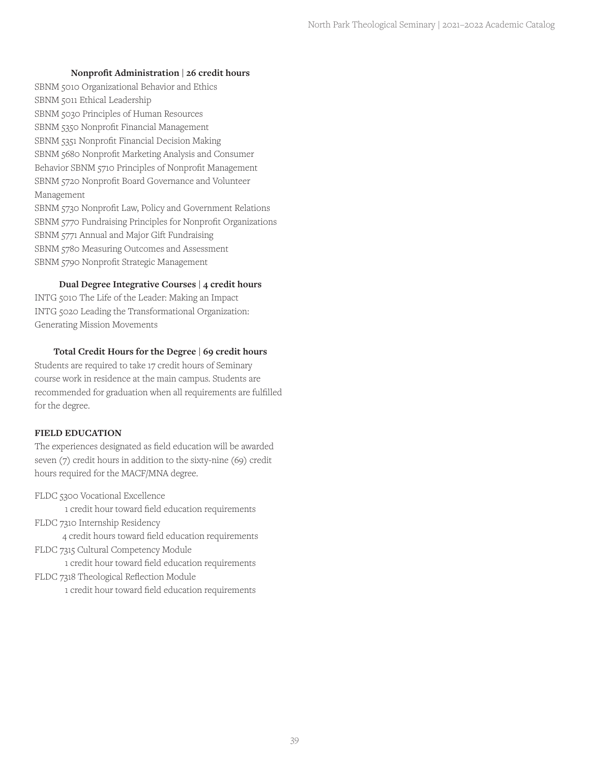#### **Nonprofit Administration | 26 credit hours**

SBNM 5010 Organizational Behavior and Ethics SBNM 5011 Ethical Leadership SBNM 5030 Principles of Human Resources SBNM 5350 Nonprofit Financial Management SBNM 5351 Nonprofit Financial Decision Making SBNM 5680 Nonprofit Marketing Analysis and Consumer Behavior SBNM 5710 Principles of Nonprofit Management SBNM 5720 Nonprofit Board Governance and Volunteer Management SBNM 5730 Nonprofit Law, Policy and Government Relations SBNM 5770 Fundraising Principles for Nonprofit Organizations SBNM 5771 Annual and Major Gift Fundraising SBNM 5780 Measuring Outcomes and Assessment SBNM 5790 Nonprofit Strategic Management

#### **Dual Degree Integrative Courses | 4 credit hours**

INTG 5010 The Life of the Leader: Making an Impact INTG 5020 Leading the Transformational Organization: Generating Mission Movements

#### **Total Credit Hours for the Degree | 69 credit hours**

Students are required to take 17 credit hours of Seminary course work in residence at the main campus. Students are recommended for graduation when all requirements are fulfilled for the degree.

#### **FIELD EDUCATION**

The experiences designated as field education will be awarded seven (7) credit hours in addition to the sixty-nine (69) credit hours required for the MACF/MNA degree.

FLDC 5300 Vocational Excellence

1 credit hour toward field education requirements

FLDC 7310 Internship Residency 4 credit hours toward field education requirements FLDC 7315 Cultural Competency Module

1 credit hour toward field education requirements FLDC 7318 Theological Reflection Module

1 credit hour toward field education requirements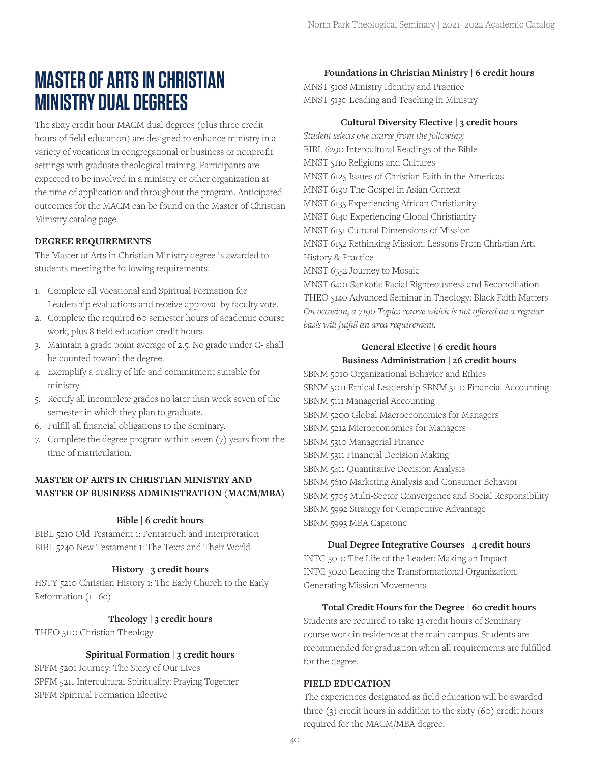## **MASTER OF ARTS IN CHRISTIAN MINISTRY DUAL DEGREES**

The sixty credit hour MACM dual degrees (plus three credit hours of field education) are designed to enhance ministry in a variety of vocations in congregational or business or nonprofit settings with graduate theological training. Participants are expected to be involved in a ministry or other organization at the time of application and throughout the program. Anticipated outcomes for the MACM can be found on the Master of Christian Ministry catalog page.

## **DEGREE REQUIREMENTS**

The Master of Arts in Christian Ministry degree is awarded to students meeting the following requirements:

- 1. Complete all Vocational and Spiritual Formation for Leadership evaluations and receive approval by faculty vote.
- 2. Complete the required 60 semester hours of academic course work, plus 8 field education credit hours.
- 3. Maintain a grade point average of 2.5. No grade under C- shall be counted toward the degree.
- 4. Exemplify a quality of life and commitment suitable for ministry.
- 5. Rectify all incomplete grades no later than week seven of the semester in which they plan to graduate.
- 6. Fulfill all financial obligations to the Seminary.
- 7. Complete the degree program within seven (7) years from the time of matriculation.

## **MASTER OF ARTS IN CHRISTIAN MINISTRY AND MASTER OF BUSINESS ADMINISTRATION (MACM/MBA)**

#### **Bible | 6 credit hours**

BIBL 5210 Old Testament 1: Pentateuch and Interpretation BIBL 5240 New Testament 1: The Texts and Their World

#### **History | 3 credit hours**

HSTY 5210 Christian History 1: The Early Church to the Early Reformation (1-16c)

#### **Theology | 3 credit hours**

THEO 5110 Christian Theology

#### **Spiritual Formation | 3 credit hours**

SPFM 5201 Journey: The Story of Our Lives SPFM 5211 Intercultural Spirituality: Praying Together SPFM Spiritual Formation Elective

#### **Foundations in Christian Ministry | 6 credit hours**

MNST 5108 Ministry Identity and Practice MNST 5130 Leading and Teaching in Ministry

#### **Cultural Diversity Elective | 3 credit hours**

*Student selects one course from the following:* BIBL 6290 Intercultural Readings of the Bible MNST 5110 Religions and Cultures MNST 6125 Issues of Christian Faith in the Americas MNST 6130 The Gospel in Asian Context MNST 6135 Experiencing African Christianity MNST 6140 Experiencing Global Christianity MNST 6151 Cultural Dimensions of Mission MNST 6152 Rethinking Mission: Lessons From Christian Art, History & Practice

MNST 6352 Journey to Mosaic

MNST 6401 Sankofa: Racial Righteousness and Reconciliation THEO 5140 Advanced Seminar in Theology: Black Faith Matters *On occasion, a 7190 Topics course which is not offered on a regular basis will fulfill an area requirement.*

## **General Elective | 6 credit hours Business Administration | 26 credit hours**

SBNM 5010 Organizational Behavior and Ethics SBNM 5011 Ethical Leadership SBNM 5110 Financial Accounting SBNM 5111 Managerial Accounting SBNM 5200 Global Macroeconomics for Managers SBNM 5212 Microeconomics for Managers SBNM 5310 Managerial Finance SBNM 5311 Financial Decision Making SBNM 5411 Quantitative Decision Analysis SBNM 5610 Marketing Analysis and Consumer Behavior SBNM 5705 Multi-Sector Convergence and Social Responsibility SBNM 5992 Strategy for Competitive Advantage SBNM 5993 MBA Capstone

#### **Dual Degree Integrative Courses | 4 credit hours**

INTG 5010 The Life of the Leader: Making an Impact INTG 5020 Leading the Transformational Organization: Generating Mission Movements

#### **Total Credit Hours for the Degree | 60 credit hours**

Students are required to take 13 credit hours of Seminary course work in residence at the main campus. Students are recommended for graduation when all requirements are fulfilled for the degree.

#### **FIELD EDUCATION**

The experiences designated as field education will be awarded three (3) credit hours in addition to the sixty (60) credit hours required for the MACM/MBA degree.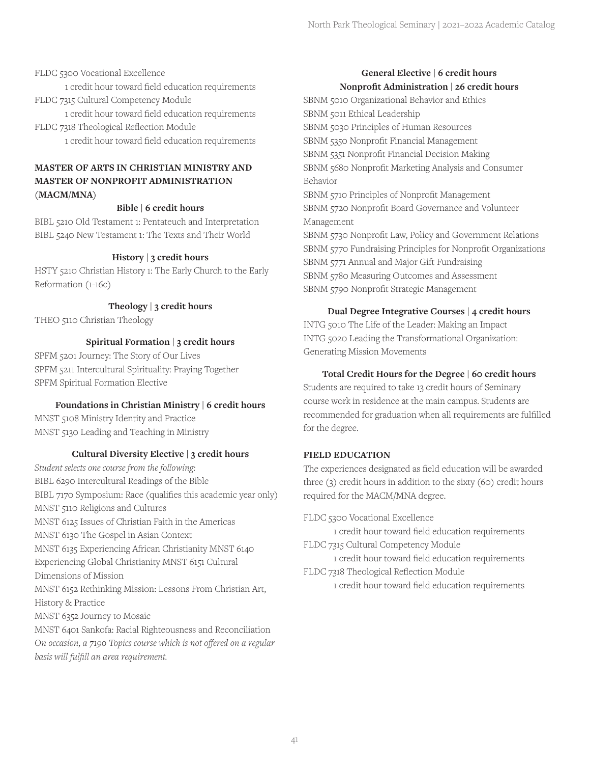FLDC 5300 Vocational Excellence

1 credit hour toward field education requirements FLDC 7315 Cultural Competency Module

1 credit hour toward field education requirements FLDC 7318 Theological Reflection Module 1 credit hour toward field education requirements

## **MASTER OF ARTS IN CHRISTIAN MINISTRY AND MASTER OF NONPROFIT ADMINISTRATION (MACM/MNA)**

## **Bible | 6 credit hours**

BIBL 5210 Old Testament 1: Pentateuch and Interpretation BIBL 5240 New Testament 1: The Texts and Their World

## **History | 3 credit hours**

HSTY 5210 Christian History 1: The Early Church to the Early Reformation (1-16c)

**Theology | 3 credit hours**

THEO 5110 Christian Theology

## **Spiritual Formation | 3 credit hours**

SPFM 5201 Journey: The Story of Our Lives SPFM 5211 Intercultural Spirituality: Praying Together SPFM Spiritual Formation Elective

## **Foundations in Christian Ministry | 6 credit hours**

MNST 5108 Ministry Identity and Practice MNST 5130 Leading and Teaching in Ministry

## **Cultural Diversity Elective | 3 credit hours**

*Student selects one course from the following:* BIBL 6290 Intercultural Readings of the Bible BIBL 7170 Symposium: Race (qualifies this academic year only) MNST 5110 Religions and Cultures MNST 6125 Issues of Christian Faith in the Americas MNST 6130 The Gospel in Asian Context MNST 6135 Experiencing African Christianity MNST 6140 Experiencing Global Christianity MNST 6151 Cultural Dimensions of Mission MNST 6152 Rethinking Mission: Lessons From Christian Art, History & Practice MNST 6352 Journey to Mosaic MNST 6401 Sankofa: Racial Righteousness and Reconciliation *On occasion, a 7190 Topics course which is not offered on a regular* 

*basis will fulfill an area requirement.*

## **General Elective | 6 credit hours Nonprofit Administration | 26 credit hours**

SBNM 5010 Organizational Behavior and Ethics SBNM 5011 Ethical Leadership SBNM 5030 Principles of Human Resources SBNM 5350 Nonprofit Financial Management SBNM 5351 Nonprofit Financial Decision Making SBNM 5680 Nonprofit Marketing Analysis and Consumer Behavior SBNM 5710 Principles of Nonprofit Management SBNM 5720 Nonprofit Board Governance and Volunteer Management SBNM 5730 Nonprofit Law, Policy and Government Relations SBNM 5770 Fundraising Principles for Nonprofit Organizations SBNM 5771 Annual and Major Gift Fundraising SBNM 5780 Measuring Outcomes and Assessment SBNM 5790 Nonprofit Strategic Management

## **Dual Degree Integrative Courses | 4 credit hours**

INTG 5010 The Life of the Leader: Making an Impact INTG 5020 Leading the Transformational Organization: Generating Mission Movements

## **Total Credit Hours for the Degree | 60 credit hours**

Students are required to take 13 credit hours of Seminary course work in residence at the main campus. Students are recommended for graduation when all requirements are fulfilled for the degree.

## **FIELD EDUCATION**

The experiences designated as field education will be awarded three (3) credit hours in addition to the sixty (60) credit hours required for the MACM/MNA degree.

FLDC 5300 Vocational Excellence

1 credit hour toward field education requirements FLDC 7315 Cultural Competency Module

1 credit hour toward field education requirements FLDC 7318 Theological Reflection Module

1 credit hour toward field education requirements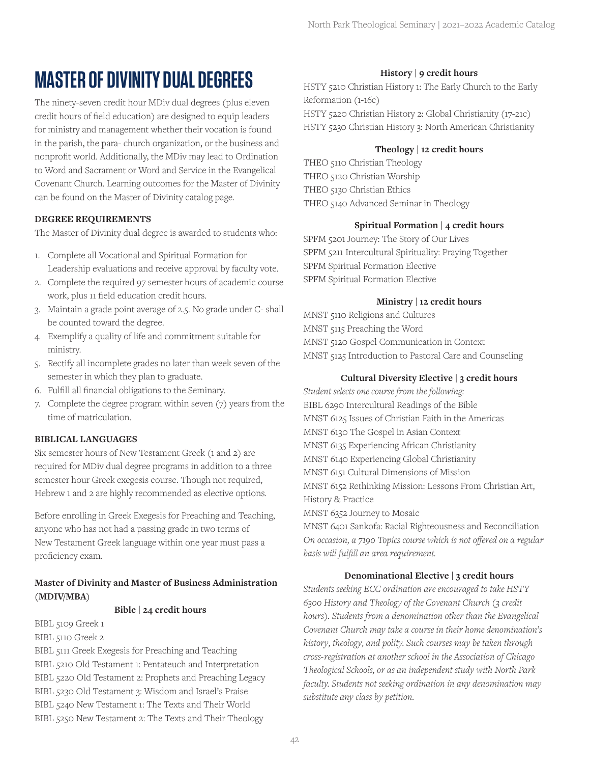## **MASTER OF DIVINITY DUAL DEGREES**

The ninety-seven credit hour MDiv dual degrees (plus eleven credit hours of field education) are designed to equip leaders for ministry and management whether their vocation is found in the parish, the para- church organization, or the business and nonprofit world. Additionally, the MDiv may lead to Ordination to Word and Sacrament or Word and Service in the Evangelical Covenant Church. Learning outcomes for the Master of Divinity can be found on the Master of Divinity catalog page.

## **DEGREE REQUIREMENTS**

The Master of Divinity dual degree is awarded to students who:

- 1. Complete all Vocational and Spiritual Formation for Leadership evaluations and receive approval by faculty vote.
- 2. Complete the required 97 semester hours of academic course work, plus 11 field education credit hours.
- 3. Maintain a grade point average of 2.5. No grade under C- shall be counted toward the degree.
- 4. Exemplify a quality of life and commitment suitable for ministry.
- 5. Rectify all incomplete grades no later than week seven of the semester in which they plan to graduate.
- 6. Fulfill all financial obligations to the Seminary.
- 7. Complete the degree program within seven (7) years from the time of matriculation.

#### **BIBLICAL LANGUAGES**

Six semester hours of New Testament Greek (1 and 2) are required for MDiv dual degree programs in addition to a three semester hour Greek exegesis course. Though not required, Hebrew 1 and 2 are highly recommended as elective options.

Before enrolling in Greek Exegesis for Preaching and Teaching, anyone who has not had a passing grade in two terms of New Testament Greek language within one year must pass a proficiency exam.

## **Master of Divinity and Master of Business Administration (MDIV/MBA)**

#### **Bible | 24 credit hours**

BIBL 5109 Greek 1

BIBL 5110 Greek 2

BIBL 5111 Greek Exegesis for Preaching and Teaching BIBL 5210 Old Testament 1: Pentateuch and Interpretation BIBL 5220 Old Testament 2: Prophets and Preaching Legacy BIBL 5230 Old Testament 3: Wisdom and Israel's Praise BIBL 5240 New Testament 1: The Texts and Their World BIBL 5250 New Testament 2: The Texts and Their Theology

#### **History | 9 credit hours**

HSTY 5210 Christian History 1: The Early Church to the Early Reformation (1-16c) HSTY 5220 Christian History 2: Global Christianity (17-21c) HSTY 5230 Christian History 3: North American Christianity

#### **Theology | 12 credit hours**

THEO 5110 Christian Theology THEO 5120 Christian Worship THEO 5130 Christian Ethics THEO 5140 Advanced Seminar in Theology

#### **Spiritual Formation | 4 credit hours**

SPFM 5201 Journey: The Story of Our Lives SPFM 5211 Intercultural Spirituality: Praying Together SPFM Spiritual Formation Elective SPFM Spiritual Formation Elective

#### **Ministry | 12 credit hours**

MNST 5110 Religions and Cultures MNST 5115 Preaching the Word MNST 5120 Gospel Communication in Context MNST 5125 Introduction to Pastoral Care and Counseling

#### **Cultural Diversity Elective | 3 credit hours**

*Student selects one course from the following:* BIBL 6290 Intercultural Readings of the Bible MNST 6125 Issues of Christian Faith in the Americas MNST 6130 The Gospel in Asian Context MNST 6135 Experiencing African Christianity MNST 6140 Experiencing Global Christianity MNST 6151 Cultural Dimensions of Mission MNST 6152 Rethinking Mission: Lessons From Christian Art, History & Practice MNST 6352 Journey to Mosaic MNST 6401 Sankofa: Racial Righteousness and Reconciliation *On occasion, a 7190 Topics course which is not offered on a regular* 

#### **Denominational Elective | 3 credit hours**

*basis will fulfill an area requirement.*

*Students seeking ECC ordination are encouraged to take HSTY 6300 History and Theology of the Covenant Church (3 credit hours). Students from a denomination other than the Evangelical Covenant Church may take a course in their home denomination's history, theology, and polity. Such courses may be taken through cross-registration at another school in the Association of Chicago Theological Schools, or as an independent study with North Park faculty. Students not seeking ordination in any denomination may substitute any class by petition.*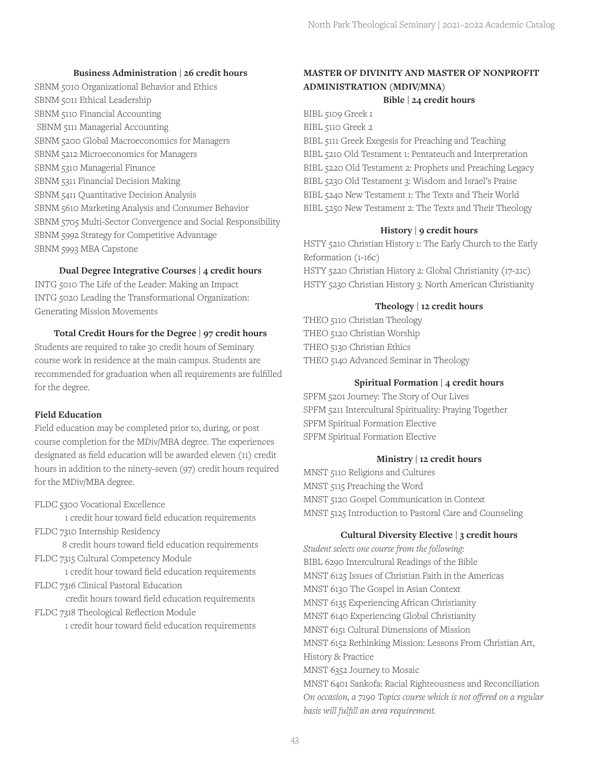#### **Business Administration | 26 credit hours**

SBNM 5010 Organizational Behavior and Ethics SBNM 5011 Ethical Leadership SBNM 5110 Financial Accounting SBNM 5111 Managerial Accounting SBNM 5200 Global Macroeconomics for Managers SBNM 5212 Microeconomics for Managers SBNM 5310 Managerial Finance SBNM 5311 Financial Decision Making SBNM 5411 Quantitative Decision Analysis SBNM 5610 Marketing Analysis and Consumer Behavior SBNM 5705 Multi-Sector Convergence and Social Responsibility SBNM 5992 Strategy for Competitive Advantage SBNM 5993 MBA Capstone

**Dual Degree Integrative Courses | 4 credit hours** 

INTG 5010 The Life of the Leader: Making an Impact INTG 5020 Leading the Transformational Organization: Generating Mission Movements

#### **Total Credit Hours for the Degree | 97 credit hours**

Students are required to take 30 credit hours of Seminary course work in residence at the main campus. Students are recommended for graduation when all requirements are fulfilled for the degree.

#### **Field Education**

Field education may be completed prior to, during, or post course completion for the MDiv/MBA degree. The experiences designated as field education will be awarded eleven (11) credit hours in addition to the ninety-seven (97) credit hours required for the MDiv/MBA degree.

FLDC 5300 Vocational Excellence

1 credit hour toward field education requirements FLDC 7310 Internship Residency

8 credit hours toward field education requirements FLDC 7315 Cultural Competency Module

1 credit hour toward field education requirements FLDC 7316 Clinical Pastoral Education

credit hours toward field education requirements FLDC 7318 Theological Reflection Module

1 credit hour toward field education requirements

## **MASTER OF DIVINITY AND MASTER OF NONPROFIT ADMINISTRATION (MDIV/MNA)**

#### **Bible | 24 credit hours**

BIBL 5109 Greek 1 BIBL 5110 Greek 2

BIBL 5111 Greek Exegesis for Preaching and Teaching BIBL 5210 Old Testament 1: Pentateuch and Interpretation BIBL 5220 Old Testament 2: Prophets and Preaching Legacy BIBL 5230 Old Testament 3: Wisdom and Israel's Praise BIBL 5240 New Testament 1: The Texts and Their World BIBL 5250 New Testament 2: The Texts and Their Theology

## **History | 9 credit hours**

HSTY 5210 Christian History 1: The Early Church to the Early Reformation (1-16c) HSTY 5220 Christian History 2: Global Christianity (17-21c) HSTY 5230 Christian History 3: North American Christianity

## **Theology | 12 credit hours**

THEO 5110 Christian Theology THEO 5120 Christian Worship THEO 5130 Christian Ethics THEO 5140 Advanced Seminar in Theology

#### **Spiritual Formation | 4 credit hours**

SPFM 5201 Journey: The Story of Our Lives SPFM 5211 Intercultural Spirituality: Praying Together SPFM Spiritual Formation Elective SPFM Spiritual Formation Elective

## **Ministry | 12 credit hours**

MNST 5110 Religions and Cultures MNST 5115 Preaching the Word MNST 5120 Gospel Communication in Context MNST 5125 Introduction to Pastoral Care and Counseling

#### **Cultural Diversity Elective | 3 credit hours**

*Student selects one course from the following:* BIBL 6290 Intercultural Readings of the Bible MNST 6125 Issues of Christian Faith in the Americas MNST 6130 The Gospel in Asian Context MNST 6135 Experiencing African Christianity MNST 6140 Experiencing Global Christianity MNST 6151 Cultural Dimensions of Mission MNST 6152 Rethinking Mission: Lessons From Christian Art, History & Practice MNST 6352 Journey to Mosaic MNST 6401 Sankofa: Racial Righteousness and Reconciliation *On occasion, a 7190 Topics course which is not offered on a regular basis will fulfill an area requirement.*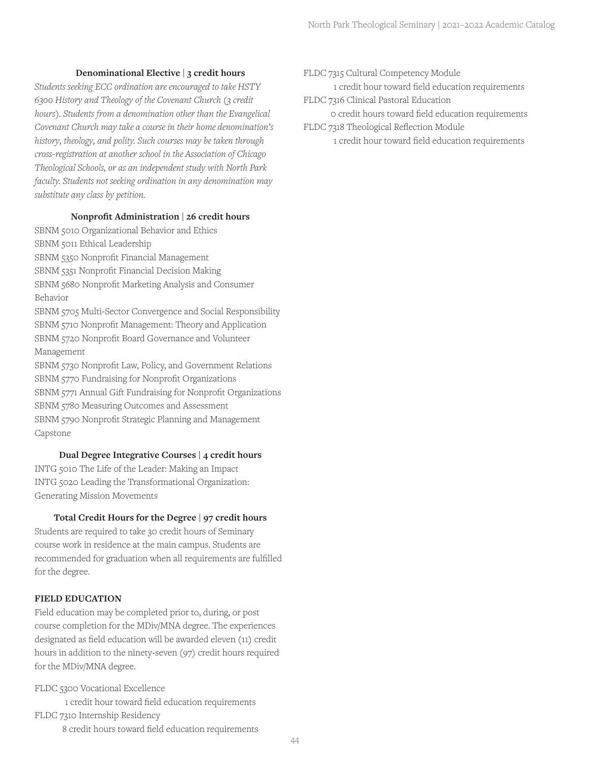#### **Denominational Elective | 3 credit hours**

*Students seeking ECC ordination are encouraged to take HSTY 6300 History and Theology of the Covenant Church (3 credit hours). Students from a denomination other than the Evangelical Covenant Church may take a course in their home denomination's history, theology, and polity. Such courses may be taken through cross-registration at another school in the Association of Chicago Theological Schools, or as an independent study with North Park faculty. Students not seeking ordination in any denomination may substitute any class by petition.*

#### **Nonprofit Administration | 26 credit hours**

SBNM 5010 Organizational Behavior and Ethics SBNM 5011 Ethical Leadership SBNM 5350 Nonprofit Financial Management SBNM 5351 Nonprofit Financial Decision Making SBNM 5680 Nonprofit Marketing Analysis and Consumer Behavior

SBNM 5705 Multi-Sector Convergence and Social Responsibility SBNM 5710 Nonprofit Management: Theory and Application SBNM 5720 Nonprofit Board Governance and Volunteer Management

SBNM 5730 Nonprofit Law, Policy, and Government Relations SBNM 5770 Fundraising for Nonprofit Organizations SBNM 5771 Annual Gift Fundraising for Nonprofit Organizations SBNM 5780 Measuring Outcomes and Assessment SBNM 5790 Nonprofit Strategic Planning and Management Capstone

#### **Dual Degree Integrative Courses | 4 credit hours**

INTG 5010 The Life of the Leader: Making an Impact INTG 5020 Leading the Transformational Organization: Generating Mission Movements

#### **Total Credit Hours for the Degree | 97 credit hours**

Students are required to take 30 credit hours of Seminary course work in residence at the main campus. Students are recommended for graduation when all requirements are fulfilled for the degree.

#### **FIELD EDUCATION**

Field education may be completed prior to, during, or post course completion for the MDiv/MNA degree. The experiences designated as field education will be awarded eleven (11) credit hours in addition to the ninety-seven (97) credit hours required for the MDiv/MNA degree.

FLDC 5300 Vocational Excellence

1 credit hour toward field education requirements FLDC 7310 Internship Residency 8 credit hours toward field education requirements FLDC 7315 Cultural Competency Module

1 credit hour toward field education requirements FLDC 7316 Clinical Pastoral Education

0 credit hours toward field education requirements

#### FLDC 7318 Theological Reflection Module

1 credit hour toward field education requirements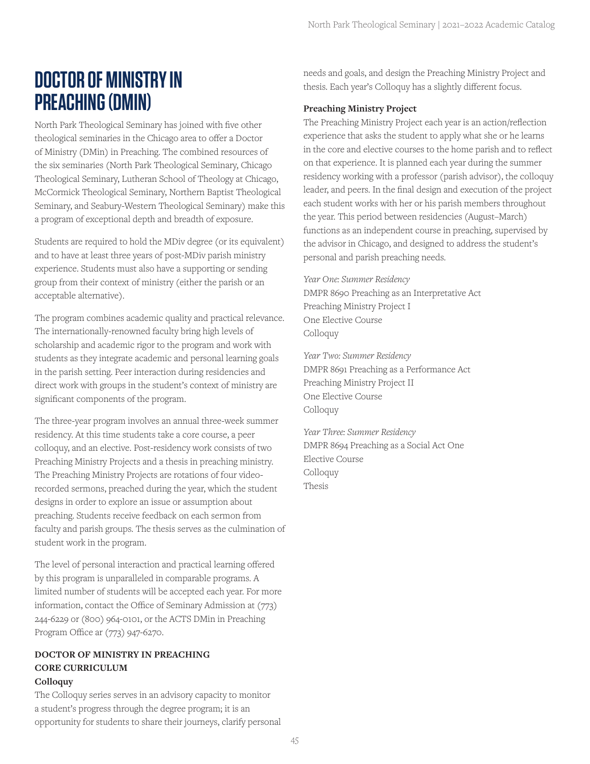## **DOCTOR OF MINISTRY IN PREACHING (DMIN)**

North Park Theological Seminary has joined with five other theological seminaries in the Chicago area to offer a Doctor of Ministry (DMin) in Preaching. The combined resources of the six seminaries (North Park Theological Seminary, Chicago Theological Seminary, Lutheran School of Theology at Chicago, McCormick Theological Seminary, Northern Baptist Theological Seminary, and Seabury-Western Theological Seminary) make this a program of exceptional depth and breadth of exposure.

Students are required to hold the MDiv degree (or its equivalent) and to have at least three years of post-MDiv parish ministry experience. Students must also have a supporting or sending group from their context of ministry (either the parish or an acceptable alternative).

The program combines academic quality and practical relevance. The internationally-renowned faculty bring high levels of scholarship and academic rigor to the program and work with students as they integrate academic and personal learning goals in the parish setting. Peer interaction during residencies and direct work with groups in the student's context of ministry are significant components of the program.

The three-year program involves an annual three-week summer residency. At this time students take a core course, a peer colloquy, and an elective. Post-residency work consists of two Preaching Ministry Projects and a thesis in preaching ministry. The Preaching Ministry Projects are rotations of four videorecorded sermons, preached during the year, which the student designs in order to explore an issue or assumption about preaching. Students receive feedback on each sermon from faculty and parish groups. The thesis serves as the culmination of student work in the program.

The level of personal interaction and practical learning offered by this program is unparalleled in comparable programs. A limited number of students will be accepted each year. For more information, contact the Office of Seminary Admission at (773) 244-6229 or (800) 964-0101, or the ACTS DMin in Preaching Program Office ar (773) 947-6270.

## **DOCTOR OF MINISTRY IN PREACHING CORE CURRICULUM Colloquy**

The Colloquy series serves in an advisory capacity to monitor a student's progress through the degree program; it is an opportunity for students to share their journeys, clarify personal needs and goals, and design the Preaching Ministry Project and thesis. Each year's Colloquy has a slightly different focus.

## **Preaching Ministry Project**

The Preaching Ministry Project each year is an action/reflection experience that asks the student to apply what she or he learns in the core and elective courses to the home parish and to reflect on that experience. It is planned each year during the summer residency working with a professor (parish advisor), the colloquy leader, and peers. In the final design and execution of the project each student works with her or his parish members throughout the year. This period between residencies (August–March) functions as an independent course in preaching, supervised by the advisor in Chicago, and designed to address the student's personal and parish preaching needs.

*Year One: Summer Residency* DMPR 8690 Preaching as an Interpretative Act Preaching Ministry Project I One Elective Course Colloquy

*Year Two: Summer Residency* DMPR 8691 Preaching as a Performance Act Preaching Ministry Project II One Elective Course Colloquy

*Year Three: Summer Residency* DMPR 8694 Preaching as a Social Act One Elective Course Colloquy Thesis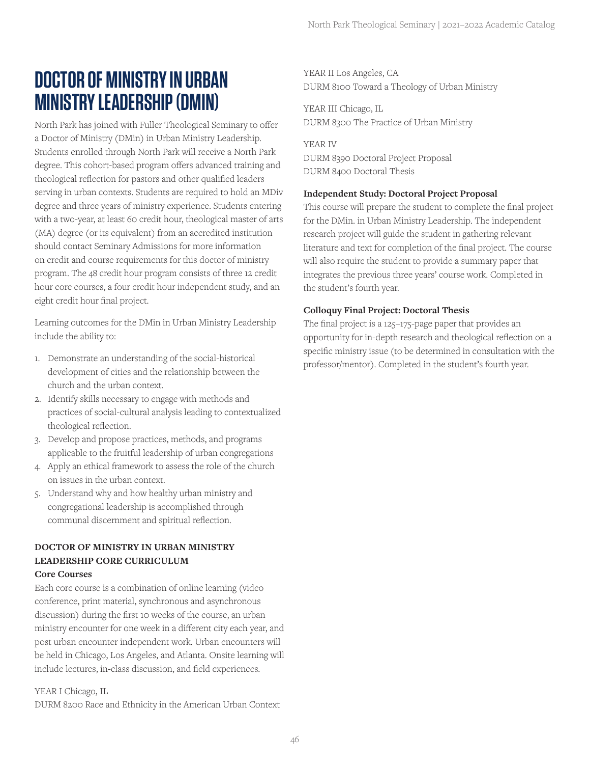## **DOCTOR OF MINISTRY IN URBAN MINISTRY LEADERSHIP (DMIN)**

North Park has joined with Fuller Theological Seminary to offer a Doctor of Ministry (DMin) in Urban Ministry Leadership. Students enrolled through North Park will receive a North Park degree. This cohort-based program offers advanced training and theological reflection for pastors and other qualified leaders serving in urban contexts. Students are required to hold an MDiv degree and three years of ministry experience. Students entering with a two-year, at least 60 credit hour, theological master of arts (MA) degree (or its equivalent) from an accredited institution should contact Seminary Admissions for more information on credit and course requirements for this doctor of ministry program. The 48 credit hour program consists of three 12 credit hour core courses, a four credit hour independent study, and an eight credit hour final project.

Learning outcomes for the DMin in Urban Ministry Leadership include the ability to:

- 1. Demonstrate an understanding of the social-historical development of cities and the relationship between the church and the urban context.
- 2. Identify skills necessary to engage with methods and practices of social-cultural analysis leading to contextualized theological reflection.
- 3. Develop and propose practices, methods, and programs applicable to the fruitful leadership of urban congregations
- 4. Apply an ethical framework to assess the role of the church on issues in the urban context.
- 5. Understand why and how healthy urban ministry and congregational leadership is accomplished through communal discernment and spiritual reflection.

## **DOCTOR OF MINISTRY IN URBAN MINISTRY LEADERSHIP CORE CURRICULUM Core Courses**

Each core course is a combination of online learning (video conference, print material, synchronous and asynchronous discussion) during the first 10 weeks of the course, an urban ministry encounter for one week in a different city each year, and post urban encounter independent work. Urban encounters will be held in Chicago, Los Angeles, and Atlanta. Onsite learning will include lectures, in-class discussion, and field experiences.

YEAR I Chicago, IL

DURM 8200 Race and Ethnicity in the American Urban Context

YEAR II Los Angeles, CA DURM 8100 Toward a Theology of Urban Ministry

YEAR III Chicago, IL DURM 8300 The Practice of Urban Ministry

YEAR IV DURM 8390 Doctoral Project Proposal DURM 8400 Doctoral Thesis

## **Independent Study: Doctoral Project Proposal**

This course will prepare the student to complete the final project for the DMin. in Urban Ministry Leadership. The independent research project will guide the student in gathering relevant literature and text for completion of the final project. The course will also require the student to provide a summary paper that integrates the previous three years' course work. Completed in the student's fourth year.

## **Colloquy Final Project: Doctoral Thesis**

The final project is a 125–175-page paper that provides an opportunity for in-depth research and theological reflection on a specific ministry issue (to be determined in consultation with the professor/mentor). Completed in the student's fourth year.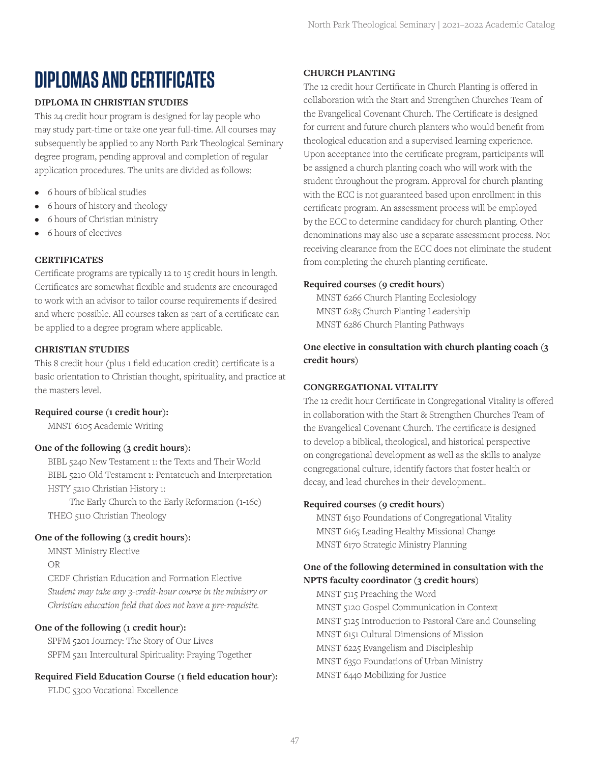## **DIPLOMAS AND CERTIFICATES**

## **DIPLOMA IN CHRISTIAN STUDIES**

This 24 credit hour program is designed for lay people who may study part-time or take one year full-time. All courses may subsequently be applied to any North Park Theological Seminary degree program, pending approval and completion of regular application procedures. The units are divided as follows:

- 6 hours of biblical studies
- 6 hours of history and theology
- 6 hours of Christian ministry
- 6 hours of electives

## **CERTIFICATES**

Certificate programs are typically 12 to 15 credit hours in length. Certificates are somewhat flexible and students are encouraged to work with an advisor to tailor course requirements if desired and where possible. All courses taken as part of a certificate can be applied to a degree program where applicable.

## **CHRISTIAN STUDIES**

This 8 credit hour (plus 1 field education credit) certificate is a basic orientation to Christian thought, spirituality, and practice at the masters level.

#### **Required course (1 credit hour):**

MNST 6105 Academic Writing

#### **One of the following (3 credit hours):**

BIBL 5240 New Testament 1: the Texts and Their World BIBL 5210 Old Testament 1: Pentateuch and Interpretation HSTY 5210 Christian History 1:

 The Early Church to the Early Reformation (1-16c) THEO 5110 Christian Theology

#### **One of the following (3 credit hours):**

MNST Ministry Elective

OR

CEDF Christian Education and Formation Elective *Student may take any 3-credit-hour course in the ministry or Christian education field that does not have a pre-requisite.*

## **One of the following (1 credit hour):**

SPFM 5201 Journey: The Story of Our Lives SPFM 5211 Intercultural Spirituality: Praying Together

## **Required Field Education Course (1 field education hour):**

FLDC 5300 Vocational Excellence

#### **CHURCH PLANTING**

The 12 credit hour Certificate in Church Planting is offered in collaboration with the Start and Strengthen Churches Team of the Evangelical Covenant Church. The Certificate is designed for current and future church planters who would benefit from theological education and a supervised learning experience. Upon acceptance into the certificate program, participants will be assigned a church planting coach who will work with the student throughout the program. Approval for church planting with the ECC is not guaranteed based upon enrollment in this certificate program. An assessment process will be employed by the ECC to determine candidacy for church planting. Other denominations may also use a separate assessment process. Not receiving clearance from the ECC does not eliminate the student from completing the church planting certificate.

## **Required courses (9 credit hours)**

MNST 6266 Church Planting Ecclesiology MNST 6285 Church Planting Leadership MNST 6286 Church Planting Pathways

**One elective in consultation with church planting coach (3 credit hours)**

## **CONGREGATIONAL VITALITY**

The 12 credit hour Certificate in Congregational Vitality is offered in collaboration with the Start & Strengthen Churches Team of the Evangelical Covenant Church. The certificate is designed to develop a biblical, theological, and historical perspective on congregational development as well as the skills to analyze congregational culture, identify factors that foster health or decay, and lead churches in their development..

#### **Required courses (9 credit hours)**

MNST 6150 Foundations of Congregational Vitality MNST 6165 Leading Healthy Missional Change MNST 6170 Strategic Ministry Planning

## **One of the following determined in consultation with the NPTS faculty coordinator (3 credit hours)**

MNST 5115 Preaching the Word MNST 5120 Gospel Communication in Context MNST 5125 Introduction to Pastoral Care and Counseling MNST 6151 Cultural Dimensions of Mission MNST 6225 Evangelism and Discipleship MNST 6350 Foundations of Urban Ministry MNST 6440 Mobilizing for Justice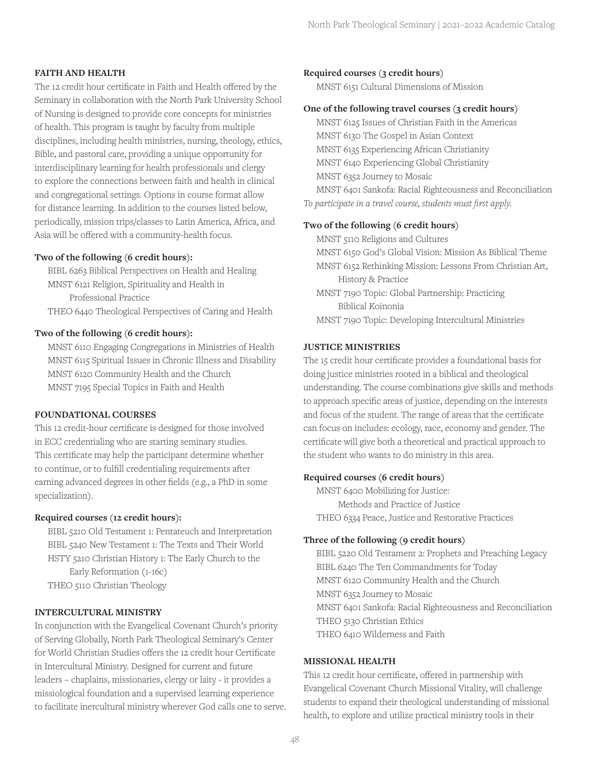#### **FAITH AND HEALTH**

The 12 credit hour certificate in Faith and Health offered by the Seminary in collaboration with the North Park University School of Nursing is designed to provide core concepts for ministries of health. This program is taught by faculty from multiple disciplines, including health ministries, nursing, theology, ethics, Bible, and pastoral care, providing a unique opportunity for interdisciplinary learning for health professionals and clergy to explore the connections between faith and health in clinical and congregational settings. Options in course format allow for distance learning. In addition to the courses listed below, periodically, mission trips/classes to Latin America, Africa, and Asia will be offered with a community-health focus.

#### **Two of the following (6 credit hours):**

BIBL 6263 Biblical Perspectives on Health and Healing MNST 6121 Religion, Spirituality and Health in Professional Practice THEO 6440 Theological Perspectives of Caring and Health

#### **Two of the following (6 credit hours):**

MNST 6110 Engaging Congregations in Ministries of Health MNST 6115 Spiritual Issues in Chronic Illness and Disability MNST 6120 Community Health and the Church MNST 7195 Special Topics in Faith and Health

#### **FOUNDATIONAL COURSES**

This 12 credit-hour certificate is designed for those involved in ECC credentialing who are starting seminary studies. This certificate may help the participant determine whether to continue, or to fulfill credentialing requirements after earning advanced degrees in other fields (e.g., a PhD in some specialization).

#### **Required courses (12 credit hours):**

BIBL 5210 Old Testament 1: Pentateuch and Interpretation BIBL 5240 New Testament 1: The Texts and Their World HSTY 5210 Christian History 1: The Early Church to the Early Reformation (1-16c)

THEO 5110 Christian Theology

#### **INTERCULTURAL MINISTRY**

In conjunction with the Evangelical Covenant Church's priority of Serving Globally, North Park Theological Seminary's Center for World Christian Studies offers the 12 credit hour Certificate in Intercultural Ministry. Designed for current and future leaders – chaplains, missionaries, clergy or laity - it provides a missiological foundation and a supervised learning experience to facilitate inercultural ministry wherever God calls one to serve.

#### **Required courses (3 credit hours)**

MNST 6151 Cultural Dimensions of Mission

#### **One of the following travel courses (3 credit hours)**

MNST 6125 Issues of Christian Faith in the Americas MNST 6130 The Gospel in Asian Context MNST 6135 Experiencing African Christianity MNST 6140 Experiencing Global Christianity MNST 6352 Journey to Mosaic MNST 6401 Sankofa: Racial Righteousness and Reconciliation *To participate in a travel course, students must first apply.*

#### **Two of the following (6 credit hours)**

MNST 5110 Religions and Cultures

MNST 6150 God's Global Vision: Mission As Biblical Theme

- MNST 6152 Rethinking Mission: Lessons From Christian Art, History & Practice
- MNST 7190 Topic: Global Partnership: Practicing Biblical Koinonia

MNST 7190 Topic: Developing Intercultural Ministries

#### **JUSTICE MINISTRIES**

The 15 credit hour certificate provides a foundational basis for doing justice ministries rooted in a biblical and theological understanding. The course combinations give skills and methods to approach specific areas of justice, depending on the interests and focus of the student. The range of areas that the certificate can focus on includes: ecology, race, economy and gender. The certificate will give both a theoretical and practical approach to the student who wants to do ministry in this area.

#### **Required courses (6 credit hours)**

MNST 6400 Mobilizing for Justice: Methods and Practice of Justice THEO 6334 Peace, Justice and Restorative Practices

## **Three of the following (9 credit hours)**

BIBL 5220 Old Testament 2: Prophets and Preaching Legacy BIBL 6240 The Ten Commandments for Today MNST 6120 Community Health and the Church MNST 6352 Journey to Mosaic MNST 6401 Sankofa: Racial Righteousness and Reconciliation THEO 5130 Christian Ethics THEO 6410 Wilderness and Faith

#### **MISSIONAL HEALTH**

This 12 credit hour certificate, offered in partnership with Evangelical Covenant Church Missional Vitality, will challenge students to expand their theological understanding of missional health, to explore and utilize practical ministry tools in their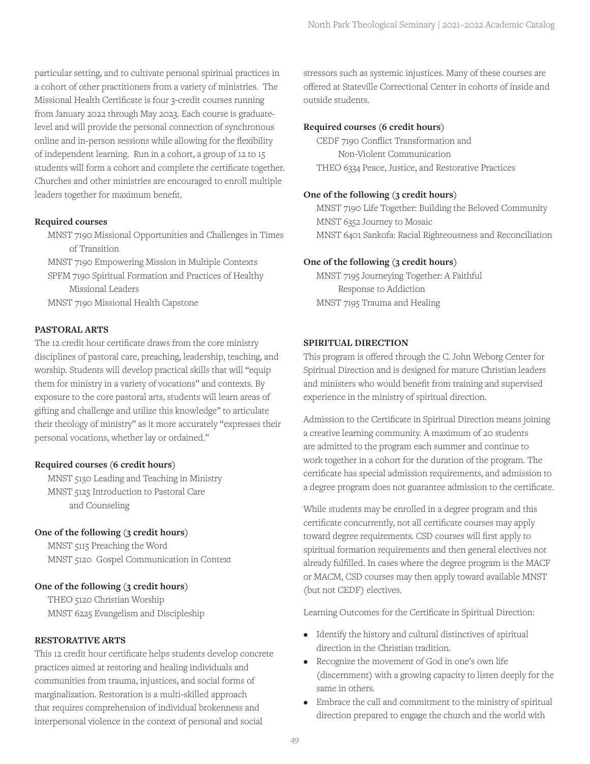particular setting, and to cultivate personal spiritual practices in a cohort of other practitioners from a variety of ministries. The Missional Health Certificate is four 3-credit courses running from January 2022 through May 2023. Each course is graduatelevel and will provide the personal connection of synchronous online and in-person sessions while allowing for the flexibility of independent learning. Run in a cohort, a group of 12 to 15 students will form a cohort and complete the certificate together. Churches and other ministries are encouraged to enroll multiple leaders together for maximum benefit.

#### **Required courses**

MNST 7190 Missional Opportunities and Challenges in Times of Transition

MNST 7190 Empowering Mission in Multiple Contexts SPFM 7190 Spiritual Formation and Practices of Healthy Missional Leaders

MNST 7190 Missional Health Capstone

#### **PASTORAL ARTS**

The 12 credit hour certificate draws from the core ministry disciplines of pastoral care, preaching, leadership, teaching, and worship. Students will develop practical skills that will "equip them for ministry in a variety of vocations" and contexts. By exposure to the core pastoral arts, students will learn areas of gifting and challenge and utilize this knowledge" to articulate their theology of ministry" as it more accurately "expresses their personal vocations, whether lay or ordained."

#### **Required courses (6 credit hours)**

MNST 5130 Leading and Teaching in Ministry MNST 5125 Introduction to Pastoral Care and Counseling

#### **One of the following (3 credit hours)**

MNST 5115 Preaching the Word MNST 5120 Gospel Communication in Context

#### **One of the following (3 credit hours)**

THEO 5120 Christian Worship MNST 6225 Evangelism and Discipleship

#### **RESTORATIVE ARTS**

This 12 credit hour certificate helps students develop concrete practices aimed at restoring and healing individuals and communities from trauma, injustices, and social forms of marginalization. Restoration is a multi-skilled approach that requires comprehension of individual brokenness and interpersonal violence in the context of personal and social

stressors such as systemic injustices. Many of these courses are offered at Stateville Correctional Center in cohorts of inside and outside students.

#### **Required courses (6 credit hours)**

CEDF 7190 Conflict Transformation and Non-Violent Communication THEO 6334 Peace, Justice, and Restorative Practices

#### **One of the following (3 credit hours)**

MNST 7190 Life Together: Building the Beloved Community MNST 6352 Journey to Mosaic MNST 6401 Sankofa: Racial Righteousness and Reconciliation

#### **One of the following (3 credit hours)**

MNST 7195 Journeying Together: A Faithful Response to Addiction MNST 7195 Trauma and Healing

#### **SPIRITUAL DIRECTION**

This program is offered through the C. John Weborg Center for Spiritual Direction and is designed for mature Christian leaders and ministers who would benefit from training and supervised experience in the ministry of spiritual direction.

Admission to the Certificate in Spiritual Direction means joining a creative learning community. A maximum of 20 students are admitted to the program each summer and continue to work together in a cohort for the duration of the program. The certificate has special admission requirements, and admission to a degree program does not guarantee admission to the certificate.

While students may be enrolled in a degree program and this certificate concurrently, not all certificate courses may apply toward degree requirements. CSD courses will first apply to spiritual formation requirements and then general electives not already fulfilled. In cases where the degree program is the MACF or MACM, CSD courses may then apply toward available MNST (but not CEDF) electives.

Learning Outcomes for the Certificate in Spiritual Direction:

- Identify the history and cultural distinctives of spiritual direction in the Christian tradition.
- Recognize the movement of God in one's own life (discernment) with a growing capacity to listen deeply for the same in others.
- Embrace the call and commitment to the ministry of spiritual direction prepared to engage the church and the world with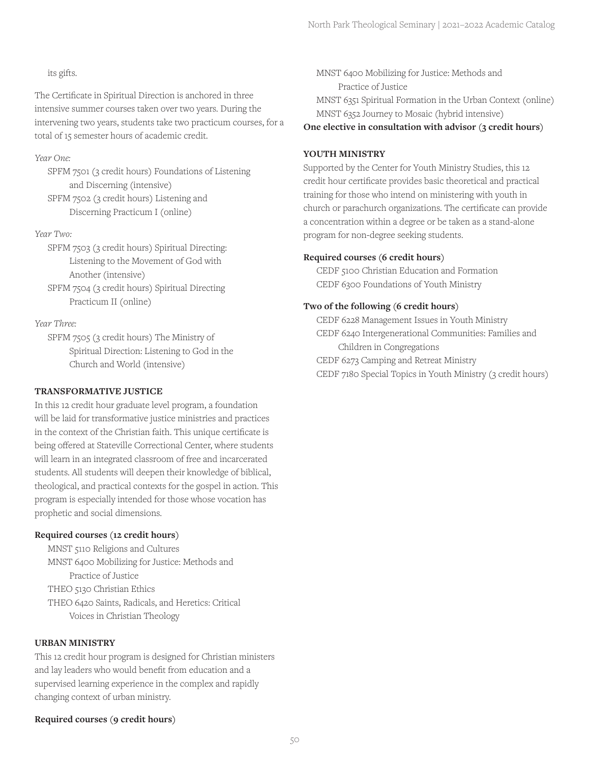## its gifts.

The Certificate in Spiritual Direction is anchored in three intensive summer courses taken over two years. During the intervening two years, students take two practicum courses, for a total of 15 semester hours of academic credit.

## *Year One:*

SPFM 7501 (3 credit hours) Foundations of Listening and Discerning (intensive) SPFM 7502 (3 credit hours) Listening and

Discerning Practicum I (online)

#### *Year Two:*

SPFM 7503 (3 credit hours) Spiritual Directing: Listening to the Movement of God with Another (intensive)

SPFM 7504 (3 credit hours) Spiritual Directing Practicum II (online)

## *Year Three:*

SPFM 7505 (3 credit hours) The Ministry of Spiritual Direction: Listening to God in the Church and World (intensive)

## **TRANSFORMATIVE JUSTICE**

In this 12 credit hour graduate level program, a foundation will be laid for transformative justice ministries and practices in the context of the Christian faith. This unique certificate is being offered at Stateville Correctional Center, where students will learn in an integrated classroom of free and incarcerated students. All students will deepen their knowledge of biblical, theological, and practical contexts for the gospel in action. This program is especially intended for those whose vocation has prophetic and social dimensions.

#### **Required courses (12 credit hours)**

MNST 5110 Religions and Cultures MNST 6400 Mobilizing for Justice: Methods and Practice of Justice THEO 5130 Christian Ethics THEO 6420 Saints, Radicals, and Heretics: Critical Voices in Christian Theology

#### **URBAN MINISTRY**

This 12 credit hour program is designed for Christian ministers and lay leaders who would benefit from education and a supervised learning experience in the complex and rapidly changing context of urban ministry.

#### **Required courses (9 credit hours)**

MNST 6400 Mobilizing for Justice: Methods and Practice of Justice MNST 6351 Spiritual Formation in the Urban Context (online) MNST 6352 Journey to Mosaic (hybrid intensive)

## **One elective in consultation with advisor (3 credit hours)**

## **YOUTH MINISTRY**

Supported by the Center for Youth Ministry Studies, this 12 credit hour certificate provides basic theoretical and practical training for those who intend on ministering with youth in church or parachurch organizations. The certificate can provide a concentration within a degree or be taken as a stand-alone program for non-degree seeking students.

#### **Required courses (6 credit hours)**

CEDF 5100 Christian Education and Formation CEDF 6300 Foundations of Youth Ministry

#### **Two of the following (6 credit hours)**

CEDF 6228 Management Issues in Youth Ministry CEDF 6240 Intergenerational Communities: Families and Children in Congregations CEDF 6273 Camping and Retreat Ministry CEDF 7180 Special Topics in Youth Ministry (3 credit hours)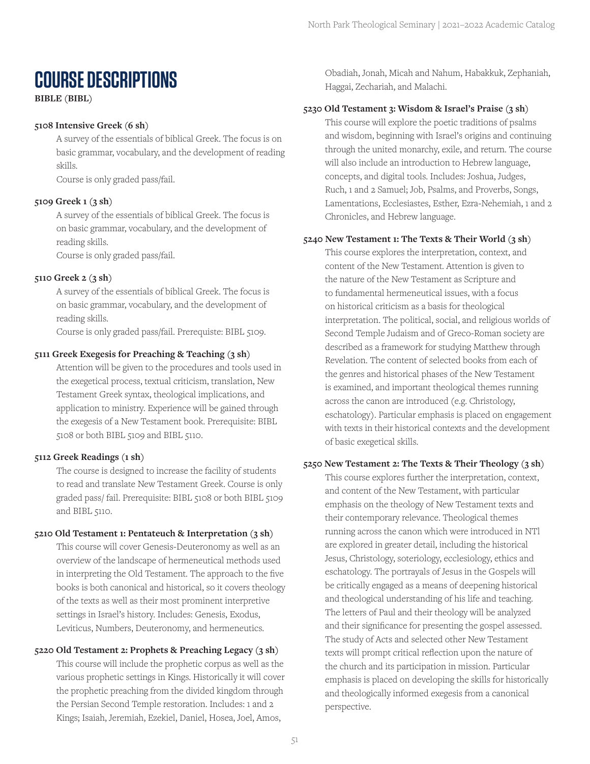## **COURSE DESCRIPTIONS**

**BIBLE (BIBL)**

## **5108 Intensive Greek (6 sh)**

A survey of the essentials of biblical Greek. The focus is on basic grammar, vocabulary, and the development of reading skills.

Course is only graded pass/fail.

## **5109 Greek 1 (3 sh)**

A survey of the essentials of biblical Greek. The focus is on basic grammar, vocabulary, and the development of reading skills.

Course is only graded pass/fail.

## **5110 Greek 2 (3 sh)**

A survey of the essentials of biblical Greek. The focus is on basic grammar, vocabulary, and the development of reading skills.

Course is only graded pass/fail. Prerequiste: BIBL 5109.

## **5111 Greek Exegesis for Preaching & Teaching (3 sh)**

Attention will be given to the procedures and tools used in the exegetical process, textual criticism, translation, New Testament Greek syntax, theological implications, and application to ministry. Experience will be gained through the exegesis of a New Testament book. Prerequisite: BIBL 5108 or both BIBL 5109 and BIBL 5110.

## **5112 Greek Readings (1 sh)**

The course is designed to increase the facility of students to read and translate New Testament Greek. Course is only graded pass/ fail. Prerequisite: BIBL 5108 or both BIBL 5109 and BIBL 5110.

#### **5210 Old Testament 1: Pentateuch & Interpretation (3 sh)**

This course will cover Genesis-Deuteronomy as well as an overview of the landscape of hermeneutical methods used in interpreting the Old Testament. The approach to the five books is both canonical and historical, so it covers theology of the texts as well as their most prominent interpretive settings in Israel's history. Includes: Genesis, Exodus, Leviticus, Numbers, Deuteronomy, and hermeneutics.

## **5220 Old Testament 2: Prophets & Preaching Legacy (3 sh)**

This course will include the prophetic corpus as well as the various prophetic settings in Kings. Historically it will cover the prophetic preaching from the divided kingdom through the Persian Second Temple restoration. Includes: 1 and 2 Kings; Isaiah, Jeremiah, Ezekiel, Daniel, Hosea, Joel, Amos,

Obadiah, Jonah, Micah and Nahum, Habakkuk, Zephaniah, Haggai, Zechariah, and Malachi.

## **5230 Old Testament 3: Wisdom & Israel's Praise (3 sh)**

This course will explore the poetic traditions of psalms and wisdom, beginning with Israel's origins and continuing through the united monarchy, exile, and return. The course will also include an introduction to Hebrew language, concepts, and digital tools. Includes: Joshua, Judges, Ruch, 1 and 2 Samuel; Job, Psalms, and Proverbs, Songs, Lamentations, Ecclesiastes, Esther, Ezra-Nehemiah, 1 and 2 Chronicles, and Hebrew language.

## **5240 New Testament 1: The Texts & Their World (3 sh)**

This course explores the interpretation, context, and content of the New Testament. Attention is given to the nature of the New Testament as Scripture and to fundamental hermeneutical issues, with a focus on historical criticism as a basis for theological interpretation. The political, social, and religious worlds of Second Temple Judaism and of Greco-Roman society are described as a framework for studying Matthew through Revelation. The content of selected books from each of the genres and historical phases of the New Testament is examined, and important theological themes running across the canon are introduced (e.g. Christology, eschatology). Particular emphasis is placed on engagement with texts in their historical contexts and the development of basic exegetical skills.

#### **5250 New Testament 2: The Texts & Their Theology (3 sh)**

This course explores further the interpretation, context, and content of the New Testament, with particular emphasis on the theology of New Testament texts and their contemporary relevance. Theological themes running across the canon which were introduced in NTl are explored in greater detail, including the historical Jesus, Christology, soteriology, ecclesiology, ethics and eschatology. The portrayals of Jesus in the Gospels will be critically engaged as a means of deepening historical and theological understanding of his life and teaching. The letters of Paul and their theology will be analyzed and their significance for presenting the gospel assessed. The study of Acts and selected other New Testament texts will prompt critical reflection upon the nature of the church and its participation in mission. Particular emphasis is placed on developing the skills for historically and theologically informed exegesis from a canonical perspective.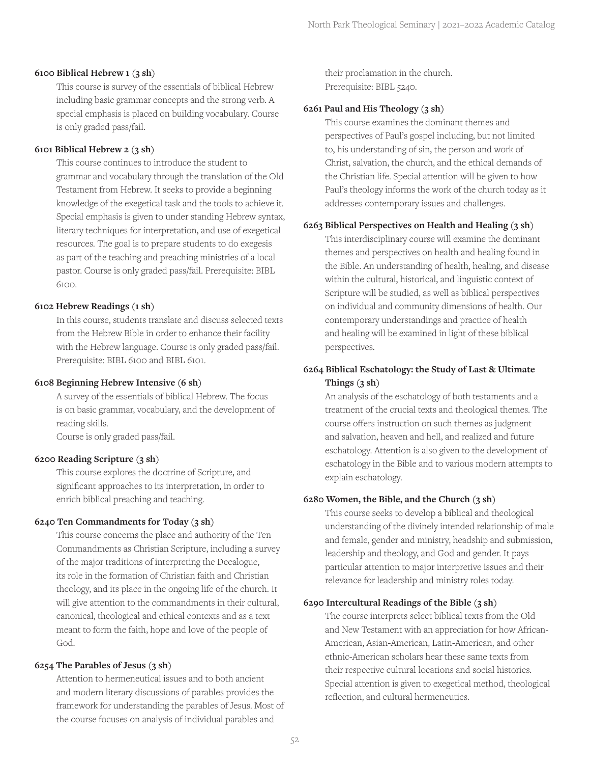#### **6100 Biblical Hebrew 1 (3 sh)**

This course is survey of the essentials of biblical Hebrew including basic grammar concepts and the strong verb. A special emphasis is placed on building vocabulary. Course is only graded pass/fail.

#### **6101 Biblical Hebrew 2 (3 sh)**

This course continues to introduce the student to grammar and vocabulary through the translation of the Old Testament from Hebrew. It seeks to provide a beginning knowledge of the exegetical task and the tools to achieve it. Special emphasis is given to under standing Hebrew syntax, literary techniques for interpretation, and use of exegetical resources. The goal is to prepare students to do exegesis as part of the teaching and preaching ministries of a local pastor. Course is only graded pass/fail. Prerequisite: BIBL 6100.

#### **6102 Hebrew Readings (1 sh)**

In this course, students translate and discuss selected texts from the Hebrew Bible in order to enhance their facility with the Hebrew language. Course is only graded pass/fail. Prerequisite: BIBL 6100 and BIBL 6101.

#### **6108 Beginning Hebrew Intensive (6 sh)**

A survey of the essentials of biblical Hebrew. The focus is on basic grammar, vocabulary, and the development of reading skills.

Course is only graded pass/fail.

#### **6200 Reading Scripture (3 sh)**

This course explores the doctrine of Scripture, and significant approaches to its interpretation, in order to enrich biblical preaching and teaching.

#### **6240 Ten Commandments for Today (3 sh)**

This course concerns the place and authority of the Ten Commandments as Christian Scripture, including a survey of the major traditions of interpreting the Decalogue, its role in the formation of Christian faith and Christian theology, and its place in the ongoing life of the church. It will give attention to the commandments in their cultural, canonical, theological and ethical contexts and as a text meant to form the faith, hope and love of the people of God.

#### **6254 The Parables of Jesus (3 sh)**

Attention to hermeneutical issues and to both ancient and modern literary discussions of parables provides the framework for understanding the parables of Jesus. Most of the course focuses on analysis of individual parables and

their proclamation in the church. Prerequisite: BIBL 5240.

#### **6261 Paul and His Theology (3 sh)**

This course examines the dominant themes and perspectives of Paul's gospel including, but not limited to, his understanding of sin, the person and work of Christ, salvation, the church, and the ethical demands of the Christian life. Special attention will be given to how Paul's theology informs the work of the church today as it addresses contemporary issues and challenges.

#### **6263 Biblical Perspectives on Health and Healing (3 sh)**

This interdisciplinary course will examine the dominant themes and perspectives on health and healing found in the Bible. An understanding of health, healing, and disease within the cultural, historical, and linguistic context of Scripture will be studied, as well as biblical perspectives on individual and community dimensions of health. Our contemporary understandings and practice of health and healing will be examined in light of these biblical perspectives.

## **6264 Biblical Eschatology: the Study of Last & Ultimate Things (3 sh)**

An analysis of the eschatology of both testaments and a treatment of the crucial texts and theological themes. The course offers instruction on such themes as judgment and salvation, heaven and hell, and realized and future eschatology. Attention is also given to the development of eschatology in the Bible and to various modern attempts to explain eschatology.

## **6280 Women, the Bible, and the Church (3 sh)**

This course seeks to develop a biblical and theological understanding of the divinely intended relationship of male and female, gender and ministry, headship and submission, leadership and theology, and God and gender. It pays particular attention to major interpretive issues and their relevance for leadership and ministry roles today.

#### **6290 Intercultural Readings of the Bible (3 sh)**

The course interprets select biblical texts from the Old and New Testament with an appreciation for how African-American, Asian-American, Latin-American, and other ethnic-American scholars hear these same texts from their respective cultural locations and social histories. Special attention is given to exegetical method, theological reflection, and cultural hermeneutics.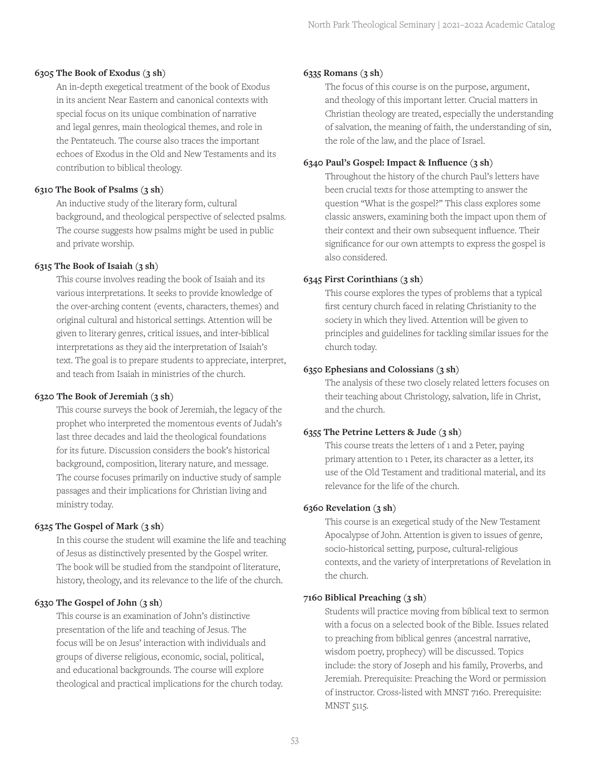#### **6305 The Book of Exodus (3 sh)**

An in-depth exegetical treatment of the book of Exodus in its ancient Near Eastern and canonical contexts with special focus on its unique combination of narrative and legal genres, main theological themes, and role in the Pentateuch. The course also traces the important echoes of Exodus in the Old and New Testaments and its contribution to biblical theology.

## **6310 The Book of Psalms (3 sh)**

An inductive study of the literary form, cultural background, and theological perspective of selected psalms. The course suggests how psalms might be used in public and private worship.

## **6315 The Book of Isaiah (3 sh)**

This course involves reading the book of Isaiah and its various interpretations. It seeks to provide knowledge of the over-arching content (events, characters, themes) and original cultural and historical settings. Attention will be given to literary genres, critical issues, and inter-biblical interpretations as they aid the interpretation of Isaiah's text. The goal is to prepare students to appreciate, interpret, and teach from Isaiah in ministries of the church.

## **6320 The Book of Jeremiah (3 sh)**

This course surveys the book of Jeremiah, the legacy of the prophet who interpreted the momentous events of Judah's last three decades and laid the theological foundations for its future. Discussion considers the book's historical background, composition, literary nature, and message. The course focuses primarily on inductive study of sample passages and their implications for Christian living and ministry today.

## **6325 The Gospel of Mark (3 sh)**

In this course the student will examine the life and teaching of Jesus as distinctively presented by the Gospel writer. The book will be studied from the standpoint of literature, history, theology, and its relevance to the life of the church.

## **6330 The Gospel of John (3 sh)**

This course is an examination of John's distinctive presentation of the life and teaching of Jesus. The focus will be on Jesus' interaction with individuals and groups of diverse religious, economic, social, political, and educational backgrounds. The course will explore theological and practical implications for the church today.

#### **6335 Romans (3 sh)**

The focus of this course is on the purpose, argument, and theology of this important letter. Crucial matters in Christian theology are treated, especially the understanding of salvation, the meaning of faith, the understanding of sin, the role of the law, and the place of Israel.

## **6340 Paul's Gospel: Impact & Influence (3 sh)**

Throughout the history of the church Paul's letters have been crucial texts for those attempting to answer the question "What is the gospel?" This class explores some classic answers, examining both the impact upon them of their context and their own subsequent influence. Their significance for our own attempts to express the gospel is also considered.

## **6345 First Corinthians (3 sh)**

This course explores the types of problems that a typical first century church faced in relating Christianity to the society in which they lived. Attention will be given to principles and guidelines for tackling similar issues for the church today.

## **6350 Ephesians and Colossians (3 sh)**

The analysis of these two closely related letters focuses on their teaching about Christology, salvation, life in Christ, and the church.

## **6355 The Petrine Letters & Jude (3 sh)**

This course treats the letters of 1 and 2 Peter, paying primary attention to 1 Peter, its character as a letter, its use of the Old Testament and traditional material, and its relevance for the life of the church.

## **6360 Revelation (3 sh)**

This course is an exegetical study of the New Testament Apocalypse of John. Attention is given to issues of genre, socio-historical setting, purpose, cultural-religious contexts, and the variety of interpretations of Revelation in the church.

#### **7160 Biblical Preaching (3 sh)**

Students will practice moving from biblical text to sermon with a focus on a selected book of the Bible. Issues related to preaching from biblical genres (ancestral narrative, wisdom poetry, prophecy) will be discussed. Topics include: the story of Joseph and his family, Proverbs, and Jeremiah. Prerequisite: Preaching the Word or permission of instructor. Cross-listed with MNST 7160. Prerequisite: MNST 5115.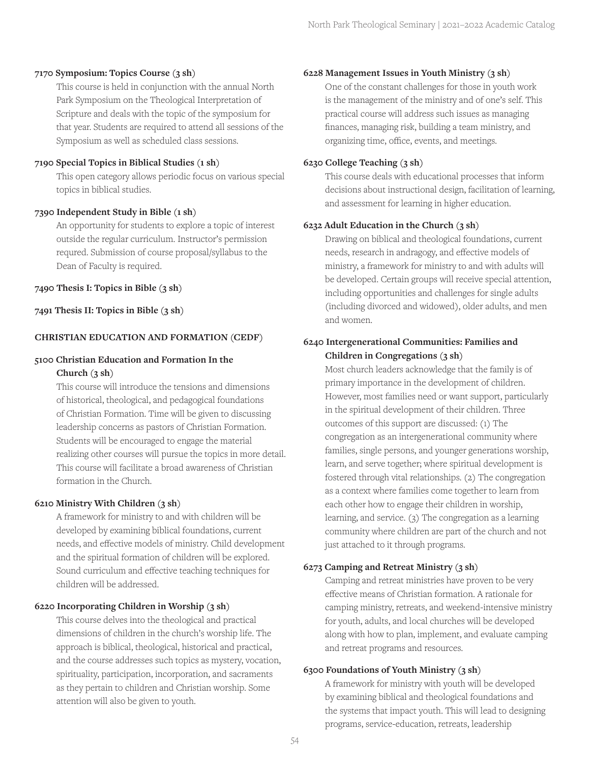#### **7170 Symposium: Topics Course (3 sh)**

This course is held in conjunction with the annual North Park Symposium on the Theological Interpretation of Scripture and deals with the topic of the symposium for that year. Students are required to attend all sessions of the Symposium as well as scheduled class sessions.

#### **7190 Special Topics in Biblical Studies (1 sh)**

This open category allows periodic focus on various special topics in biblical studies.

#### **7390 Independent Study in Bible (1 sh)**

An opportunity for students to explore a topic of interest outside the regular curriculum. Instructor's permission requred. Submission of course proposal/syllabus to the Dean of Faculty is required.

#### **7490 Thesis I: Topics in Bible (3 sh)**

**7491 Thesis II: Topics in Bible (3 sh)**

#### **CHRISTIAN EDUCATION AND FORMATION (CEDF)**

#### **5100 Christian Education and Formation In the Church (3 sh)**

This course will introduce the tensions and dimensions of historical, theological, and pedagogical foundations of Christian Formation. Time will be given to discussing leadership concerns as pastors of Christian Formation. Students will be encouraged to engage the material realizing other courses will pursue the topics in more detail. This course will facilitate a broad awareness of Christian formation in the Church.

#### **6210 Ministry With Children (3 sh)**

A framework for ministry to and with children will be developed by examining biblical foundations, current needs, and effective models of ministry. Child development and the spiritual formation of children will be explored. Sound curriculum and effective teaching techniques for children will be addressed.

#### **6220 Incorporating Children in Worship (3 sh)**

This course delves into the theological and practical dimensions of children in the church's worship life. The approach is biblical, theological, historical and practical, and the course addresses such topics as mystery, vocation, spirituality, participation, incorporation, and sacraments as they pertain to children and Christian worship. Some attention will also be given to youth.

#### **6228 Management Issues in Youth Ministry (3 sh)**

One of the constant challenges for those in youth work is the management of the ministry and of one's self. This practical course will address such issues as managing finances, managing risk, building a team ministry, and organizing time, office, events, and meetings.

#### **6230 College Teaching (3 sh)**

This course deals with educational processes that inform decisions about instructional design, facilitation of learning, and assessment for learning in higher education.

#### **6232 Adult Education in the Church (3 sh)**

Drawing on biblical and theological foundations, current needs, research in andragogy, and effective models of ministry, a framework for ministry to and with adults will be developed. Certain groups will receive special attention, including opportunities and challenges for single adults (including divorced and widowed), older adults, and men and women.

## **6240 Intergenerational Communities: Families and Children in Congregations (3 sh)**

Most church leaders acknowledge that the family is of primary importance in the development of children. However, most families need or want support, particularly in the spiritual development of their children. Three outcomes of this support are discussed: (1) The congregation as an intergenerational community where families, single persons, and younger generations worship, learn, and serve together; where spiritual development is fostered through vital relationships. (2) The congregation as a context where families come together to learn from each other how to engage their children in worship, learning, and service. (3) The congregation as a learning community where children are part of the church and not just attached to it through programs.

#### **6273 Camping and Retreat Ministry (3 sh)**

Camping and retreat ministries have proven to be very effective means of Christian formation. A rationale for camping ministry, retreats, and weekend-intensive ministry for youth, adults, and local churches will be developed along with how to plan, implement, and evaluate camping and retreat programs and resources.

#### **6300 Foundations of Youth Ministry (3 sh)**

A framework for ministry with youth will be developed by examining biblical and theological foundations and the systems that impact youth. This will lead to designing programs, service-education, retreats, leadership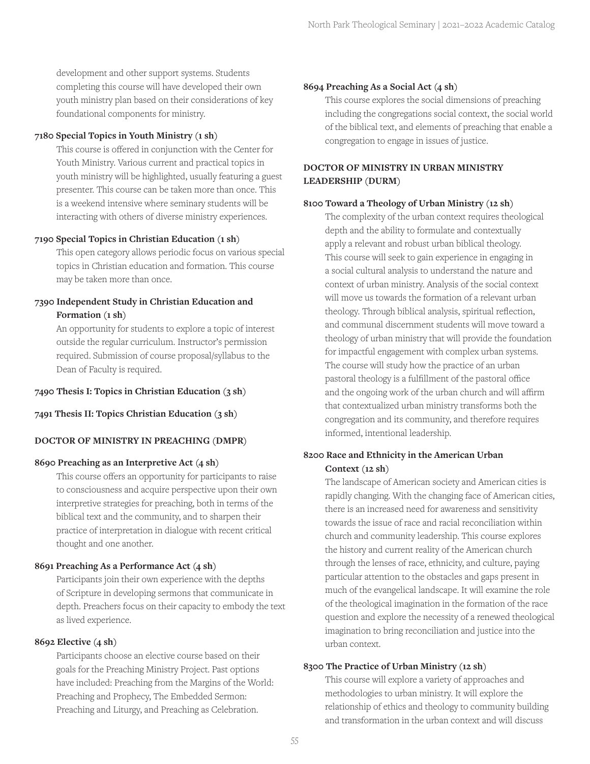development and other support systems. Students completing this course will have developed their own youth ministry plan based on their considerations of key foundational components for ministry.

## **7180 Special Topics in Youth Ministry (1 sh)**

This course is offered in conjunction with the Center for Youth Ministry. Various current and practical topics in youth ministry will be highlighted, usually featuring a guest presenter. This course can be taken more than once. This is a weekend intensive where seminary students will be interacting with others of diverse ministry experiences.

## **7190 Special Topics in Christian Education (1 sh)**

This open category allows periodic focus on various special topics in Christian education and formation. This course may be taken more than once.

## **7390 Independent Study in Christian Education and Formation (1 sh)**

An opportunity for students to explore a topic of interest outside the regular curriculum. Instructor's permission required. Submission of course proposal/syllabus to the Dean of Faculty is required.

#### **7490 Thesis I: Topics in Christian Education (3 sh)**

#### **7491 Thesis II: Topics Christian Education (3 sh)**

## **DOCTOR OF MINISTRY IN PREACHING (DMPR)**

#### **8690 Preaching as an Interpretive Act (4 sh)**

This course offers an opportunity for participants to raise to consciousness and acquire perspective upon their own interpretive strategies for preaching, both in terms of the biblical text and the community, and to sharpen their practice of interpretation in dialogue with recent critical thought and one another.

#### **8691 Preaching As a Performance Act (4 sh)**

Participants join their own experience with the depths of Scripture in developing sermons that communicate in depth. Preachers focus on their capacity to embody the text as lived experience.

#### **8692 Elective (4 sh)**

Participants choose an elective course based on their goals for the Preaching Ministry Project. Past options have included: Preaching from the Margins of the World: Preaching and Prophecy, The Embedded Sermon: Preaching and Liturgy, and Preaching as Celebration.

#### **8694 Preaching As a Social Act (4 sh)**

This course explores the social dimensions of preaching including the congregations social context, the social world of the biblical text, and elements of preaching that enable a congregation to engage in issues of justice.

## **DOCTOR OF MINISTRY IN URBAN MINISTRY LEADERSHIP (DURM)**

#### **8100 Toward a Theology of Urban Ministry (12 sh)**

The complexity of the urban context requires theological depth and the ability to formulate and contextually apply a relevant and robust urban biblical theology. This course will seek to gain experience in engaging in a social cultural analysis to understand the nature and context of urban ministry. Analysis of the social context will move us towards the formation of a relevant urban theology. Through biblical analysis, spiritual reflection, and communal discernment students will move toward a theology of urban ministry that will provide the foundation for impactful engagement with complex urban systems. The course will study how the practice of an urban pastoral theology is a fulfillment of the pastoral office and the ongoing work of the urban church and will affirm that contextualized urban ministry transforms both the congregation and its community, and therefore requires informed, intentional leadership.

## **8200 Race and Ethnicity in the American Urban Context (12 sh)**

The landscape of American society and American cities is rapidly changing. With the changing face of American cities, there is an increased need for awareness and sensitivity towards the issue of race and racial reconciliation within church and community leadership. This course explores the history and current reality of the American church through the lenses of race, ethnicity, and culture, paying particular attention to the obstacles and gaps present in much of the evangelical landscape. It will examine the role of the theological imagination in the formation of the race question and explore the necessity of a renewed theological imagination to bring reconciliation and justice into the urban context.

## **8300 The Practice of Urban Ministry (12 sh)**

This course will explore a variety of approaches and methodologies to urban ministry. It will explore the relationship of ethics and theology to community building and transformation in the urban context and will discuss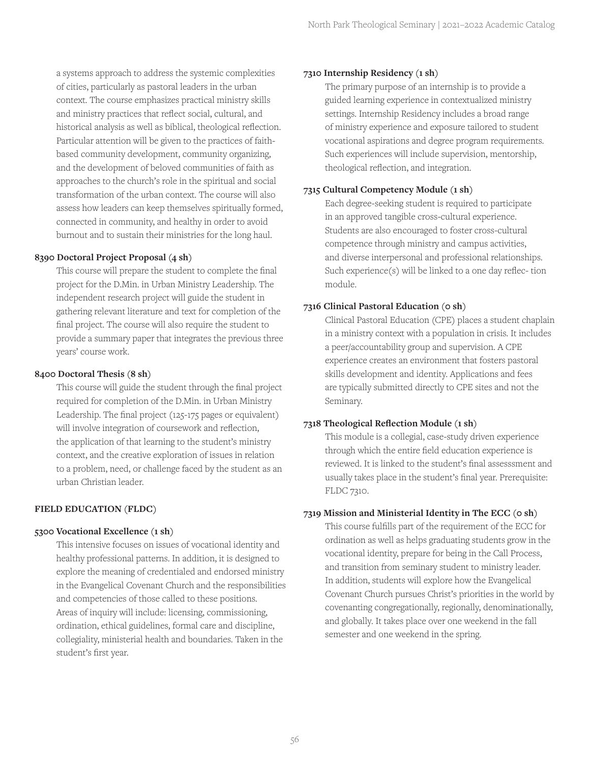a systems approach to address the systemic complexities of cities, particularly as pastoral leaders in the urban context. The course emphasizes practical ministry skills and ministry practices that reflect social, cultural, and historical analysis as well as biblical, theological reflection. Particular attention will be given to the practices of faithbased community development, community organizing, and the development of beloved communities of faith as approaches to the church's role in the spiritual and social transformation of the urban context. The course will also assess how leaders can keep themselves spiritually formed, connected in community, and healthy in order to avoid burnout and to sustain their ministries for the long haul.

## **8390 Doctoral Project Proposal (4 sh)**

This course will prepare the student to complete the final project for the D.Min. in Urban Ministry Leadership. The independent research project will guide the student in gathering relevant literature and text for completion of the final project. The course will also require the student to provide a summary paper that integrates the previous three years' course work.

## **8400 Doctoral Thesis (8 sh)**

This course will guide the student through the final project required for completion of the D.Min. in Urban Ministry Leadership. The final project (125-175 pages or equivalent) will involve integration of coursework and reflection, the application of that learning to the student's ministry context, and the creative exploration of issues in relation to a problem, need, or challenge faced by the student as an urban Christian leader.

## **FIELD EDUCATION (FLDC)**

#### **5300 Vocational Excellence (1 sh)**

This intensive focuses on issues of vocational identity and healthy professional patterns. In addition, it is designed to explore the meaning of credentialed and endorsed ministry in the Evangelical Covenant Church and the responsibilities and competencies of those called to these positions. Areas of inquiry will include: licensing, commissioning, ordination, ethical guidelines, formal care and discipline, collegiality, ministerial health and boundaries. Taken in the student's first year.

#### **7310 Internship Residency (1 sh)**

The primary purpose of an internship is to provide a guided learning experience in contextualized ministry settings. Internship Residency includes a broad range of ministry experience and exposure tailored to student vocational aspirations and degree program requirements. Such experiences will include supervision, mentorship, theological reflection, and integration.

## **7315 Cultural Competency Module (1 sh)**

Each degree-seeking student is required to participate in an approved tangible cross-cultural experience. Students are also encouraged to foster cross-cultural competence through ministry and campus activities, and diverse interpersonal and professional relationships. Such experience(s) will be linked to a one day reflec- tion module.

## **7316 Clinical Pastoral Education (0 sh)**

Clinical Pastoral Education (CPE) places a student chaplain in a ministry context with a population in crisis. It includes a peer/accountability group and supervision. A CPE experience creates an environment that fosters pastoral skills development and identity. Applications and fees are typically submitted directly to CPE sites and not the Seminary.

## **7318 Theological Reflection Module (1 sh)**

This module is a collegial, case-study driven experience through which the entire field education experience is reviewed. It is linked to the student's final assesssment and usually takes place in the student's final year. Prerequisite: FLDC 7310.

## **7319 Mission and Ministerial Identity in The ECC (0 sh)**

This course fulfills part of the requirement of the ECC for ordination as well as helps graduating students grow in the vocational identity, prepare for being in the Call Process, and transition from seminary student to ministry leader. In addition, students will explore how the Evangelical Covenant Church pursues Christ's priorities in the world by covenanting congregationally, regionally, denominationally, and globally. It takes place over one weekend in the fall semester and one weekend in the spring.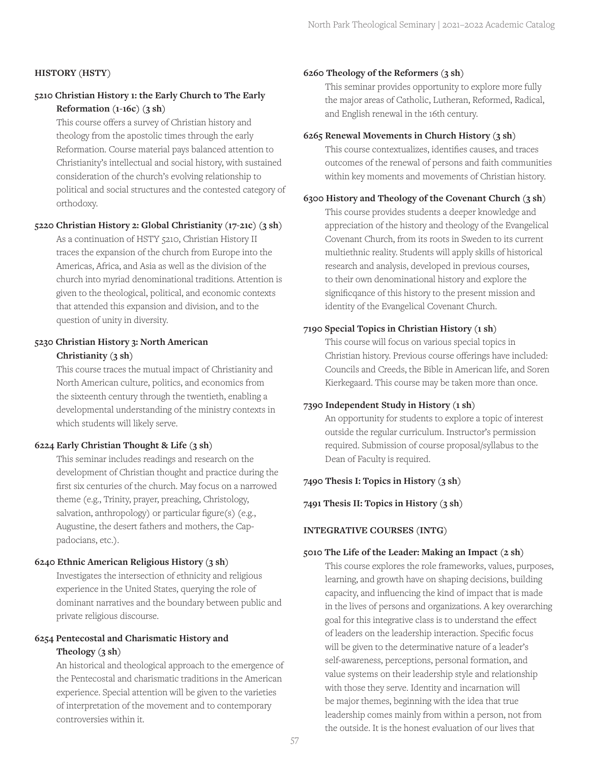#### **HISTORY (HSTY)**

## **5210 Christian History 1: the Early Church to The Early Reformation (1-16c) (3 sh)**

This course offers a survey of Christian history and theology from the apostolic times through the early Reformation. Course material pays balanced attention to Christianity's intellectual and social history, with sustained consideration of the church's evolving relationship to political and social structures and the contested category of orthodoxy.

#### **5220 Christian History 2: Global Christianity (17-21c) (3 sh)**

As a continuation of HSTY 5210, Christian History II traces the expansion of the church from Europe into the Americas, Africa, and Asia as well as the division of the church into myriad denominational traditions. Attention is given to the theological, political, and economic contexts that attended this expansion and division, and to the question of unity in diversity.

## **5230 Christian History 3: North American**

## **Christianity (3 sh)**

This course traces the mutual impact of Christianity and North American culture, politics, and economics from the sixteenth century through the twentieth, enabling a developmental understanding of the ministry contexts in which students will likely serve.

#### **6224 Early Christian Thought & Life (3 sh)**

This seminar includes readings and research on the development of Christian thought and practice during the first six centuries of the church. May focus on a narrowed theme (e.g., Trinity, prayer, preaching, Christology, salvation, anthropology) or particular figure(s) (e.g., Augustine, the desert fathers and mothers, the Cappadocians, etc.).

## **6240 Ethnic American Religious History (3 sh)**

Investigates the intersection of ethnicity and religious experience in the United States, querying the role of dominant narratives and the boundary between public and private religious discourse.

## **6254 Pentecostal and Charismatic History and Theology (3 sh)**

An historical and theological approach to the emergence of the Pentecostal and charismatic traditions in the American experience. Special attention will be given to the varieties of interpretation of the movement and to contemporary controversies within it.

#### **6260 Theology of the Reformers (3 sh)**

This seminar provides opportunity to explore more fully the major areas of Catholic, Lutheran, Reformed, Radical, and English renewal in the 16th century.

#### **6265 Renewal Movements in Church History (3 sh)**

This course contextualizes, identifies causes, and traces outcomes of the renewal of persons and faith communities within key moments and movements of Christian history.

#### **6300 History and Theology of the Covenant Church (3 sh)**

This course provides students a deeper knowledge and appreciation of the history and theology of the Evangelical Covenant Church, from its roots in Sweden to its current multiethnic reality. Students will apply skills of historical research and analysis, developed in previous courses, to their own denominational history and explore the significqance of this history to the present mission and identity of the Evangelical Covenant Church.

## **7190 Special Topics in Christian History (1 sh)**

This course will focus on various special topics in Christian history. Previous course offerings have included: Councils and Creeds, the Bible in American life, and Soren Kierkegaard. This course may be taken more than once.

#### **7390 Independent Study in History (1 sh)**

An opportunity for students to explore a topic of interest outside the regular curriculum. Instructor's permission required. Submission of course proposal/syllabus to the Dean of Faculty is required.

#### **7490 Thesis I: Topics in History (3 sh)**

**7491 Thesis II: Topics in History (3 sh)**

## **INTEGRATIVE COURSES (INTG)**

#### **5010 The Life of the Leader: Making an Impact (2 sh)**

This course explores the role frameworks, values, purposes, learning, and growth have on shaping decisions, building capacity, and influencing the kind of impact that is made in the lives of persons and organizations. A key overarching goal for this integrative class is to understand the effect of leaders on the leadership interaction. Specific focus will be given to the determinative nature of a leader's self-awareness, perceptions, personal formation, and value systems on their leadership style and relationship with those they serve. Identity and incarnation will be major themes, beginning with the idea that true leadership comes mainly from within a person, not from the outside. It is the honest evaluation of our lives that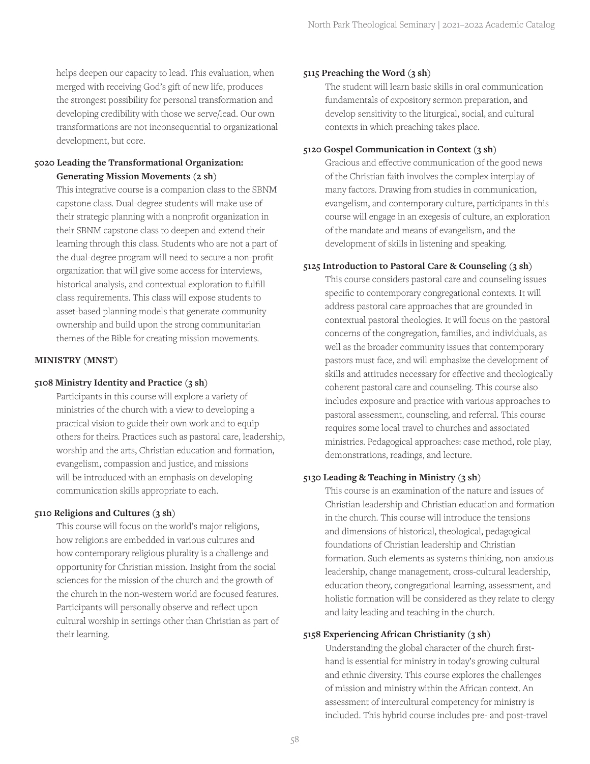helps deepen our capacity to lead. This evaluation, when merged with receiving God's gift of new life, produces the strongest possibility for personal transformation and developing credibility with those we serve/lead. Our own transformations are not inconsequential to organizational development, but core.

## **5020 Leading the Transformational Organization: Generating Mission Movements (2 sh)**

This integrative course is a companion class to the SBNM capstone class. Dual-degree students will make use of their strategic planning with a nonprofit organization in their SBNM capstone class to deepen and extend their learning through this class. Students who are not a part of the dual-degree program will need to secure a non-profit organization that will give some access for interviews, historical analysis, and contextual exploration to fulfill class requirements. This class will expose students to asset-based planning models that generate community ownership and build upon the strong communitarian themes of the Bible for creating mission movements.

#### **MINISTRY (MNST)**

#### **5108 Ministry Identity and Practice (3 sh)**

Participants in this course will explore a variety of ministries of the church with a view to developing a practical vision to guide their own work and to equip others for theirs. Practices such as pastoral care, leadership, worship and the arts, Christian education and formation, evangelism, compassion and justice, and missions will be introduced with an emphasis on developing communication skills appropriate to each.

#### **5110 Religions and Cultures (3 sh)**

This course will focus on the world's major religions, how religions are embedded in various cultures and how contemporary religious plurality is a challenge and opportunity for Christian mission. Insight from the social sciences for the mission of the church and the growth of the church in the non-western world are focused features. Participants will personally observe and reflect upon cultural worship in settings other than Christian as part of their learning.

#### **5115 Preaching the Word (3 sh)**

The student will learn basic skills in oral communication fundamentals of expository sermon preparation, and develop sensitivity to the liturgical, social, and cultural contexts in which preaching takes place.

#### **5120 Gospel Communication in Context (3 sh)**

Gracious and effective communication of the good news of the Christian faith involves the complex interplay of many factors. Drawing from studies in communication, evangelism, and contemporary culture, participants in this course will engage in an exegesis of culture, an exploration of the mandate and means of evangelism, and the development of skills in listening and speaking.

#### **5125 Introduction to Pastoral Care & Counseling (3 sh)**

This course considers pastoral care and counseling issues specific to contemporary congregational contexts. It will address pastoral care approaches that are grounded in contextual pastoral theologies. It will focus on the pastoral concerns of the congregation, families, and individuals, as well as the broader community issues that contemporary pastors must face, and will emphasize the development of skills and attitudes necessary for effective and theologically coherent pastoral care and counseling. This course also includes exposure and practice with various approaches to pastoral assessment, counseling, and referral. This course requires some local travel to churches and associated ministries. Pedagogical approaches: case method, role play, demonstrations, readings, and lecture.

#### **5130 Leading & Teaching in Ministry (3 sh)**

This course is an examination of the nature and issues of Christian leadership and Christian education and formation in the church. This course will introduce the tensions and dimensions of historical, theological, pedagogical foundations of Christian leadership and Christian formation. Such elements as systems thinking, non-anxious leadership, change management, cross-cultural leadership, education theory, congregational learning, assessment, and holistic formation will be considered as they relate to clergy and laity leading and teaching in the church.

#### **5158 Experiencing African Christianity (3 sh)**

Understanding the global character of the church firsthand is essential for ministry in today's growing cultural and ethnic diversity. This course explores the challenges of mission and ministry within the African context. An assessment of intercultural competency for ministry is included. This hybrid course includes pre- and post-travel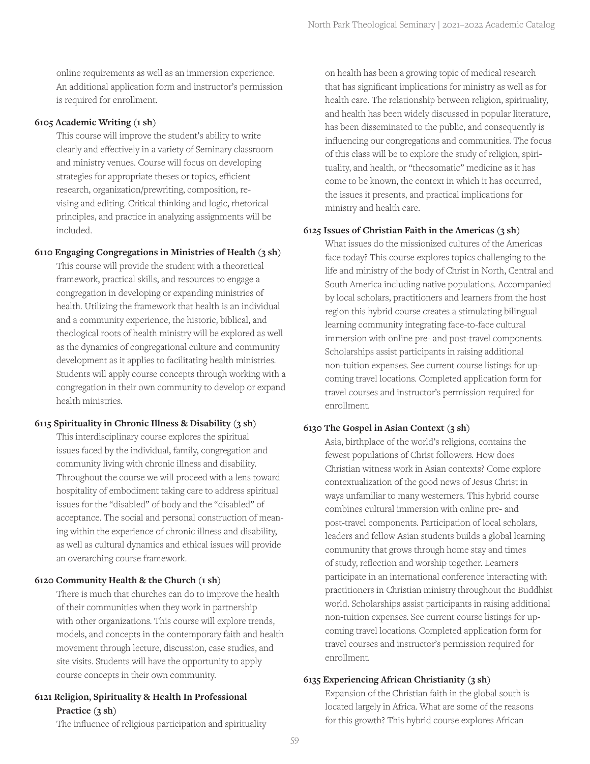online requirements as well as an immersion experience. An additional application form and instructor's permission is required for enrollment.

#### **6105 Academic Writing (1 sh)**

This course will improve the student's ability to write clearly and effectively in a variety of Seminary classroom and ministry venues. Course will focus on developing strategies for appropriate theses or topics, efficient research, organization/prewriting, composition, revising and editing. Critical thinking and logic, rhetorical principles, and practice in analyzing assignments will be included.

#### **6110 Engaging Congregations in Ministries of Health (3 sh)**

This course will provide the student with a theoretical framework, practical skills, and resources to engage a congregation in developing or expanding ministries of health. Utilizing the framework that health is an individual and a community experience, the historic, biblical, and theological roots of health ministry will be explored as well as the dynamics of congregational culture and community development as it applies to facilitating health ministries. Students will apply course concepts through working with a congregation in their own community to develop or expand health ministries.

#### **6115 Spirituality in Chronic Illness & Disability (3 sh)**

This interdisciplinary course explores the spiritual issues faced by the individual, family, congregation and community living with chronic illness and disability. Throughout the course we will proceed with a lens toward hospitality of embodiment taking care to address spiritual issues for the "disabled" of body and the "disabled" of acceptance. The social and personal construction of meaning within the experience of chronic illness and disability, as well as cultural dynamics and ethical issues will provide an overarching course framework.

#### **6120 Community Health & the Church (1 sh)**

There is much that churches can do to improve the health of their communities when they work in partnership with other organizations. This course will explore trends, models, and concepts in the contemporary faith and health movement through lecture, discussion, case studies, and site visits. Students will have the opportunity to apply course concepts in their own community.

## **6121 Religion, Spirituality & Health In Professional Practice (3 sh)**

The influence of religious participation and spirituality

on health has been a growing topic of medical research that has significant implications for ministry as well as for health care. The relationship between religion, spirituality, and health has been widely discussed in popular literature, has been disseminated to the public, and consequently is influencing our congregations and communities. The focus of this class will be to explore the study of religion, spirituality, and health, or "theosomatic" medicine as it has come to be known, the context in which it has occurred, the issues it presents, and practical implications for ministry and health care.

#### **6125 Issues of Christian Faith in the Americas (3 sh)**

What issues do the missionized cultures of the Americas face today? This course explores topics challenging to the life and ministry of the body of Christ in North, Central and South America including native populations. Accompanied by local scholars, practitioners and learners from the host region this hybrid course creates a stimulating bilingual learning community integrating face-to-face cultural immersion with online pre- and post-travel components. Scholarships assist participants in raising additional non-tuition expenses. See current course listings for upcoming travel locations. Completed application form for travel courses and instructor's permission required for enrollment.

#### **6130 The Gospel in Asian Context (3 sh)**

Asia, birthplace of the world's religions, contains the fewest populations of Christ followers. How does Christian witness work in Asian contexts? Come explore contextualization of the good news of Jesus Christ in ways unfamiliar to many westerners. This hybrid course combines cultural immersion with online pre- and post-travel components. Participation of local scholars, leaders and fellow Asian students builds a global learning community that grows through home stay and times of study, reflection and worship together. Learners participate in an international conference interacting with practitioners in Christian ministry throughout the Buddhist world. Scholarships assist participants in raising additional non-tuition expenses. See current course listings for upcoming travel locations. Completed application form for travel courses and instructor's permission required for enrollment.

#### **6135 Experiencing African Christianity (3 sh)**

Expansion of the Christian faith in the global south is located largely in Africa. What are some of the reasons for this growth? This hybrid course explores African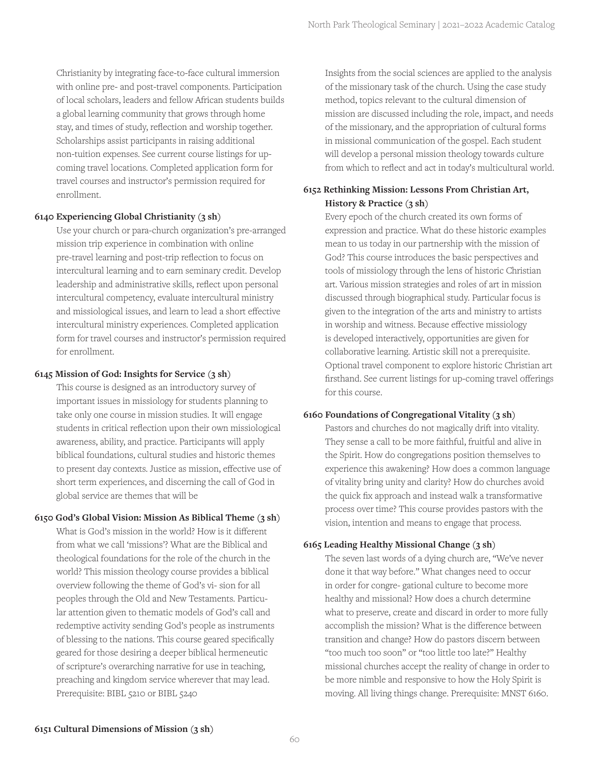Christianity by integrating face-to-face cultural immersion with online pre- and post-travel components. Participation of local scholars, leaders and fellow African students builds a global learning community that grows through home stay, and times of study, reflection and worship together. Scholarships assist participants in raising additional non-tuition expenses. See current course listings for upcoming travel locations. Completed application form for travel courses and instructor's permission required for enrollment.

#### **6140 Experiencing Global Christianity (3 sh)**

Use your church or para-church organization's pre-arranged mission trip experience in combination with online pre-travel learning and post-trip reflection to focus on intercultural learning and to earn seminary credit. Develop leadership and administrative skills, reflect upon personal intercultural competency, evaluate intercultural ministry and missiological issues, and learn to lead a short effective intercultural ministry experiences. Completed application form for travel courses and instructor's permission required for enrollment.

#### **6145 Mission of God: Insights for Service (3 sh)**

This course is designed as an introductory survey of important issues in missiology for students planning to take only one course in mission studies. It will engage students in critical reflection upon their own missiological awareness, ability, and practice. Participants will apply biblical foundations, cultural studies and historic themes to present day contexts. Justice as mission, effective use of short term experiences, and discerning the call of God in global service are themes that will be

#### **6150 God's Global Vision: Mission As Biblical Theme (3 sh)**

What is God's mission in the world? How is it different from what we call 'missions'? What are the Biblical and theological foundations for the role of the church in the world? This mission theology course provides a biblical overview following the theme of God's vi- sion for all peoples through the Old and New Testaments. Particular attention given to thematic models of God's call and redemptive activity sending God's people as instruments of blessing to the nations. This course geared specifically geared for those desiring a deeper biblical hermeneutic of scripture's overarching narrative for use in teaching, preaching and kingdom service wherever that may lead. Prerequisite: BIBL 5210 or BIBL 5240

Insights from the social sciences are applied to the analysis of the missionary task of the church. Using the case study method, topics relevant to the cultural dimension of mission are discussed including the role, impact, and needs of the missionary, and the appropriation of cultural forms in missional communication of the gospel. Each student will develop a personal mission theology towards culture from which to reflect and act in today's multicultural world.

## **6152 Rethinking Mission: Lessons From Christian Art, History & Practice (3 sh)**

Every epoch of the church created its own forms of expression and practice. What do these historic examples mean to us today in our partnership with the mission of God? This course introduces the basic perspectives and tools of missiology through the lens of historic Christian art. Various mission strategies and roles of art in mission discussed through biographical study. Particular focus is given to the integration of the arts and ministry to artists in worship and witness. Because effective missiology is developed interactively, opportunities are given for collaborative learning. Artistic skill not a prerequisite. Optional travel component to explore historic Christian art firsthand. See current listings for up-coming travel offerings for this course.

#### **6160 Foundations of Congregational Vitality (3 sh)**

Pastors and churches do not magically drift into vitality. They sense a call to be more faithful, fruitful and alive in the Spirit. How do congregations position themselves to experience this awakening? How does a common language of vitality bring unity and clarity? How do churches avoid the quick fix approach and instead walk a transformative process over time? This course provides pastors with the vision, intention and means to engage that process.

#### **6165 Leading Healthy Missional Change (3 sh)**

The seven last words of a dying church are, "We've never done it that way before." What changes need to occur in order for congre- gational culture to become more healthy and missional? How does a church determine what to preserve, create and discard in order to more fully accomplish the mission? What is the difference between transition and change? How do pastors discern between "too much too soon" or "too little too late?" Healthy missional churches accept the reality of change in order to be more nimble and responsive to how the Holy Spirit is moving. All living things change. Prerequisite: MNST 6160.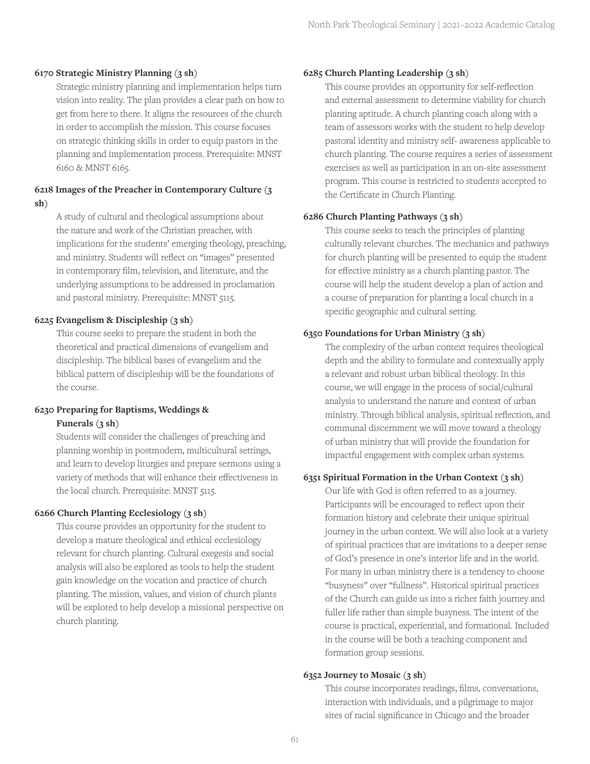#### **6170 Strategic Ministry Planning (3 sh)**

Strategic ministry planning and implementation helps turn vision into reality. The plan provides a clear path on how to get from here to there. It aligns the resources of the church in order to accomplish the mission. This course focuses on strategic thinking skills in order to equip pastors in the planning and implementation process. Prerequisite: MNST 6160 & MNST 6165.

## **6218 Images of the Preacher in Contemporary Culture (3 sh)**

A study of cultural and theological assumptions about the nature and work of the Christian preacher, with implications for the students' emerging theology, preaching, and ministry. Students will reflect on "images" presented in contemporary film, television, and literature, and the underlying assumptions to be addressed in proclamation and pastoral ministry. Prerequisite: MNST 5115.

#### **6225 Evangelism & Discipleship (3 sh)**

This course seeks to prepare the student in both the theoretical and practical dimensions of evangelism and discipleship. The biblical bases of evangelism and the biblical pattern of discipleship will be the foundations of the course.

#### **6230 Preparing for Baptisms, Weddings & Funerals (3 sh)**

Students will consider the challenges of preaching and planning worship in postmodern, multicultural settings, and learn to develop liturgies and prepare sermons using a variety of methods that will enhance their effectiveness in the local church. Prerequisite: MNST 5115.

## **6266 Church Planting Ecclesiology (3 sh)**

This course provides an opportunity for the student to develop a mature theological and ethical ecclesiology relevant for church planting. Cultural exegesis and social analysis will also be explored as tools to help the student gain knowledge on the vocation and practice of church planting. The mission, values, and vision of church plants will be explored to help develop a missional perspective on church planting.

#### **6285 Church Planting Leadership (3 sh)**

This course provides an opportunity for self-reflection and external assessment to determine viability for church planting aptitude. A church planting coach along with a team of assessors works with the student to help develop pastoral identity and ministry self- awareness applicable to church planting. The course requires a series of assessment exercises as well as participation in an on-site assessment program. This course is restricted to students accepted to the Certificate in Church Planting.

#### **6286 Church Planting Pathways (3 sh)**

This course seeks to teach the principles of planting culturally relevant churches. The mechanics and pathways for church planting will be presented to equip the student for effective ministry as a church planting pastor. The course will help the student develop a plan of action and a course of preparation for planting a local church in a specific geographic and cultural setting.

#### **6350 Foundations for Urban Ministry (3 sh)**

The complexity of the urban context requires theological depth and the ability to formulate and contextually apply a relevant and robust urban biblical theology. In this course, we will engage in the process of social/cultural analysis to understand the nature and context of urban ministry. Through biblical analysis, spiritual reflection, and communal discernment we will move toward a theology of urban ministry that will provide the foundation for impactful engagement with complex urban systems.

#### **6351 Spiritual Formation in the Urban Context (3 sh)**

Our life with God is often referred to as a journey. Participants will be encouraged to reflect upon their formation history and celebrate their unique spiritual journey in the urban context. We will also look at a variety of spiritual practices that are invitations to a deeper sense of God's presence in one's interior life and in the world. For many in urban ministry there is a tendency to choose "busyness" over "fullness". Historical spiritual practices of the Church can guide us into a richer faith journey and fuller life rather than simple busyness. The intent of the course is practical, experiential, and formational. Included in the course will be both a teaching component and formation group sessions.

#### **6352 Journey to Mosaic (3 sh)**

This course incorporates readings, films, conversations, interaction with individuals, and a pilgrimage to major sites of racial significance in Chicago and the broader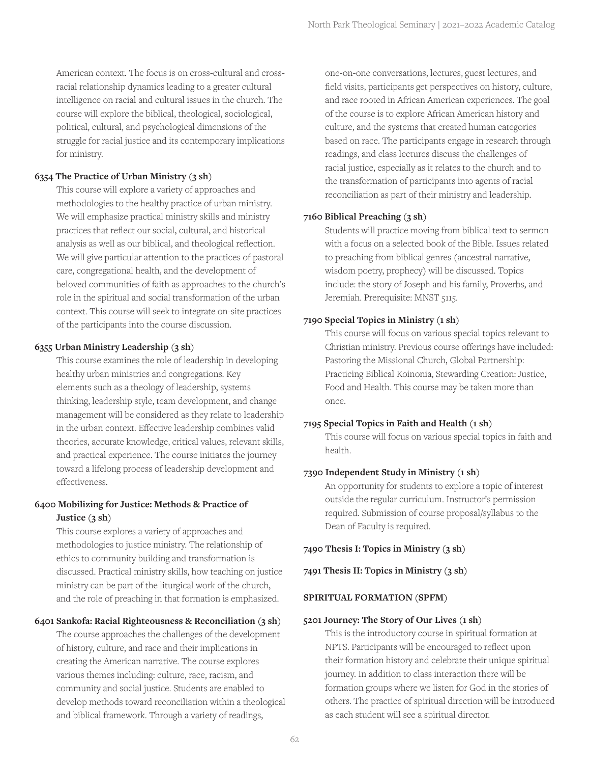American context. The focus is on cross-cultural and crossracial relationship dynamics leading to a greater cultural intelligence on racial and cultural issues in the church. The course will explore the biblical, theological, sociological, political, cultural, and psychological dimensions of the struggle for racial justice and its contemporary implications for ministry.

## **6354 The Practice of Urban Ministry (3 sh)**

This course will explore a variety of approaches and methodologies to the healthy practice of urban ministry. We will emphasize practical ministry skills and ministry practices that reflect our social, cultural, and historical analysis as well as our biblical, and theological reflection. We will give particular attention to the practices of pastoral care, congregational health, and the development of beloved communities of faith as approaches to the church's role in the spiritual and social transformation of the urban context. This course will seek to integrate on-site practices of the participants into the course discussion.

#### **6355 Urban Ministry Leadership (3 sh)**

This course examines the role of leadership in developing healthy urban ministries and congregations. Key elements such as a theology of leadership, systems thinking, leadership style, team development, and change management will be considered as they relate to leadership in the urban context. Effective leadership combines valid theories, accurate knowledge, critical values, relevant skills, and practical experience. The course initiates the journey toward a lifelong process of leadership development and effectiveness.

## **6400 Mobilizing for Justice: Methods & Practice of Justice (3 sh)**

This course explores a variety of approaches and methodologies to justice ministry. The relationship of ethics to community building and transformation is discussed. Practical ministry skills, how teaching on justice ministry can be part of the liturgical work of the church, and the role of preaching in that formation is emphasized.

#### **6401 Sankofa: Racial Righteousness & Reconciliation (3 sh)**

The course approaches the challenges of the development of history, culture, and race and their implications in creating the American narrative. The course explores various themes including: culture, race, racism, and community and social justice. Students are enabled to develop methods toward reconciliation within a theological and biblical framework. Through a variety of readings,

one-on-one conversations, lectures, guest lectures, and field visits, participants get perspectives on history, culture, and race rooted in African American experiences. The goal of the course is to explore African American history and culture, and the systems that created human categories based on race. The participants engage in research through readings, and class lectures discuss the challenges of racial justice, especially as it relates to the church and to the transformation of participants into agents of racial reconciliation as part of their ministry and leadership.

## **7160 Biblical Preaching (3 sh)**

Students will practice moving from biblical text to sermon with a focus on a selected book of the Bible. Issues related to preaching from biblical genres (ancestral narrative, wisdom poetry, prophecy) will be discussed. Topics include: the story of Joseph and his family, Proverbs, and Jeremiah. Prerequisite: MNST 5115.

#### **7190 Special Topics in Ministry (1 sh)**

This course will focus on various special topics relevant to Christian ministry. Previous course offerings have included: Pastoring the Missional Church, Global Partnership: Practicing Biblical Koinonia, Stewarding Creation: Justice, Food and Health. This course may be taken more than once.

#### **7195 Special Topics in Faith and Health (1 sh)**

This course will focus on various special topics in faith and health.

#### **7390 Independent Study in Ministry (1 sh)**

An opportunity for students to explore a topic of interest outside the regular curriculum. Instructor's permission required. Submission of course proposal/syllabus to the Dean of Faculty is required.

**7490 Thesis I: Topics in Ministry (3 sh)**

**7491 Thesis II: Topics in Ministry (3 sh)**

#### **SPIRITUAL FORMATION (SPFM)**

#### **5201 Journey: The Story of Our Lives (1 sh)**

This is the introductory course in spiritual formation at NPTS. Participants will be encouraged to reflect upon their formation history and celebrate their unique spiritual journey. In addition to class interaction there will be formation groups where we listen for God in the stories of others. The practice of spiritual direction will be introduced as each student will see a spiritual director.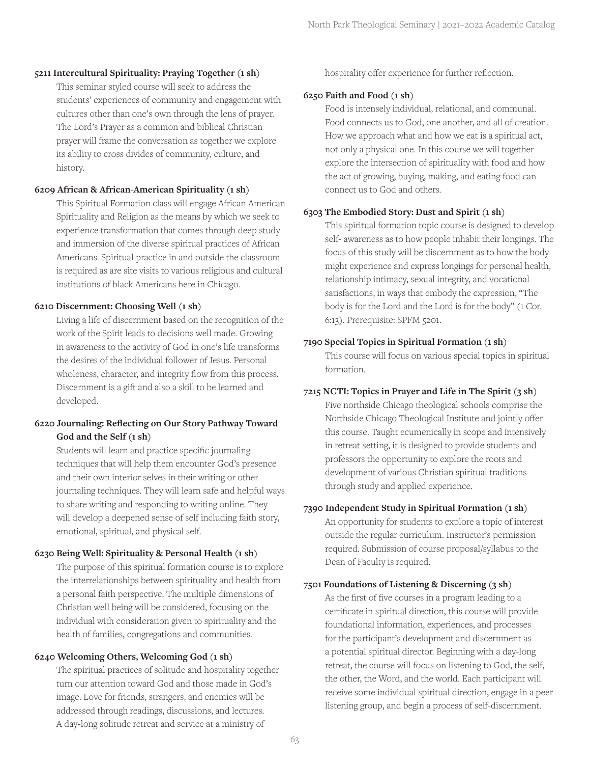## **5211 Intercultural Spirituality: Praying Together (1 sh)**

This seminar styled course will seek to address the students' experiences of community and engagement with cultures other than one's own through the lens of prayer. The Lord's Prayer as a common and biblical Christian prayer will frame the conversation as together we explore its ability to cross divides of community, culture, and history.

#### **6209 African & African-American Spirituality (1 sh)**

This Spiritual Formation class will engage African American Spirituality and Religion as the means by which we seek to experience transformation that comes through deep study and immersion of the diverse spiritual practices of African Americans. Spiritual practice in and outside the classroom is required as are site visits to various religious and cultural institutions of black Americans here in Chicago.

## **6210 Discernment: Choosing Well (1 sh)**

Living a life of discernment based on the recognition of the work of the Spirit leads to decisions well made. Growing in awareness to the activity of God in one's life transforms the desires of the individual follower of Jesus. Personal wholeness, character, and integrity flow from this process. Discernment is a gift and also a skill to be learned and developed.

## **6220 Journaling: Reflecting on Our Story Pathway Toward God and the Self (1 sh)**

Students will learn and practice specific journaling techniques that will help them encounter God's presence and their own interior selves in their writing or other journaling techniques. They will learn safe and helpful ways to share writing and responding to writing online. They will develop a deepened sense of self including faith story, emotional, spiritual, and physical self.

## **6230 Being Well: Spirituality & Personal Health (1 sh)**

The purpose of this spiritual formation course is to explore the interrelationships between spirituality and health from a personal faith perspective. The multiple dimensions of Christian well being will be considered, focusing on the individual with consideration given to spirituality and the health of families, congregations and communities.

## **6240 Welcoming Others, Welcoming God (1 sh)**

The spiritual practices of solitude and hospitality together turn our attention toward God and those made in God's image. Love for friends, strangers, and enemies will be addressed through readings, discussions, and lectures. A day-long solitude retreat and service at a ministry of

hospitality offer experience for further reflection.

## **6250 Faith and Food (1 sh)**

Food is intensely individual, relational, and communal. Food connects us to God, one another, and all of creation. How we approach what and how we eat is a spiritual act, not only a physical one. In this course we will together explore the intersection of spirituality with food and how the act of growing, buying, making, and eating food can connect us to God and others.

## **6303 The Embodied Story: Dust and Spirit (1 sh)**

This spiritual formation topic course is designed to develop self- awareness as to how people inhabit their longings. The focus of this study will be discernment as to how the body might experience and express longings for personal health, relationship intimacy, sexual integrity, and vocational satisfactions, in ways that embody the expression, "The body is for the Lord and the Lord is for the body" (1 Cor. 6:13). Prerequisite: SPFM 5201.

## **7190 Special Topics in Spiritual Formation (1 sh)**

This course will focus on various special topics in spiritual formation.

## **7215 NCTI: Topics in Prayer and Life in The Spirit (3 sh)**

Five northside Chicago theological schools comprise the Northside Chicago Theological Institute and jointly offer this course. Taught ecumenically in scope and intensively in retreat setting, it is designed to provide students and professors the opportunity to explore the roots and development of various Christian spiritual traditions through study and applied experience.

## **7390 Independent Study in Spiritual Formation (1 sh)**

An opportunity for students to explore a topic of interest outside the regular curriculum. Instructor's permission required. Submission of course proposal/syllabus to the Dean of Faculty is required.

## **7501 Foundations of Listening & Discerning (3 sh)**

As the first of five courses in a program leading to a certificate in spiritual direction, this course will provide foundational information, experiences, and processes for the participant's development and discernment as a potential spiritual director. Beginning with a day-long retreat, the course will focus on listening to God, the self, the other, the Word, and the world. Each participant will receive some individual spiritual direction, engage in a peer listening group, and begin a process of self-discernment.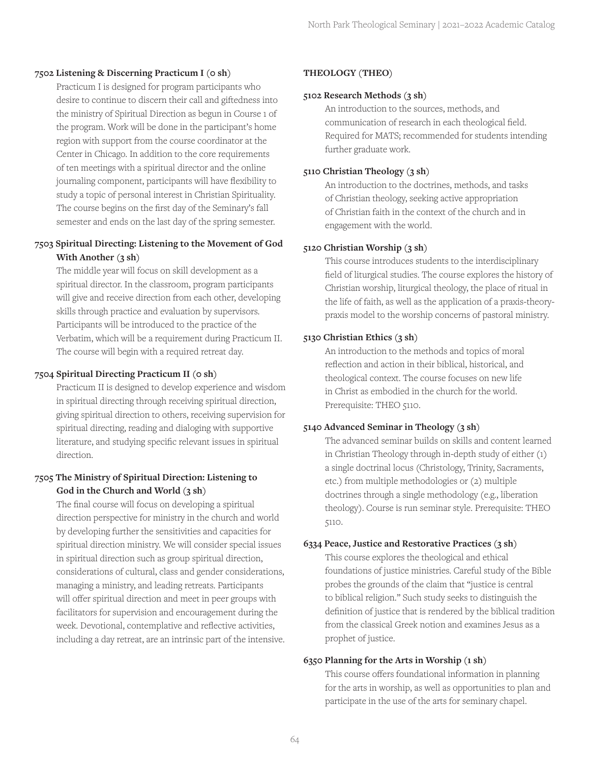#### **7502 Listening & Discerning Practicum I (0 sh)**

Practicum I is designed for program participants who desire to continue to discern their call and giftedness into the ministry of Spiritual Direction as begun in Course 1 of the program. Work will be done in the participant's home region with support from the course coordinator at the Center in Chicago. In addition to the core requirements of ten meetings with a spiritual director and the online journaling component, participants will have flexibility to study a topic of personal interest in Christian Spirituality. The course begins on the first day of the Seminary's fall semester and ends on the last day of the spring semester.

## **7503 Spiritual Directing: Listening to the Movement of God With Another (3 sh)**

The middle year will focus on skill development as a spiritual director. In the classroom, program participants will give and receive direction from each other, developing skills through practice and evaluation by supervisors. Participants will be introduced to the practice of the Verbatim, which will be a requirement during Practicum II. The course will begin with a required retreat day.

## **7504 Spiritual Directing Practicum II (0 sh)**

Practicum II is designed to develop experience and wisdom in spiritual directing through receiving spiritual direction, giving spiritual direction to others, receiving supervision for spiritual directing, reading and dialoging with supportive literature, and studying specific relevant issues in spiritual direction.

## **7505 The Ministry of Spiritual Direction: Listening to God in the Church and World (3 sh)**

The final course will focus on developing a spiritual direction perspective for ministry in the church and world by developing further the sensitivities and capacities for spiritual direction ministry. We will consider special issues in spiritual direction such as group spiritual direction, considerations of cultural, class and gender considerations, managing a ministry, and leading retreats. Participants will offer spiritual direction and meet in peer groups with facilitators for supervision and encouragement during the week. Devotional, contemplative and reflective activities, including a day retreat, are an intrinsic part of the intensive.

## **THEOLOGY (THEO)**

## **5102 Research Methods (3 sh)**

An introduction to the sources, methods, and communication of research in each theological field. Required for MATS; recommended for students intending further graduate work.

## **5110 Christian Theology (3 sh)**

An introduction to the doctrines, methods, and tasks of Christian theology, seeking active appropriation of Christian faith in the context of the church and in engagement with the world.

## **5120 Christian Worship (3 sh)**

This course introduces students to the interdisciplinary field of liturgical studies. The course explores the history of Christian worship, liturgical theology, the place of ritual in the life of faith, as well as the application of a praxis-theorypraxis model to the worship concerns of pastoral ministry.

## **5130 Christian Ethics (3 sh)**

An introduction to the methods and topics of moral reflection and action in their biblical, historical, and theological context. The course focuses on new life in Christ as embodied in the church for the world. Prerequisite: THEO 5110.

## **5140 Advanced Seminar in Theology (3 sh)**

The advanced seminar builds on skills and content learned in Christian Theology through in-depth study of either (1) a single doctrinal locus (Christology, Trinity, Sacraments, etc.) from multiple methodologies or (2) multiple doctrines through a single methodology (e.g., liberation theology). Course is run seminar style. Prerequisite: THEO 5110.

## **6334 Peace, Justice and Restorative Practices (3 sh)**

This course explores the theological and ethical foundations of justice ministries. Careful study of the Bible probes the grounds of the claim that "justice is central to biblical religion." Such study seeks to distinguish the definition of justice that is rendered by the biblical tradition from the classical Greek notion and examines Jesus as a prophet of justice.

#### **6350 Planning for the Arts in Worship (1 sh)**

This course offers foundational information in planning for the arts in worship, as well as opportunities to plan and participate in the use of the arts for seminary chapel.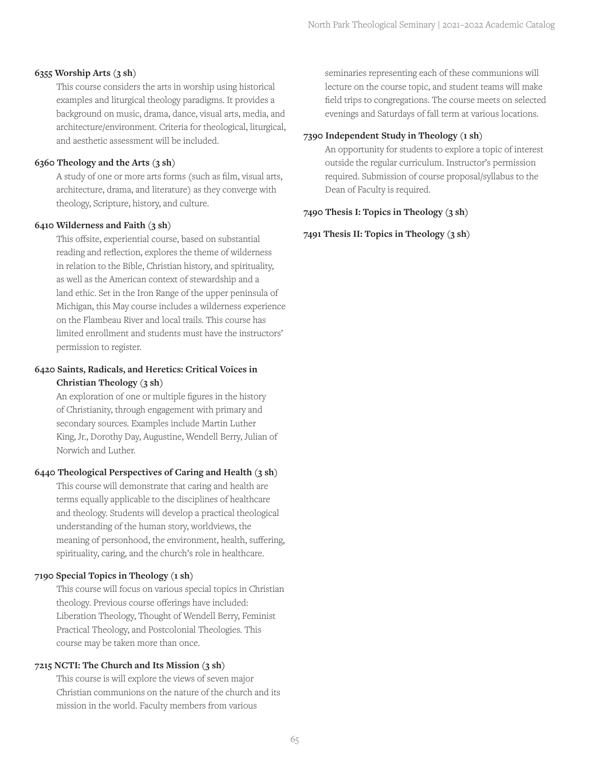#### **6355 Worship Arts (3 sh)**

This course considers the arts in worship using historical examples and liturgical theology paradigms. It provides a background on music, drama, dance, visual arts, media, and architecture/environment. Criteria for theological, liturgical, and aesthetic assessment will be included.

## **6360 Theology and the Arts (3 sh)**

A study of one or more arts forms (such as film, visual arts, architecture, drama, and literature) as they converge with theology, Scripture, history, and culture.

## **6410 Wilderness and Faith (3 sh)**

This offsite, experiential course, based on substantial reading and reflection, explores the theme of wilderness in relation to the Bible, Christian history, and spirituality, as well as the American context of stewardship and a land ethic. Set in the Iron Range of the upper peninsula of Michigan, this May course includes a wilderness experience on the Flambeau River and local trails. This course has limited enrollment and students must have the instructors' permission to register.

## **6420 Saints, Radicals, and Heretics: Critical Voices in Christian Theology (3 sh)**

An exploration of one or multiple figures in the history of Christianity, through engagement with primary and secondary sources. Examples include Martin Luther King, Jr., Dorothy Day, Augustine, Wendell Berry, Julian of Norwich and Luther.

## **6440 Theological Perspectives of Caring and Health (3 sh)**

This course will demonstrate that caring and health are terms equally applicable to the disciplines of healthcare and theology. Students will develop a practical theological understanding of the human story, worldviews, the meaning of personhood, the environment, health, suffering, spirituality, caring, and the church's role in healthcare.

## **7190 Special Topics in Theology (1 sh)**

This course will focus on various special topics in Christian theology. Previous course offerings have included: Liberation Theology, Thought of Wendell Berry, Feminist Practical Theology, and Postcolonial Theologies. This course may be taken more than once.

#### **7215 NCTI: The Church and Its Mission (3 sh)**

This course is will explore the views of seven major Christian communions on the nature of the church and its mission in the world. Faculty members from various

seminaries representing each of these communions will lecture on the course topic, and student teams will make field trips to congregations. The course meets on selected evenings and Saturdays of fall term at various locations.

## **7390 Independent Study in Theology (1 sh)**

An opportunity for students to explore a topic of interest outside the regular curriculum. Instructor's permission required. Submission of course proposal/syllabus to the Dean of Faculty is required.

## **7490 Thesis I: Topics in Theology (3 sh)**

**7491 Thesis II: Topics in Theology (3 sh)**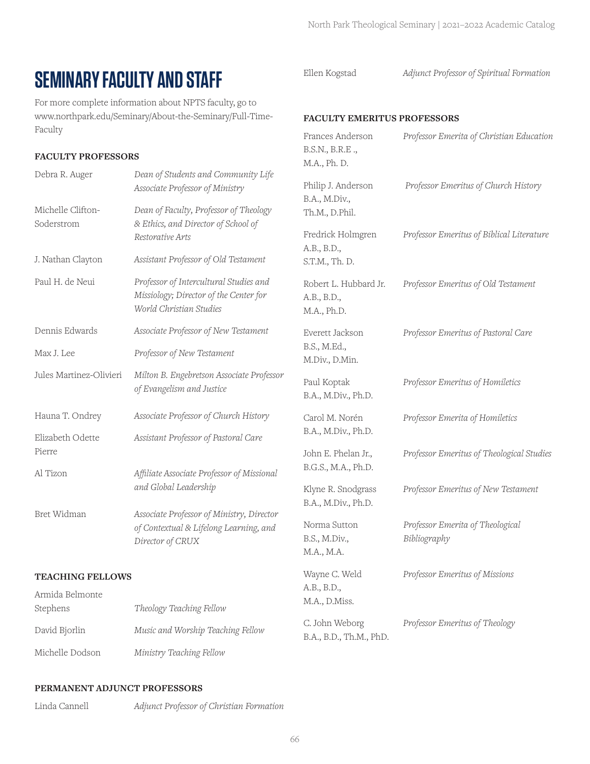## **SEMINARY FACULTY AND STAFF**

For more complete information about NPTS faculty, go to www.northpark.edu/Seminary/About-the-Seminary/Full-Time-Faculty

## **FACULTY PROFESSORS**

| Dean of Students and Community Life<br>Associate Professor of Ministry                                      | Phil                  |  |
|-------------------------------------------------------------------------------------------------------------|-----------------------|--|
| Dean of Faculty, Professor of Theology<br>& Ethics, and Director of School of                               | B.A<br>Th.            |  |
| Restorative Arts                                                                                            | Freo<br>A.B           |  |
| Assistant Professor of Old Testament                                                                        | S.T.                  |  |
| Professor of Intercultural Studies and<br>Missiology; Director of the Center for<br>World Christian Studies | Rob<br>A.B<br>M.A     |  |
| Associate Professor of New Testament                                                                        | Eve                   |  |
| Professor of New Testament                                                                                  | B.S.<br>M.D           |  |
| Milton B. Engebretson Associate Professor<br>of Evangelism and Justice                                      | Pau<br>B.A            |  |
| Associate Professor of Church History                                                                       | Car                   |  |
| Assistant Professor of Pastoral Care                                                                        | B.A                   |  |
| Affiliate Associate Professor of Missional                                                                  | Joh:<br>B.G           |  |
|                                                                                                             | Klyı<br>B.A           |  |
| Associate Professor of Ministry, Director<br>of Contextual & Lifelong Learning, and<br>Director of CRUX     | Nor<br>B.S.<br>M.A    |  |
| <b>TEACHING FELLOWS</b>                                                                                     |                       |  |
|                                                                                                             | and Global Leadership |  |

Armida Belmonte Stephens *Theology Teaching Fellow* David Bjorlin *Music and Worship Teaching Fellow* Michelle Dodson *Ministry Teaching Fellow* Wayne C. Weld *Professor Emeritus of Missions*  $A.$  $M$ . C. John Weborg *Professor Emeritus of Theology*  B.A., B.D., Th.M., PhD.

#### **PERMANENT ADJUNCT PROFESSORS**

Linda Cannell *Adjunct Professor of Christian Formation*

Ellen Kogstad *Adjunct Professor of Spiritual Formation*

## **FACULTY EMERITUS PROFESSORS**

| Frances Anderson<br>B.S.N., B.R.E.,<br>M.A., Ph. D.   | Professor Emerita of Christian Education         |
|-------------------------------------------------------|--------------------------------------------------|
| Philip J. Anderson<br>B.A., M.Div.,<br>Th.M., D.Phil. | Professor Emeritus of Church History             |
| Fredrick Holmgren<br>A.B., B.D.,<br>S.T.M., Th. D.    | Professor Emeritus of Biblical Literature        |
| Robert L. Hubbard Jr.<br>A.B., B.D.,<br>M.A., Ph.D.   | Professor Emeritus of Old Testament              |
| Everett Jackson<br>B.S., M.Ed.,<br>M.Div., D.Min.     | Professor Emeritus of Pastoral Care              |
| Paul Koptak<br>B.A., M.Div., Ph.D.                    | Professor Emeritus of Homiletics                 |
| Carol M. Norén<br>B.A., M.Div., Ph.D.                 | Professor Emerita of Homiletics                  |
| John E. Phelan Jr.,<br>B.G.S., M.A., Ph.D.            | Professor Emeritus of Theological Studies        |
| Klyne R. Snodgrass<br>B.A., M.Div., Ph.D.             | Professor Emeritus of New Testament              |
| Norma Sutton<br>B.S., M.Div.,<br>M.A., M.A.           | Professor Emerita of Theological<br>Bibliography |
| Wayne C. Weld<br>A.B., B.D.,<br>M.A., D.Miss.         | Professor Emeritus of Missions                   |
|                                                       |                                                  |